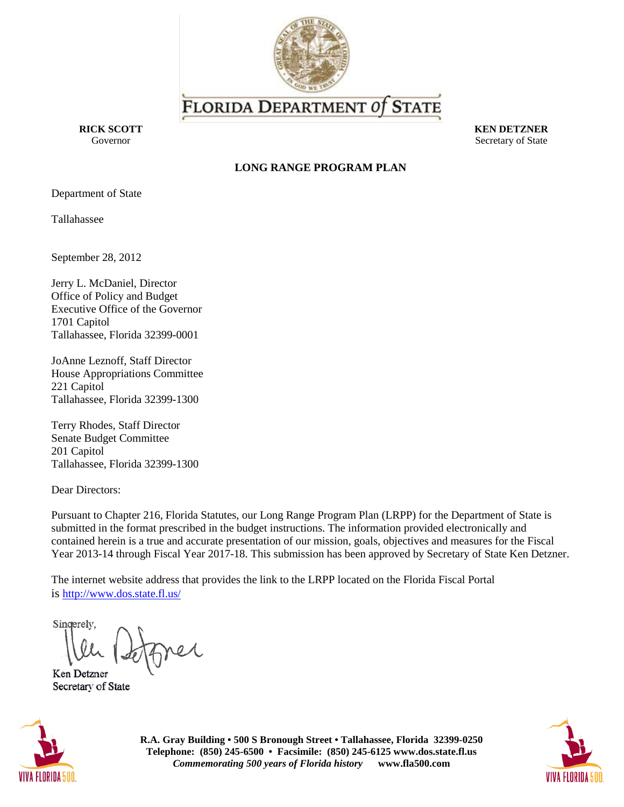

FLORIDA DEPARTMENT Of STATE

**RICK SCOTT**

Governor

**KEN DETZNER** Secretary of State

#### **LONG RANGE PROGRAM PLAN**

Department of State

Tallahassee

September 28, 2012

Jerry L. McDaniel, Director Office of Policy and Budget Executive Office of the Governor 1701 Capitol Tallahassee, Florida 32399-0001

JoAnne Leznoff, Staff Director House Appropriations Committee 221 Capitol Tallahassee, Florida 32399-1300

Terry Rhodes, Staff Director Senate Budget Committee 201 Capitol Tallahassee, Florida 32399-1300

Dear Directors:

Pursuant to Chapter 216, Florida Statutes, our Long Range Program Plan (LRPP) for the Department of State is submitted in the format prescribed in the budget instructions. The information provided electronically and contained herein is a true and accurate presentation of our mission, goals, objectives and measures for the Fiscal Year 2013-14 through Fiscal Year 2017-18. This submission has been approved by Secretary of State Ken Detzner.

The internet website address that provides the link to the LRPP located on the Florida Fiscal Portal is<http://www.dos.state.fl.us/>

Singerely.

Ken Detzner Secretary of State



**R.A. Gray Building • 500 S Bronough Street • Tallahassee, Florida 32399-0250 Telephone: (850) 245-6500 • Facsimile: (850) 245-6125 www.dos.state.fl.us** *Commemorating 500 years of Florida history* **www.fla500.com**

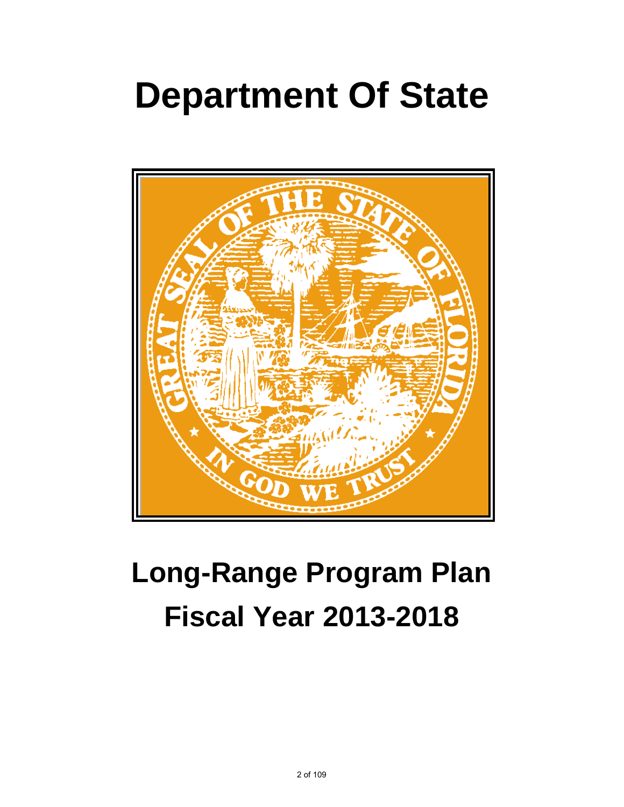# **Department Of State**



# **Long-Range Program Plan Fiscal Year 2013-2018**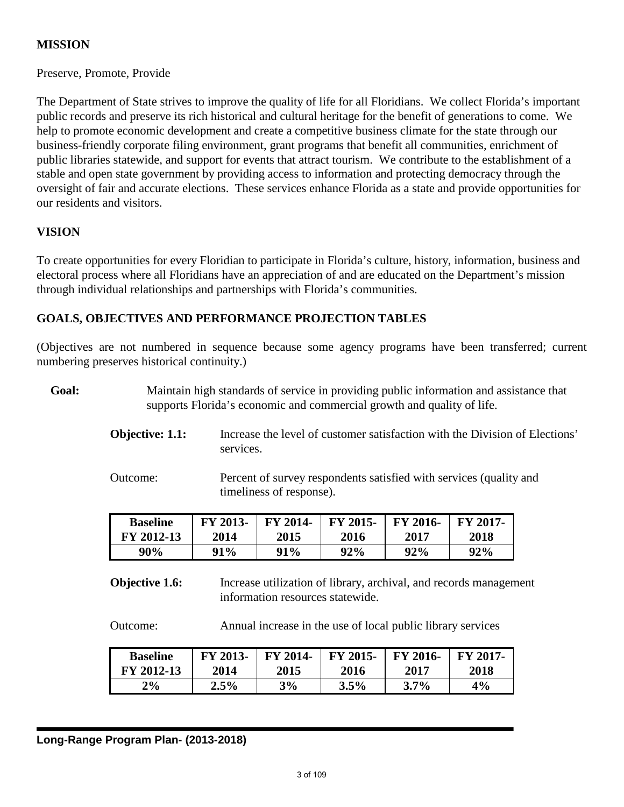#### **MISSION**

Preserve, Promote, Provide

The Department of State strives to improve the quality of life for all Floridians. We collect Florida's important public records and preserve its rich historical and cultural heritage for the benefit of generations to come. We help to promote economic development and create a competitive business climate for the state through our business-friendly corporate filing environment, grant programs that benefit all communities, enrichment of public libraries statewide, and support for events that attract tourism. We contribute to the establishment of a stable and open state government by providing access to information and protecting democracy through the oversight of fair and accurate elections. These services enhance Florida as a state and provide opportunities for our residents and visitors.

#### **VISION**

To create opportunities for every Floridian to participate in Florida's culture, history, information, business and electoral process where all Floridians have an appreciation of and are educated on the Department's mission through individual relationships and partnerships with Florida's communities.

#### **GOALS, OBJECTIVES AND PERFORMANCE PROJECTION TABLES**

(Objectives are not numbered in sequence because some agency programs have been transferred; current numbering preserves historical continuity.)

- **Goal:** Maintain high standards of service in providing public information and assistance that supports Florida's economic and commercial growth and quality of life.
	- **Objective: 1.1:** Increase the level of customer satisfaction with the Division of Elections' services.
	- Outcome: Percent of survey respondents satisfied with services (quality and timeliness of response).

| <b>Baseline</b> | FY 2013- | <b>FY 2014-</b> | <b>FY 2015-</b> | <b>FY 2016-</b> | <b>FY 2017-</b> |
|-----------------|----------|-----------------|-----------------|-----------------|-----------------|
| FY 2012-13      | 2014     | 2015            | 2016            | 2017            | 2018            |
| 90%             | 91%      | 91%             | 92%             | 92%             | 92%             |

**Objective 1.6:** Increase utilization of library, archival, and records management information resources statewide.

Outcome: Annual increase in the use of local public library services

| <b>Baseline</b> | FY 2013- | FY 2014- | <b>FY 2015-</b> | <b>FY 2016-</b> | <b>FY 2017-</b> |
|-----------------|----------|----------|-----------------|-----------------|-----------------|
| FY 2012-13      | 2014     | 2015     | 2016            | 2017            | 2018            |
| 2%              | $2.5\%$  | 3%       | 3.5%            | 3.7%            | 4%              |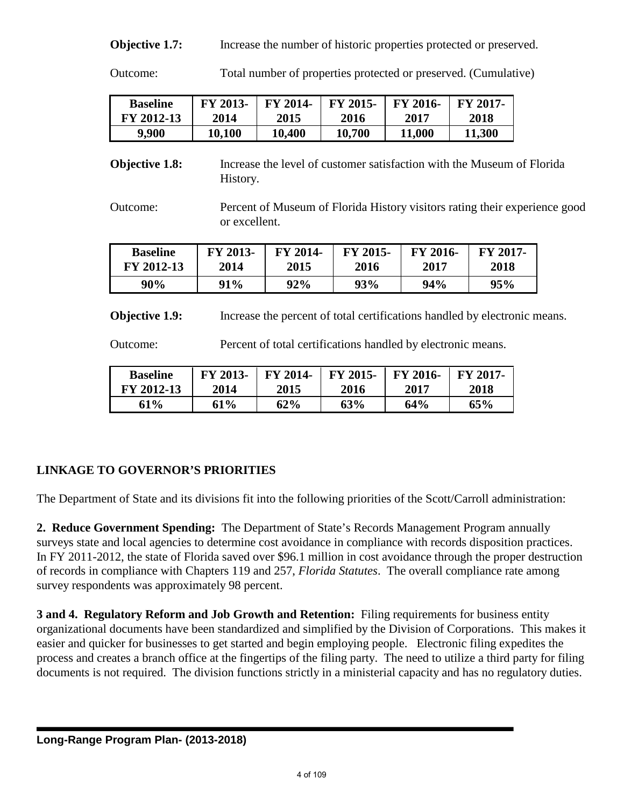**Objective 1.7:** Increase the number of historic properties protected or preserved.

Outcome: Total number of properties protected or preserved. (Cumulative)

| <b>Baseline</b> | <b>FY 2013-</b> | FY 2014- | FY 2015- | FY 2016-      | <b>FY 2017-</b> |
|-----------------|-----------------|----------|----------|---------------|-----------------|
| FY 2012-13      | 2014            | 2015     | 2016     | 2017          | 2018            |
| 9,900           | 10,100          | 10,400   | 10,700   | <b>11,000</b> | 11,300          |

**Objective 1.8:** Increase the level of customer satisfaction with the Museum of Florida History.

Outcome: Percent of Museum of Florida History visitors rating their experience good or excellent.

| <b>Baseline</b> | FY 2013- | FY 2014- | <b>FY 2015-</b> | <b>FY 2016-</b> | FY 2017- |
|-----------------|----------|----------|-----------------|-----------------|----------|
| FY 2012-13      | 2014     | 2015     | 2016            | 2017            | 2018     |
| 90%             | 91%      | 92%      | 93%             | 94%             | 95%      |

**Objective 1.9:** Increase the percent of total certifications handled by electronic means.

Outcome: Percent of total certifications handled by electronic means.

| <b>Baseline</b> | <b>FY 2013-</b> | FY 2014- | FY 2015- | <b>FY 2016-</b> | <b>FY 2017-</b> |
|-----------------|-----------------|----------|----------|-----------------|-----------------|
| FY 2012-13      | 2014            | 2015     | 2016     | 2017            | 2018            |
| 61%             | 61%             | 62%      | 63%      | 64%             | 65%             |

#### **LINKAGE TO GOVERNOR'S PRIORITIES**

The Department of State and its divisions fit into the following priorities of the Scott/Carroll administration:

**2. Reduce Government Spending:** The Department of State's Records Management Program annually surveys state and local agencies to determine cost avoidance in compliance with records disposition practices. In FY 2011-2012, the state of Florida saved over \$96.1 million in cost avoidance through the proper destruction of records in compliance with Chapters 119 and 257, *Florida Statutes*. The overall compliance rate among survey respondents was approximately 98 percent.

**3 and 4. Regulatory Reform and Job Growth and Retention:** Filing requirements for business entity organizational documents have been standardized and simplified by the Division of Corporations. This makes it easier and quicker for businesses to get started and begin employing people. Electronic filing expedites the process and creates a branch office at the fingertips of the filing party. The need to utilize a third party for filing documents is not required. The division functions strictly in a ministerial capacity and has no regulatory duties.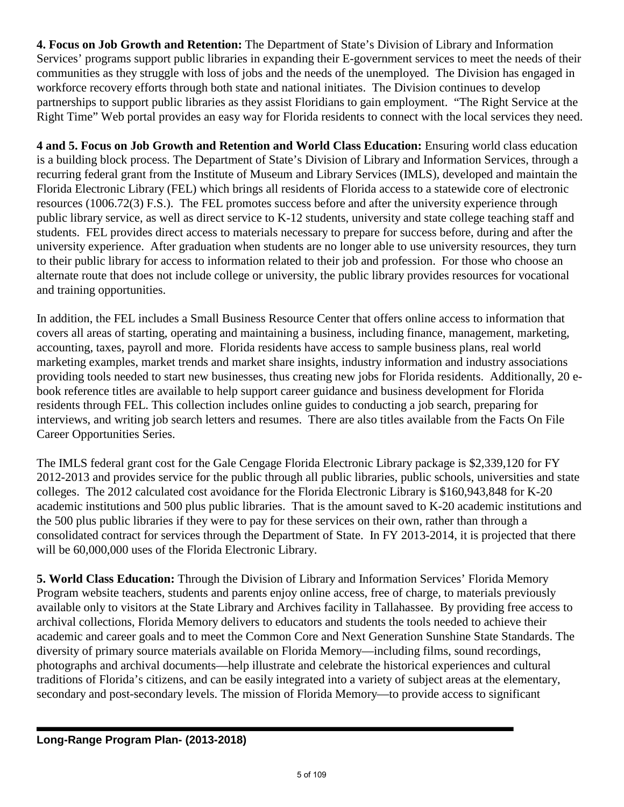**4. Focus on Job Growth and Retention:** The Department of State's Division of Library and Information Services' programs support public libraries in expanding their E-government services to meet the needs of their communities as they struggle with loss of jobs and the needs of the unemployed. The Division has engaged in workforce recovery efforts through both state and national initiates. The Division continues to develop partnerships to support public libraries as they assist Floridians to gain employment. "The Right Service at the Right Time" Web portal provides an easy way for Florida residents to connect with the local services they need.

**4 and 5. Focus on Job Growth and Retention and World Class Education:** Ensuring world class education is a building block process. The Department of State's Division of Library and Information Services, through a recurring federal grant from the Institute of Museum and Library Services (IMLS), developed and maintain the Florida Electronic Library (FEL) which brings all residents of Florida access to a statewide core of electronic resources (1006.72(3) F.S.). The FEL promotes success before and after the university experience through public library service, as well as direct service to K-12 students, university and state college teaching staff and students. FEL provides direct access to materials necessary to prepare for success before, during and after the university experience. After graduation when students are no longer able to use university resources, they turn to their public library for access to information related to their job and profession. For those who choose an alternate route that does not include college or university, the public library provides resources for vocational and training opportunities.

In addition, the FEL includes a Small Business Resource Center that offers online access to information that covers all areas of starting, operating and maintaining a business, including finance, management, marketing, accounting, taxes, payroll and more. Florida residents have access to sample business plans, real world marketing examples, market trends and market share insights, industry information and industry associations providing tools needed to start new businesses, thus creating new jobs for Florida residents. Additionally, 20 ebook reference titles are available to help support career guidance and business development for Florida residents through FEL. This collection includes online guides to conducting a job search, preparing for interviews, and writing job search letters and resumes. There are also titles available from the Facts On File Career Opportunities Series.

The IMLS federal grant cost for the Gale Cengage Florida Electronic Library package is \$2,339,120 for FY 2012-2013 and provides service for the public through all public libraries, public schools, universities and state colleges. The 2012 calculated cost avoidance for the Florida Electronic Library is \$160,943,848 for K-20 academic institutions and 500 plus public libraries. That is the amount saved to K-20 academic institutions and the 500 plus public libraries if they were to pay for these services on their own, rather than through a consolidated contract for services through the Department of State. In FY 2013-2014, it is projected that there will be 60,000,000 uses of the Florida Electronic Library.

**5. World Class Education:** Through the Division of Library and Information Services' Florida Memory Program website teachers, students and parents enjoy online access, free of charge, to materials previously available only to visitors at the State Library and Archives facility in Tallahassee. By providing free access to archival collections, Florida Memory delivers to educators and students the tools needed to achieve their academic and career goals and to meet the Common Core and Next Generation Sunshine State Standards. The diversity of primary source materials available on Florida Memory—including films, sound recordings, photographs and archival documents—help illustrate and celebrate the historical experiences and cultural traditions of Florida's citizens, and can be easily integrated into a variety of subject areas at the elementary, secondary and post-secondary levels. The mission of Florida Memory—to provide access to significant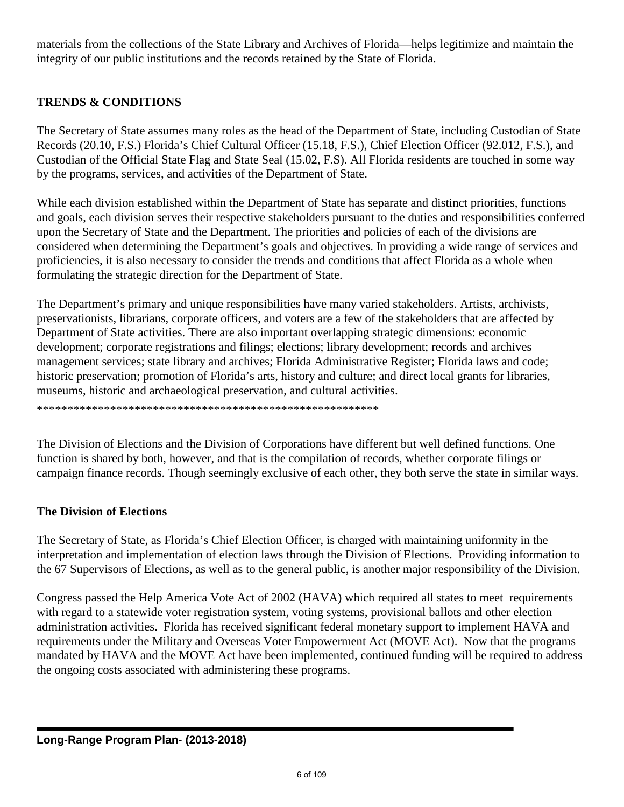materials from the collections of the State Library and Archives of Florida—helps legitimize and maintain the integrity of our public institutions and the records retained by the State of Florida.

#### **TRENDS & CONDITIONS**

The Secretary of State assumes many roles as the head of the Department of State, including Custodian of State Records (20.10, F.S.) Florida's Chief Cultural Officer (15.18, F.S.), Chief Election Officer (92.012, F.S.), and Custodian of the Official State Flag and State Seal (15.02, F.S). All Florida residents are touched in some way by the programs, services, and activities of the Department of State.

While each division established within the Department of State has separate and distinct priorities, functions and goals, each division serves their respective stakeholders pursuant to the duties and responsibilities conferred upon the Secretary of State and the Department. The priorities and policies of each of the divisions are considered when determining the Department's goals and objectives. In providing a wide range of services and proficiencies, it is also necessary to consider the trends and conditions that affect Florida as a whole when formulating the strategic direction for the Department of State.

The Department's primary and unique responsibilities have many varied stakeholders. Artists, archivists, preservationists, librarians, corporate officers, and voters are a few of the stakeholders that are affected by Department of State activities. There are also important overlapping strategic dimensions: economic development; corporate registrations and filings; elections; library development; records and archives management services; state library and archives; Florida Administrative Register; Florida laws and code; historic preservation; promotion of Florida's arts, history and culture; and direct local grants for libraries, museums, historic and archaeological preservation, and cultural activities.

\*\*\*\*\*\*\*\*\*\*\*\*\*\*\*\*\*\*\*\*\*\*\*\*\*\*\*\*\*\*\*\*\*\*\*\*\*\*\*\*\*\*\*\*\*\*\*\*\*\*\*\*\*\*\*\*

The Division of Elections and the Division of Corporations have different but well defined functions. One function is shared by both, however, and that is the compilation of records, whether corporate filings or campaign finance records. Though seemingly exclusive of each other, they both serve the state in similar ways.

#### **The Division of Elections**

The Secretary of State, as Florida's Chief Election Officer, is charged with maintaining uniformity in the interpretation and implementation of election laws through the Division of Elections. Providing information to the 67 Supervisors of Elections, as well as to the general public, is another major responsibility of the Division.

Congress passed the Help America Vote Act of 2002 (HAVA) which required all states to meet requirements with regard to a statewide voter registration system, voting systems, provisional ballots and other election administration activities. Florida has received significant federal monetary support to implement HAVA and requirements under the Military and Overseas Voter Empowerment Act (MOVE Act). Now that the programs mandated by HAVA and the MOVE Act have been implemented, continued funding will be required to address the ongoing costs associated with administering these programs.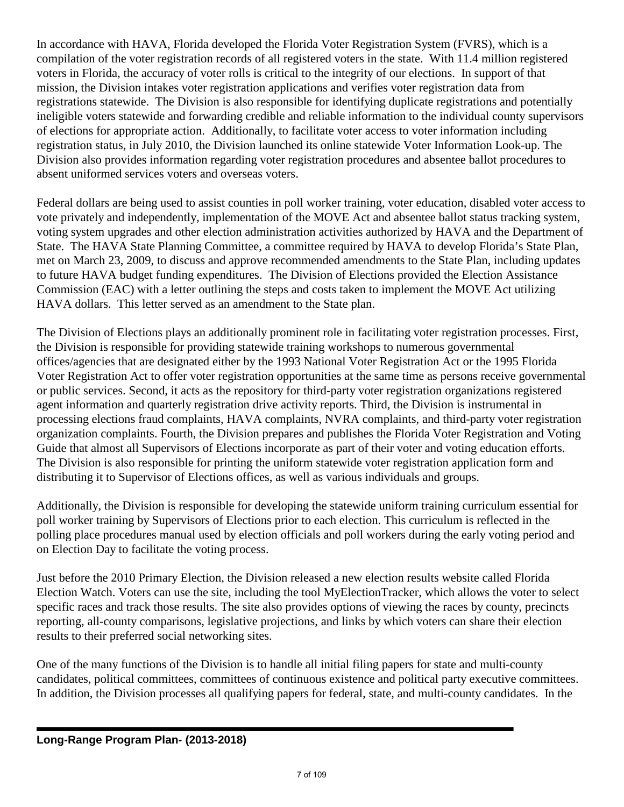In accordance with HAVA, Florida developed the Florida Voter Registration System (FVRS), which is a compilation of the voter registration records of all registered voters in the state. With 11.4 million registered voters in Florida, the accuracy of voter rolls is critical to the integrity of our elections. In support of that mission, the Division intakes voter registration applications and verifies voter registration data from registrations statewide. The Division is also responsible for identifying duplicate registrations and potentially ineligible voters statewide and forwarding credible and reliable information to the individual county supervisors of elections for appropriate action. Additionally, to facilitate voter access to voter information including registration status, in July 2010, the Division launched its online statewide Voter Information Look-up. The Division also provides information regarding voter registration procedures and absentee ballot procedures to absent uniformed services voters and overseas voters.

Federal dollars are being used to assist counties in poll worker training, voter education, disabled voter access to vote privately and independently, implementation of the MOVE Act and absentee ballot status tracking system, voting system upgrades and other election administration activities authorized by HAVA and the Department of State. The HAVA State Planning Committee, a committee required by HAVA to develop Florida's State Plan, met on March 23, 2009, to discuss and approve recommended amendments to the State Plan, including updates to future HAVA budget funding expenditures. The Division of Elections provided the Election Assistance Commission (EAC) with a letter outlining the steps and costs taken to implement the MOVE Act utilizing HAVA dollars. This letter served as an amendment to the State plan.

The Division of Elections plays an additionally prominent role in facilitating voter registration processes. First, the Division is responsible for providing statewide training workshops to numerous governmental offices/agencies that are designated either by the 1993 National Voter Registration Act or the 1995 Florida Voter Registration Act to offer voter registration opportunities at the same time as persons receive governmental or public services. Second, it acts as the repository for third-party voter registration organizations registered agent information and quarterly registration drive activity reports. Third, the Division is instrumental in processing elections fraud complaints, HAVA complaints, NVRA complaints, and third-party voter registration organization complaints. Fourth, the Division prepares and publishes the Florida Voter Registration and Voting Guide that almost all Supervisors of Elections incorporate as part of their voter and voting education efforts. The Division is also responsible for printing the uniform statewide voter registration application form and distributing it to Supervisor of Elections offices, as well as various individuals and groups.

Additionally, the Division is responsible for developing the statewide uniform training curriculum essential for poll worker training by Supervisors of Elections prior to each election. This curriculum is reflected in the polling place procedures manual used by election officials and poll workers during the early voting period and on Election Day to facilitate the voting process.

Just before the 2010 Primary Election, the Division released a new election results website called Florida Election Watch. Voters can use the site, including the tool MyElectionTracker, which allows the voter to select specific races and track those results. The site also provides options of viewing the races by county, precincts reporting, all-county comparisons, legislative projections, and links by which voters can share their election results to their preferred social networking sites.

One of the many functions of the Division is to handle all initial filing papers for state and multi-county candidates, political committees, committees of continuous existence and political party executive committees. In addition, the Division processes all qualifying papers for federal, state, and multi-county candidates. In the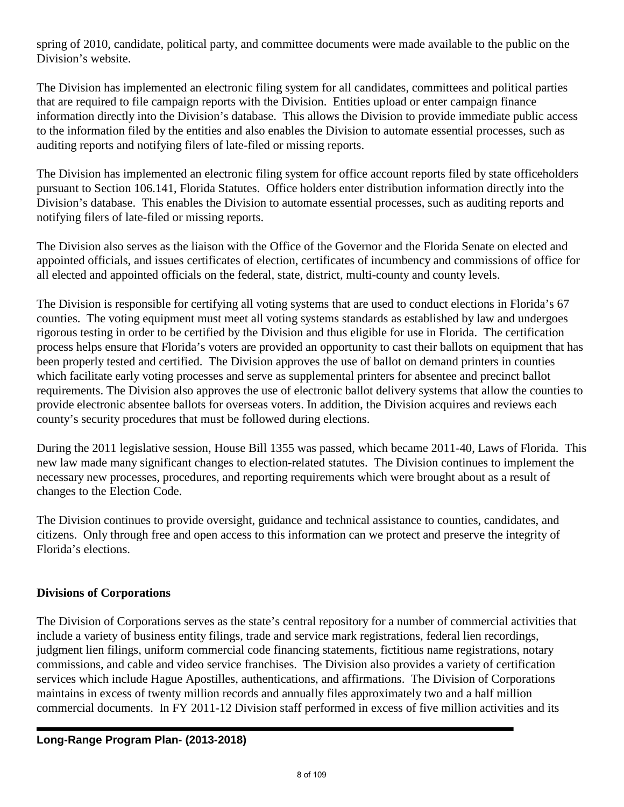spring of 2010, candidate, political party, and committee documents were made available to the public on the Division's website.

The Division has implemented an electronic filing system for all candidates, committees and political parties that are required to file campaign reports with the Division. Entities upload or enter campaign finance information directly into the Division's database. This allows the Division to provide immediate public access to the information filed by the entities and also enables the Division to automate essential processes, such as auditing reports and notifying filers of late-filed or missing reports.

The Division has implemented an electronic filing system for office account reports filed by state officeholders pursuant to Section 106.141, Florida Statutes. Office holders enter distribution information directly into the Division's database. This enables the Division to automate essential processes, such as auditing reports and notifying filers of late-filed or missing reports.

The Division also serves as the liaison with the Office of the Governor and the Florida Senate on elected and appointed officials, and issues certificates of election, certificates of incumbency and commissions of office for all elected and appointed officials on the federal, state, district, multi-county and county levels.

The Division is responsible for certifying all voting systems that are used to conduct elections in Florida's 67 counties. The voting equipment must meet all voting systems standards as established by law and undergoes rigorous testing in order to be certified by the Division and thus eligible for use in Florida. The certification process helps ensure that Florida's voters are provided an opportunity to cast their ballots on equipment that has been properly tested and certified. The Division approves the use of ballot on demand printers in counties which facilitate early voting processes and serve as supplemental printers for absentee and precinct ballot requirements. The Division also approves the use of electronic ballot delivery systems that allow the counties to provide electronic absentee ballots for overseas voters. In addition, the Division acquires and reviews each county's security procedures that must be followed during elections.

During the 2011 legislative session, House Bill 1355 was passed, which became 2011-40, Laws of Florida. This new law made many significant changes to election-related statutes. The Division continues to implement the necessary new processes, procedures, and reporting requirements which were brought about as a result of changes to the Election Code.

The Division continues to provide oversight, guidance and technical assistance to counties, candidates, and citizens. Only through free and open access to this information can we protect and preserve the integrity of Florida's elections.

#### **Divisions of Corporations**

The Division of Corporations serves as the state's central repository for a number of commercial activities that include a variety of business entity filings, trade and service mark registrations, federal lien recordings, judgment lien filings, uniform commercial code financing statements, fictitious name registrations, notary commissions, and cable and video service franchises. The Division also provides a variety of certification services which include Hague Apostilles, authentications, and affirmations. The Division of Corporations maintains in excess of twenty million records and annually files approximately two and a half million commercial documents. In FY 2011-12 Division staff performed in excess of five million activities and its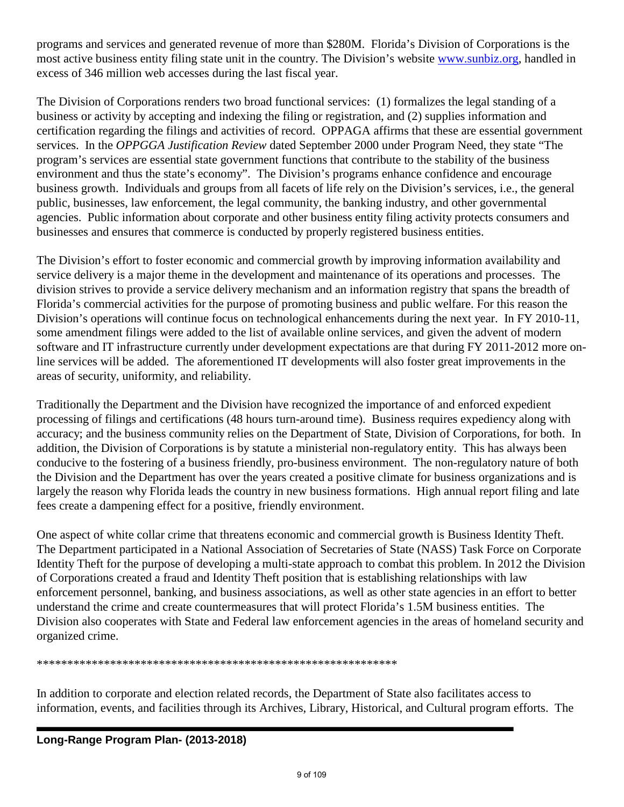programs and services and generated revenue of more than \$280M. Florida's Division of Corporations is the most active business entity filing state unit in the country. The Division's website [www.sunbiz.org,](http://www.sunbiz.org/) handled in excess of 346 million web accesses during the last fiscal year.

The Division of Corporations renders two broad functional services: (1) formalizes the legal standing of a business or activity by accepting and indexing the filing or registration, and (2) supplies information and certification regarding the filings and activities of record. OPPAGA affirms that these are essential government services. In the *OPPGGA Justification Review* dated September 2000 under Program Need, they state "The program's services are essential state government functions that contribute to the stability of the business environment and thus the state's economy". The Division's programs enhance confidence and encourage business growth. Individuals and groups from all facets of life rely on the Division's services, i.e., the general public, businesses, law enforcement, the legal community, the banking industry, and other governmental agencies. Public information about corporate and other business entity filing activity protects consumers and businesses and ensures that commerce is conducted by properly registered business entities.

The Division's effort to foster economic and commercial growth by improving information availability and service delivery is a major theme in the development and maintenance of its operations and processes. The division strives to provide a service delivery mechanism and an information registry that spans the breadth of Florida's commercial activities for the purpose of promoting business and public welfare. For this reason the Division's operations will continue focus on technological enhancements during the next year. In FY 2010-11, some amendment filings were added to the list of available online services, and given the advent of modern software and IT infrastructure currently under development expectations are that during FY 2011-2012 more online services will be added. The aforementioned IT developments will also foster great improvements in the areas of security, uniformity, and reliability.

Traditionally the Department and the Division have recognized the importance of and enforced expedient processing of filings and certifications (48 hours turn-around time). Business requires expediency along with accuracy; and the business community relies on the Department of State, Division of Corporations, for both. In addition, the Division of Corporations is by statute a ministerial non-regulatory entity. This has always been conducive to the fostering of a business friendly, pro-business environment. The non-regulatory nature of both the Division and the Department has over the years created a positive climate for business organizations and is largely the reason why Florida leads the country in new business formations. High annual report filing and late fees create a dampening effect for a positive, friendly environment.

One aspect of white collar crime that threatens economic and commercial growth is Business Identity Theft. The Department participated in a National Association of Secretaries of State (NASS) Task Force on Corporate Identity Theft for the purpose of developing a multi-state approach to combat this problem. In 2012 the Division of Corporations created a fraud and Identity Theft position that is establishing relationships with law enforcement personnel, banking, and business associations, as well as other state agencies in an effort to better understand the crime and create countermeasures that will protect Florida's 1.5M business entities. The Division also cooperates with State and Federal law enforcement agencies in the areas of homeland security and organized crime.

\*\*\*\*\*\*\*\*\*\*\*\*\*\*\*\*\*\*\*\*\*\*\*\*\*\*\*\*\*\*\*\*\*\*\*\*\*\*\*\*\*\*\*\*\*\*\*\*\*\*\*\*\*\*\*\*\*\*\*

In addition to corporate and election related records, the Department of State also facilitates access to information, events, and facilities through its Archives, Library, Historical, and Cultural program efforts. The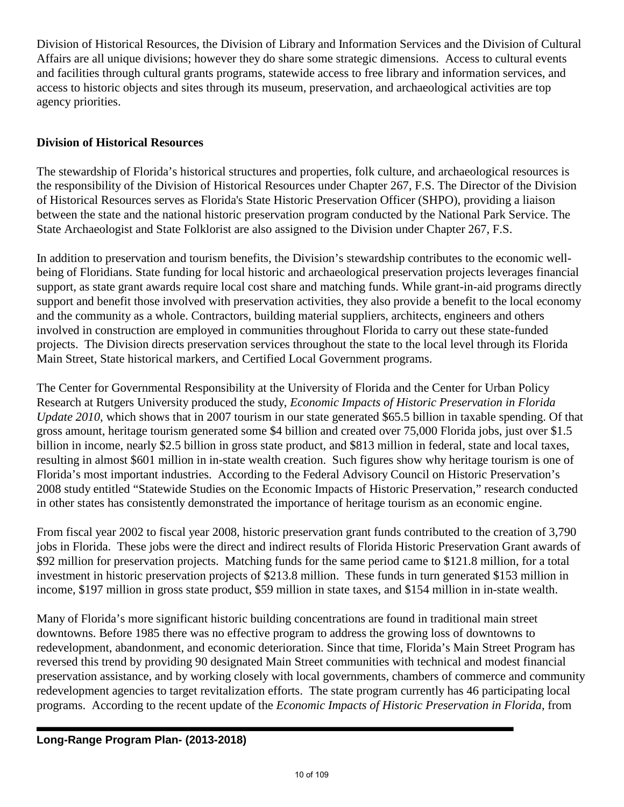Division of Historical Resources, the Division of Library and Information Services and the Division of Cultural Affairs are all unique divisions; however they do share some strategic dimensions. Access to cultural events and facilities through cultural grants programs, statewide access to free library and information services, and access to historic objects and sites through its museum, preservation, and archaeological activities are top agency priorities.

#### **Division of Historical Resources**

The stewardship of Florida's historical structures and properties, folk culture, and archaeological resources is the responsibility of the Division of Historical Resources under Chapter 267, F.S. The Director of the Division of Historical Resources serves as Florida's State Historic Preservation Officer (SHPO), providing a liaison between the state and the national historic preservation program conducted by the National Park Service. The State Archaeologist and State Folklorist are also assigned to the Division under Chapter 267, F.S.

In addition to preservation and tourism benefits, the Division's stewardship contributes to the economic wellbeing of Floridians. State funding for local historic and archaeological preservation projects leverages financial support, as state grant awards require local cost share and matching funds. While grant-in-aid programs directly support and benefit those involved with preservation activities, they also provide a benefit to the local economy and the community as a whole. Contractors, building material suppliers, architects, engineers and others involved in construction are employed in communities throughout Florida to carry out these state-funded projects. The Division directs preservation services throughout the state to the local level through its Florida Main Street, State historical markers, and Certified Local Government programs.

The Center for Governmental Responsibility at the University of Florida and the Center for Urban Policy Research at Rutgers University produced the study, *Economic Impacts of Historic Preservation in Florida Update 2010,* which shows that in 2007 tourism in our state generated \$65.5 billion in taxable spending. Of that gross amount, heritage tourism generated some \$4 billion and created over 75,000 Florida jobs, just over \$1.5 billion in income, nearly \$2.5 billion in gross state product, and \$813 million in federal, state and local taxes, resulting in almost \$601 million in in-state wealth creation. Such figures show why heritage tourism is one of Florida's most important industries. According to the Federal Advisory Council on Historic Preservation's 2008 study entitled "Statewide Studies on the Economic Impacts of Historic Preservation," research conducted in other states has consistently demonstrated the importance of heritage tourism as an economic engine.

From fiscal year 2002 to fiscal year 2008, historic preservation grant funds contributed to the creation of 3,790 jobs in Florida. These jobs were the direct and indirect results of Florida Historic Preservation Grant awards of \$92 million for preservation projects. Matching funds for the same period came to \$121.8 million, for a total investment in historic preservation projects of \$213.8 million. These funds in turn generated \$153 million in income, \$197 million in gross state product, \$59 million in state taxes, and \$154 million in in-state wealth.

Many of Florida's more significant historic building concentrations are found in traditional main street downtowns. Before 1985 there was no effective program to address the growing loss of downtowns to redevelopment, abandonment, and economic deterioration. Since that time, Florida's Main Street Program has reversed this trend by providing 90 designated Main Street communities with technical and modest financial preservation assistance, and by working closely with local governments, chambers of commerce and community redevelopment agencies to target revitalization efforts. The state program currently has 46 participating local programs. According to the recent update of the *Economic Impacts of Historic Preservation in Florida*, from

#### **Long-Range Program Plan- (2013-2018)**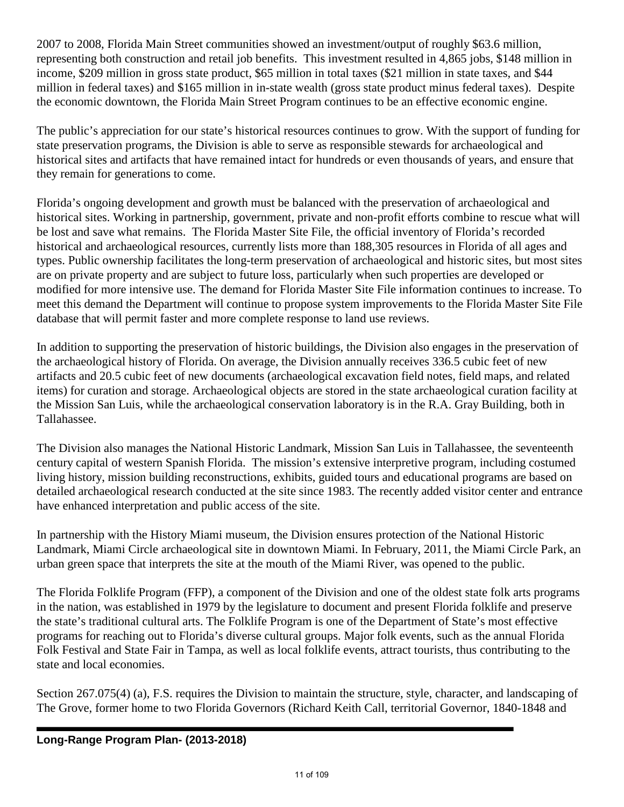2007 to 2008, Florida Main Street communities showed an investment/output of roughly \$63.6 million, representing both construction and retail job benefits. This investment resulted in 4,865 jobs, \$148 million in income, \$209 million in gross state product, \$65 million in total taxes (\$21 million in state taxes, and \$44 million in federal taxes) and \$165 million in in-state wealth (gross state product minus federal taxes). Despite the economic downtown, the Florida Main Street Program continues to be an effective economic engine.

The public's appreciation for our state's historical resources continues to grow. With the support of funding for state preservation programs, the Division is able to serve as responsible stewards for archaeological and historical sites and artifacts that have remained intact for hundreds or even thousands of years, and ensure that they remain for generations to come.

Florida's ongoing development and growth must be balanced with the preservation of archaeological and historical sites. Working in partnership, government, private and non-profit efforts combine to rescue what will be lost and save what remains. The Florida Master Site File, the official inventory of Florida's recorded historical and archaeological resources, currently lists more than 188,305 resources in Florida of all ages and types. Public ownership facilitates the long-term preservation of archaeological and historic sites, but most sites are on private property and are subject to future loss, particularly when such properties are developed or modified for more intensive use. The demand for Florida Master Site File information continues to increase. To meet this demand the Department will continue to propose system improvements to the Florida Master Site File database that will permit faster and more complete response to land use reviews.

In addition to supporting the preservation of historic buildings, the Division also engages in the preservation of the archaeological history of Florida. On average, the Division annually receives 336.5 cubic feet of new artifacts and 20.5 cubic feet of new documents (archaeological excavation field notes, field maps, and related items) for curation and storage. Archaeological objects are stored in the state archaeological curation facility at the Mission San Luis, while the archaeological conservation laboratory is in the R.A. Gray Building, both in Tallahassee.

The Division also manages the National Historic Landmark, Mission San Luis in Tallahassee, the seventeenth century capital of western Spanish Florida. The mission's extensive interpretive program, including costumed living history, mission building reconstructions, exhibits, guided tours and educational programs are based on detailed archaeological research conducted at the site since 1983. The recently added visitor center and entrance have enhanced interpretation and public access of the site.

In partnership with the History Miami museum, the Division ensures protection of the National Historic Landmark, Miami Circle archaeological site in downtown Miami. In February, 2011, the Miami Circle Park, an urban green space that interprets the site at the mouth of the Miami River, was opened to the public.

The Florida Folklife Program (FFP), a component of the Division and one of the oldest state folk arts programs in the nation, was established in 1979 by the legislature to document and present Florida folklife and preserve the state's traditional cultural arts. The Folklife Program is one of the Department of State's most effective programs for reaching out to Florida's diverse cultural groups. Major folk events, such as the annual Florida Folk Festival and State Fair in Tampa, as well as local folklife events, attract tourists, thus contributing to the state and local economies.

Section 267.075(4) (a), F.S. requires the Division to maintain the structure, style, character, and landscaping of The Grove, former home to two Florida Governors (Richard Keith Call, territorial Governor, 1840-1848 and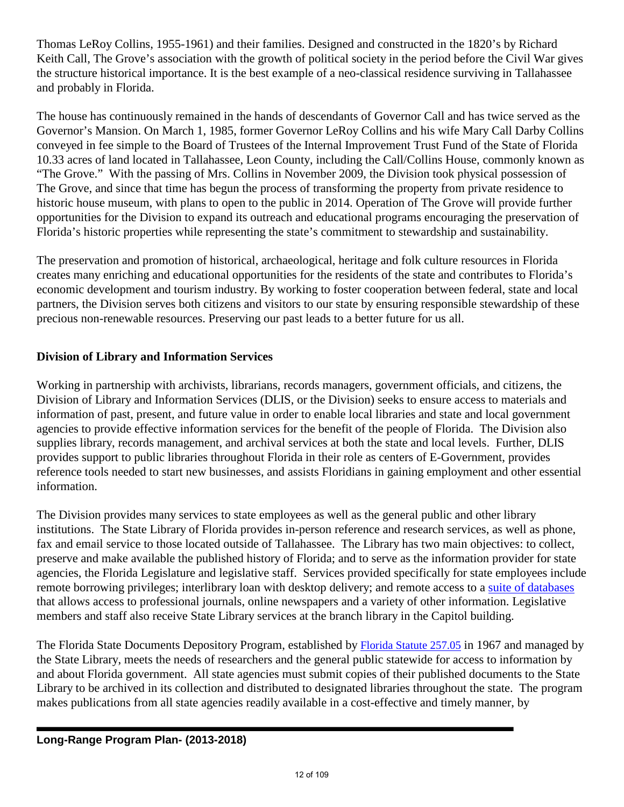Thomas LeRoy Collins, 1955-1961) and their families. Designed and constructed in the 1820's by Richard Keith Call, The Grove's association with the growth of political society in the period before the Civil War gives the structure historical importance. It is the best example of a neo-classical residence surviving in Tallahassee and probably in Florida.

The house has continuously remained in the hands of descendants of Governor Call and has twice served as the Governor's Mansion. On March 1, 1985, former Governor LeRoy Collins and his wife Mary Call Darby Collins conveyed in fee simple to the Board of Trustees of the Internal Improvement Trust Fund of the State of Florida 10.33 acres of land located in Tallahassee, Leon County, including the Call/Collins House, commonly known as "The Grove." With the passing of Mrs. Collins in November 2009, the Division took physical possession of The Grove, and since that time has begun the process of transforming the property from private residence to historic house museum, with plans to open to the public in 2014. Operation of The Grove will provide further opportunities for the Division to expand its outreach and educational programs encouraging the preservation of Florida's historic properties while representing the state's commitment to stewardship and sustainability.

The preservation and promotion of historical, archaeological, heritage and folk culture resources in Florida creates many enriching and educational opportunities for the residents of the state and contributes to Florida's economic development and tourism industry. By working to foster cooperation between federal, state and local partners, the Division serves both citizens and visitors to our state by ensuring responsible stewardship of these precious non-renewable resources. Preserving our past leads to a better future for us all.

#### **Division of Library and Information Services**

Working in partnership with archivists, librarians, records managers, government officials, and citizens, the Division of Library and Information Services (DLIS, or the Division) seeks to ensure access to materials and information of past, present, and future value in order to enable local libraries and state and local government agencies to provide effective information services for the benefit of the people of Florida. The Division also supplies library, records management, and archival services at both the state and local levels. Further, DLIS provides support to public libraries throughout Florida in their role as centers of E-Government, provides reference tools needed to start new businesses, and assists Floridians in gaining employment and other essential information.

The Division provides many services to state employees as well as the general public and other library institutions. The State Library of Florida provides in-person reference and research services, as well as phone, fax and email service to those located outside of Tallahassee. The Library has two main objectives: to collect, preserve and make available the published history of Florida; and to serve as the information provider for state agencies, the Florida Legislature and legislative staff. Services provided specifically for state employees include remote borrowing privileges; interlibrary loan with desktop delivery; and remote access to a [suite of databases](http://dlis.dos.state.fl.us/cgi-bin/services/index.cfm) that allows access to professional journals, online newspapers and a variety of other information. Legislative members and staff also receive State Library services at the branch library in the Capitol building.

The Florida State Documents Depository Program, established b[y Florida Statute 257.05](http://www.flsenate.gov/Laws/Statutes/2012/257.05) in 1967 and managed by the State Library, meets the needs of researchers and the general public statewide for access to information by and about Florida government. All state agencies must submit copies of their published documents to the State Library to be archived in its collection and distributed to designated libraries throughout the state. The program makes publications from all state agencies readily available in a cost-effective and timely manner, by

#### **Long-Range Program Plan- (2013-2018)**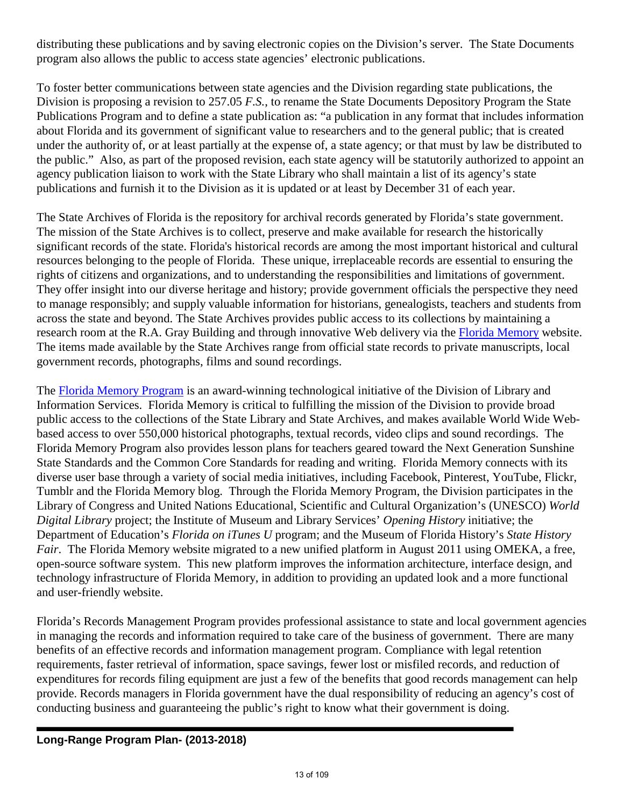distributing these publications and by saving electronic copies on the Division's server. The State Documents program also allows the public to access state agencies' electronic publications.

To foster better communications between state agencies and the Division regarding state publications, the Division is proposing a revision to 257.05 *F.S.*, to rename the State Documents Depository Program the State Publications Program and to define a state publication as: "a publication in any format that includes information about Florida and its government of significant value to researchers and to the general public; that is created under the authority of, or at least partially at the expense of, a state agency; or that must by law be distributed to the public." Also, as part of the proposed revision, each state agency will be statutorily authorized to appoint an agency publication liaison to work with the State Library who shall maintain a list of its agency's state publications and furnish it to the Division as it is updated or at least by December 31 of each year.

The State Archives of Florida is the repository for archival records generated by Florida's state government. The mission of the State Archives is to collect, preserve and make available for research the historically significant records of the state. Florida's historical records are among the most important historical and cultural resources belonging to the people of Florida. These unique, irreplaceable records are essential to ensuring the rights of citizens and organizations, and to understanding the responsibilities and limitations of government. They offer insight into our diverse heritage and history; provide government officials the perspective they need to manage responsibly; and supply valuable information for historians, genealogists, teachers and students from across the state and beyond. The State Archives provides public access to its collections by maintaining a research room at the R.A. Gray Building and through innovative Web delivery via the [Florida Memory](http://www.floridamemory.com/) website. The items made available by the State Archives range from official state records to private manuscripts, local government records, photographs, films and sound recordings.

The [Florida Memory Program](http://www.floridamemory.com/) is an award-winning technological initiative of the Division of Library and Information Services. Florida Memory is critical to fulfilling the mission of the Division to provide broad public access to the collections of the State Library and State Archives, and makes available World Wide Webbased access to over 550,000 historical photographs, textual records, video clips and sound recordings. The Florida Memory Program also provides lesson plans for teachers geared toward the Next Generation Sunshine State Standards and the Common Core Standards for reading and writing. Florida Memory connects with its diverse user base through a variety of social media initiatives, including Facebook, Pinterest, YouTube, Flickr, Tumblr and the Florida Memory blog. Through the Florida Memory Program, the Division participates in the Library of Congress and United Nations Educational, Scientific and Cultural Organization's (UNESCO) *World Digital Library* project; the Institute of Museum and Library Services' *Opening History* initiative; the Department of Education's *Florida on iTunes U* program; and the Museum of Florida History's *State History Fair*. The Florida Memory website migrated to a new unified platform in August 2011 using OMEKA, a free, open-source software system. This new platform improves the information architecture, interface design, and technology infrastructure of Florida Memory, in addition to providing an updated look and a more functional and user-friendly website.

Florida's Records Management Program provides professional assistance to state and local government agencies in managing the records and information required to take care of the business of government. There are many benefits of an effective records and information management program. Compliance with legal retention requirements, faster retrieval of information, space savings, fewer lost or misfiled records, and reduction of expenditures for records filing equipment are just a few of the benefits that good records management can help provide. Records managers in Florida government have the dual responsibility of reducing an agency's cost of conducting business and guaranteeing the public's right to know what their government is doing.

#### **Long-Range Program Plan- (2013-2018)**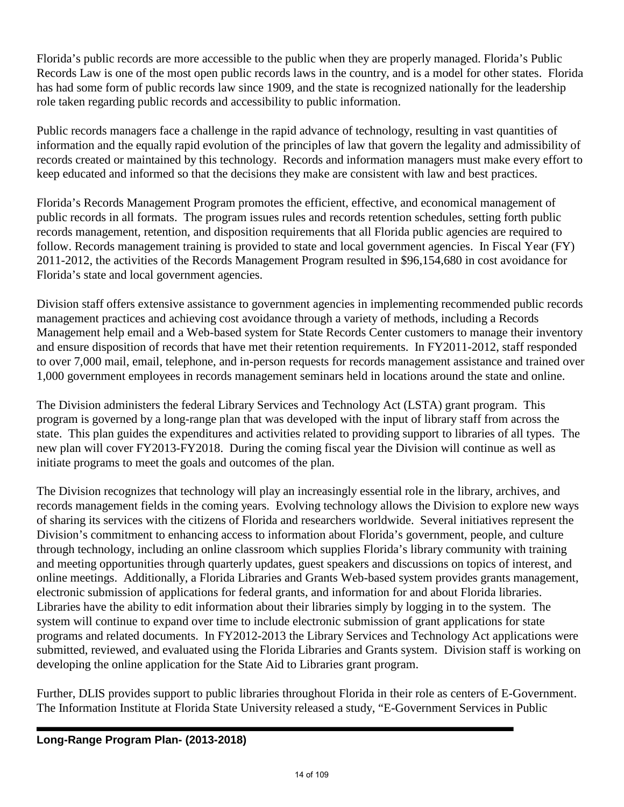Florida's public records are more accessible to the public when they are properly managed. Florida's Public Records Law is one of the most open public records laws in the country, and is a model for other states. Florida has had some form of public records law since 1909, and the state is recognized nationally for the leadership role taken regarding public records and accessibility to public information.

Public records managers face a challenge in the rapid advance of technology, resulting in vast quantities of information and the equally rapid evolution of the principles of law that govern the legality and admissibility of records created or maintained by this technology. Records and information managers must make every effort to keep educated and informed so that the decisions they make are consistent with law and best practices.

Florida's Records Management Program promotes the efficient, effective, and economical management of public records in all formats. The program issues rules and records retention schedules, setting forth public records management, retention, and disposition requirements that all Florida public agencies are required to follow. Records management training is provided to state and local government agencies. In Fiscal Year (FY) 2011-2012, the activities of the Records Management Program resulted in \$96,154,680 in cost avoidance for Florida's state and local government agencies.

Division staff offers extensive assistance to government agencies in implementing recommended public records management practices and achieving cost avoidance through a variety of methods, including a Records Management help email and a Web-based system for State Records Center customers to manage their inventory and ensure disposition of records that have met their retention requirements. In FY2011-2012, staff responded to over 7,000 mail, email, telephone, and in-person requests for records management assistance and trained over 1,000 government employees in records management seminars held in locations around the state and online.

The Division administers the federal Library Services and Technology Act (LSTA) grant program. This program is governed by a long-range plan that was developed with the input of library staff from across the state. This plan guides the expenditures and activities related to providing support to libraries of all types. The new plan will cover FY2013-FY2018. During the coming fiscal year the Division will continue as well as initiate programs to meet the goals and outcomes of the plan.

The Division recognizes that technology will play an increasingly essential role in the library, archives, and records management fields in the coming years. Evolving technology allows the Division to explore new ways of sharing its services with the citizens of Florida and researchers worldwide. Several initiatives represent the Division's commitment to enhancing access to information about Florida's government, people, and culture through technology, including an online classroom which supplies Florida's library community with training and meeting opportunities through quarterly updates, guest speakers and discussions on topics of interest, and online meetings. Additionally, a Florida Libraries and Grants Web-based system provides grants management, electronic submission of applications for federal grants, and information for and about Florida libraries. Libraries have the ability to edit information about their libraries simply by logging in to the system. The system will continue to expand over time to include electronic submission of grant applications for state programs and related documents. In FY2012-2013 the Library Services and Technology Act applications were submitted, reviewed, and evaluated using the Florida Libraries and Grants system. Division staff is working on developing the online application for the State Aid to Libraries grant program.

Further, DLIS provides support to public libraries throughout Florida in their role as centers of E-Government. The Information Institute at Florida State University released a study, "E-Government Services in Public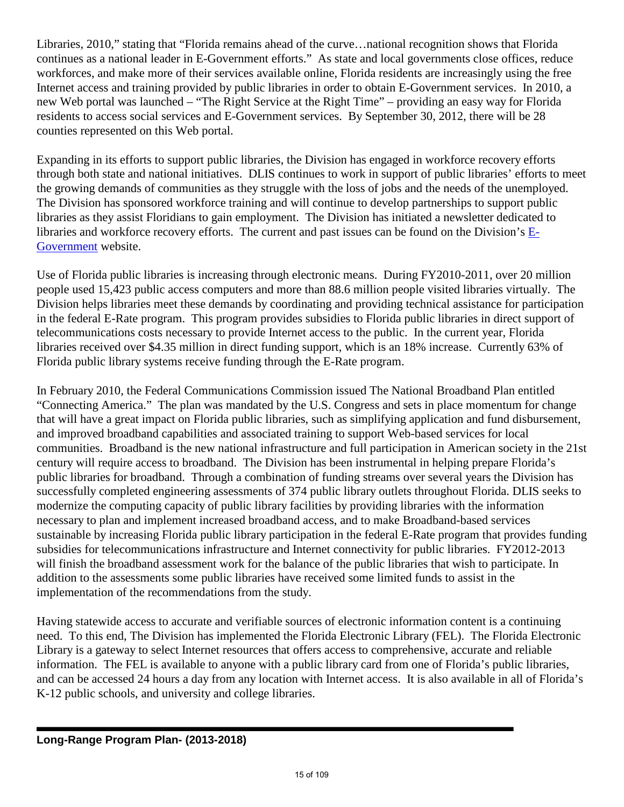Libraries, 2010," stating that "Florida remains ahead of the curve…national recognition shows that Florida continues as a national leader in E-Government efforts." As state and local governments close offices, reduce workforces, and make more of their services available online, Florida residents are increasingly using the free Internet access and training provided by public libraries in order to obtain E-Government services. In 2010, a new Web portal was launched – "The Right Service at the Right Time" – providing an easy way for Florida residents to access social services and E-Government services. By September 30, 2012, there will be 28 counties represented on this Web portal.

Expanding in its efforts to support public libraries, the Division has engaged in workforce recovery efforts through both state and national initiatives. DLIS continues to work in support of public libraries' efforts to meet the growing demands of communities as they struggle with the loss of jobs and the needs of the unemployed. The Division has sponsored workforce training and will continue to develop partnerships to support public libraries as they assist Floridians to gain employment. The Division has initiated a newsletter dedicated to libraries and workforce recovery efforts. The current and past issues can be found on the Division's [E-](http://www.egovflorida.org/)[Government](http://www.egovflorida.org/) website.

Use of Florida public libraries is increasing through electronic means. During FY2010-2011, over 20 million people used 15,423 public access computers and more than 88.6 million people visited libraries virtually. The Division helps libraries meet these demands by coordinating and providing technical assistance for participation in the federal E-Rate program. This program provides subsidies to Florida public libraries in direct support of telecommunications costs necessary to provide Internet access to the public. In the current year, Florida libraries received over \$4.35 million in direct funding support, which is an 18% increase. Currently 63% of Florida public library systems receive funding through the E-Rate program.

In February 2010, the Federal Communications Commission issued The National Broadband Plan entitled "Connecting America." The plan was mandated by the U.S. Congress and sets in place momentum for change that will have a great impact on Florida public libraries, such as simplifying application and fund disbursement, and improved broadband capabilities and associated training to support Web-based services for local communities. Broadband is the new national infrastructure and full participation in American society in the 21st century will require access to broadband. The Division has been instrumental in helping prepare Florida's public libraries for broadband. Through a combination of funding streams over several years the Division has successfully completed engineering assessments of 374 public library outlets throughout Florida. DLIS seeks to modernize the computing capacity of public library facilities by providing libraries with the information necessary to plan and implement increased broadband access, and to make Broadband-based services sustainable by increasing Florida public library participation in the federal E-Rate program that provides funding subsidies for telecommunications infrastructure and Internet connectivity for public libraries. FY2012-2013 will finish the broadband assessment work for the balance of the public libraries that wish to participate. In addition to the assessments some public libraries have received some limited funds to assist in the implementation of the recommendations from the study.

Having statewide access to accurate and verifiable sources of electronic information content is a continuing need. To this end, The Division has implemented the Florida Electronic Library (FEL). The Florida Electronic Library is a gateway to select Internet resources that offers access to comprehensive, accurate and reliable information. The FEL is available to anyone with a public library card from one of Florida's public libraries, and can be accessed 24 hours a day from any location with Internet access. It is also available in all of Florida's K-12 public schools, and university and college libraries.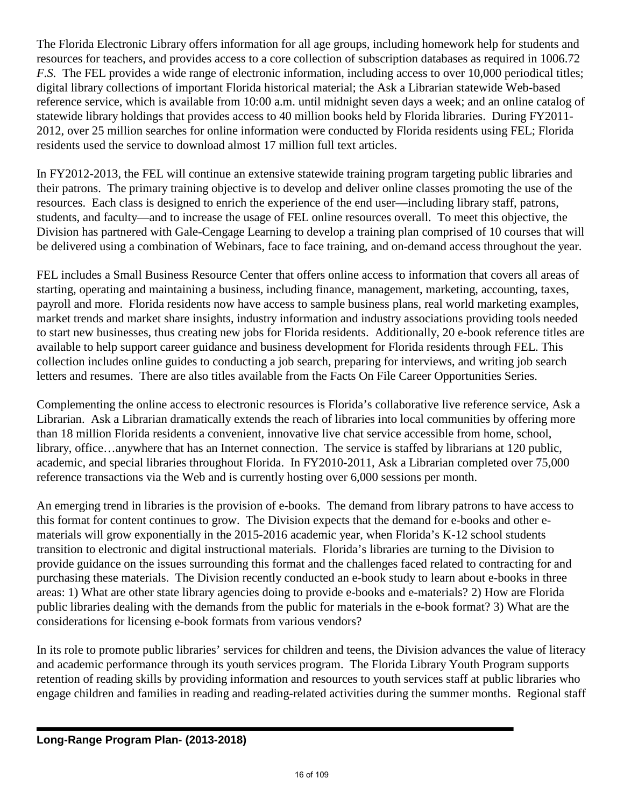The Florida Electronic Library offers information for all age groups, including homework help for students and resources for teachers, and provides access to a core collection of subscription databases as required in 1006.72 *F.S.* The FEL provides a wide range of electronic information, including access to over 10,000 periodical titles; digital library collections of important Florida historical material; the Ask a Librarian statewide Web-based reference service, which is available from 10:00 a.m. until midnight seven days a week; and an online catalog of statewide library holdings that provides access to 40 million books held by Florida libraries. During FY2011- 2012, over 25 million searches for online information were conducted by Florida residents using FEL; Florida residents used the service to download almost 17 million full text articles.

In FY2012-2013, the FEL will continue an extensive statewide training program targeting public libraries and their patrons. The primary training objective is to develop and deliver online classes promoting the use of the resources. Each class is designed to enrich the experience of the end user—including library staff, patrons, students, and faculty—and to increase the usage of FEL online resources overall. To meet this objective, the Division has partnered with Gale-Cengage Learning to develop a training plan comprised of 10 courses that will be delivered using a combination of Webinars, face to face training, and on-demand access throughout the year.

FEL includes a Small Business Resource Center that offers online access to information that covers all areas of starting, operating and maintaining a business, including finance, management, marketing, accounting, taxes, payroll and more. Florida residents now have access to sample business plans, real world marketing examples, market trends and market share insights, industry information and industry associations providing tools needed to start new businesses, thus creating new jobs for Florida residents. Additionally, 20 e-book reference titles are available to help support career guidance and business development for Florida residents through FEL. This collection includes online guides to conducting a job search, preparing for interviews, and writing job search letters and resumes. There are also titles available from the Facts On File Career Opportunities Series.

Complementing the online access to electronic resources is Florida's collaborative live reference service, Ask a Librarian. Ask a Librarian dramatically extends the reach of libraries into local communities by offering more than 18 million Florida residents a convenient, innovative live chat service accessible from home, school, library, office…anywhere that has an Internet connection. The service is staffed by librarians at 120 public, academic, and special libraries throughout Florida. In FY2010-2011, Ask a Librarian completed over 75,000 reference transactions via the Web and is currently hosting over 6,000 sessions per month.

An emerging trend in libraries is the provision of e-books. The demand from library patrons to have access to this format for content continues to grow. The Division expects that the demand for e-books and other ematerials will grow exponentially in the 2015-2016 academic year, when Florida's K-12 school students transition to electronic and digital instructional materials. Florida's libraries are turning to the Division to provide guidance on the issues surrounding this format and the challenges faced related to contracting for and purchasing these materials. The Division recently conducted an e-book study to learn about e-books in three areas: 1) What are other state library agencies doing to provide e-books and e-materials? 2) How are Florida public libraries dealing with the demands from the public for materials in the e-book format? 3) What are the considerations for licensing e-book formats from various vendors?

In its role to promote public libraries' services for children and teens, the Division advances the value of literacy and academic performance through its youth services program. The Florida Library Youth Program supports retention of reading skills by providing information and resources to youth services staff at public libraries who engage children and families in reading and reading-related activities during the summer months. Regional staff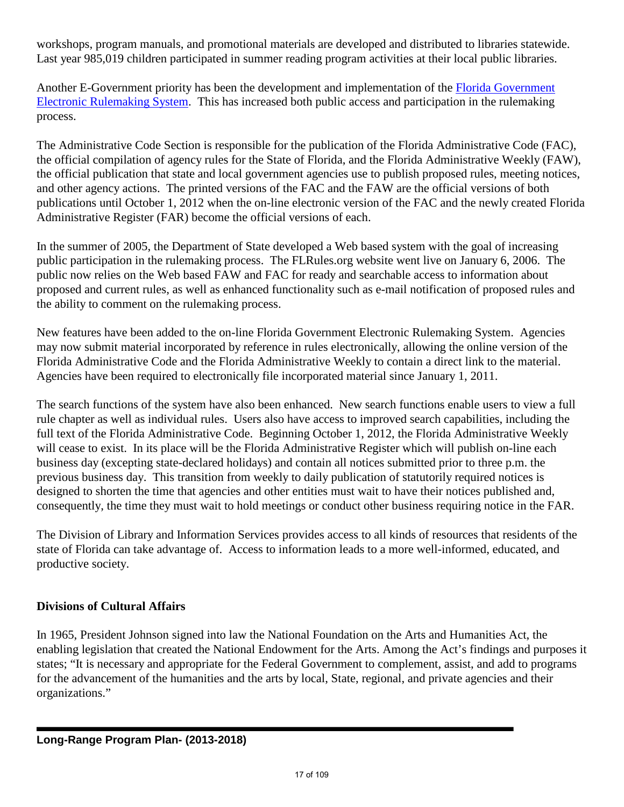workshops, program manuals, and promotional materials are developed and distributed to libraries statewide. Last year 985,019 children participated in summer reading program activities at their local public libraries.

Another E-Government priority has been the development and implementation of the [Florida Government](http://www.flrules.org/)  [Electronic Rulemaking System.](http://www.flrules.org/) This has increased both public access and participation in the rulemaking process.

The Administrative Code Section is responsible for the publication of the Florida Administrative Code (FAC), the official compilation of agency rules for the State of Florida, and the Florida Administrative Weekly (FAW), the official publication that state and local government agencies use to publish proposed rules, meeting notices, and other agency actions. The printed versions of the FAC and the FAW are the official versions of both publications until October 1, 2012 when the on-line electronic version of the FAC and the newly created Florida Administrative Register (FAR) become the official versions of each.

In the summer of 2005, the Department of State developed a Web based system with the goal of increasing public participation in the rulemaking process. The FLRules.org website went live on January 6, 2006. The public now relies on the Web based FAW and FAC for ready and searchable access to information about proposed and current rules, as well as enhanced functionality such as e-mail notification of proposed rules and the ability to comment on the rulemaking process.

New features have been added to the on-line Florida Government Electronic Rulemaking System. Agencies may now submit material incorporated by reference in rules electronically, allowing the online version of the Florida Administrative Code and the Florida Administrative Weekly to contain a direct link to the material. Agencies have been required to electronically file incorporated material since January 1, 2011.

The search functions of the system have also been enhanced. New search functions enable users to view a full rule chapter as well as individual rules. Users also have access to improved search capabilities, including the full text of the Florida Administrative Code. Beginning October 1, 2012, the Florida Administrative Weekly will cease to exist. In its place will be the Florida Administrative Register which will publish on-line each business day (excepting state-declared holidays) and contain all notices submitted prior to three p.m. the previous business day. This transition from weekly to daily publication of statutorily required notices is designed to shorten the time that agencies and other entities must wait to have their notices published and, consequently, the time they must wait to hold meetings or conduct other business requiring notice in the FAR.

The Division of Library and Information Services provides access to all kinds of resources that residents of the state of Florida can take advantage of. Access to information leads to a more well-informed, educated, and productive society.

#### **Divisions of Cultural Affairs**

In 1965, President Johnson signed into law the National Foundation on the Arts and Humanities Act, the enabling legislation that created the National Endowment for the Arts. Among the Act's findings and purposes it states; "It is necessary and appropriate for the Federal Government to complement, assist, and add to programs for the advancement of the humanities and the arts by local, State, regional, and private agencies and their organizations."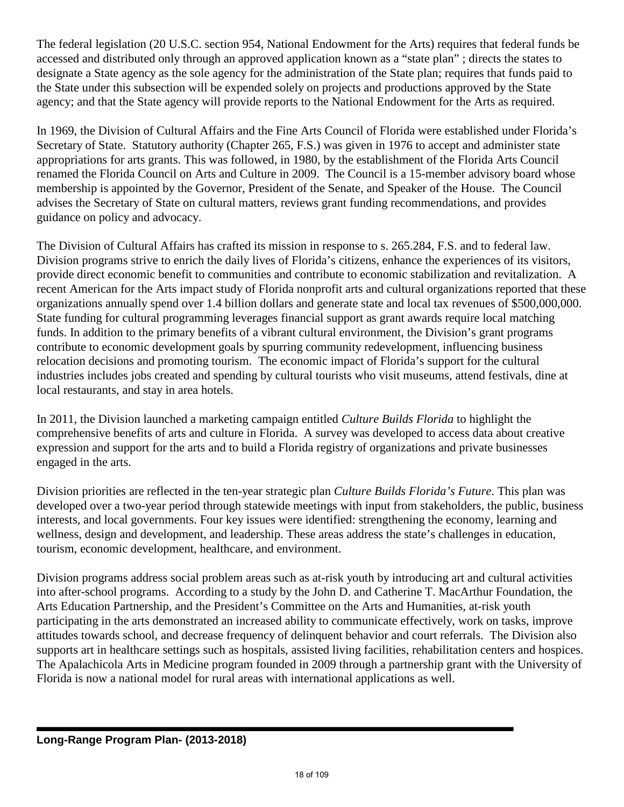The federal legislation (20 U.S.C. section 954, National Endowment for the Arts) requires that federal funds be accessed and distributed only through an approved application known as a "state plan" ; directs the states to designate a State agency as the sole agency for the administration of the State plan; requires that funds paid to the State under this subsection will be expended solely on projects and productions approved by the State agency; and that the State agency will provide reports to the National Endowment for the Arts as required.

In 1969, the Division of Cultural Affairs and the Fine Arts Council of Florida were established under Florida's Secretary of State. Statutory authority (Chapter 265, F.S.) was given in 1976 to accept and administer state appropriations for arts grants. This was followed, in 1980, by the establishment of the Florida Arts Council renamed the Florida Council on Arts and Culture in 2009. The Council is a 15-member advisory board whose membership is appointed by the Governor, President of the Senate, and Speaker of the House. The Council advises the Secretary of State on cultural matters, reviews grant funding recommendations, and provides guidance on policy and advocacy.

The Division of Cultural Affairs has crafted its mission in response to s. 265.284, F.S. and to federal law. Division programs strive to enrich the daily lives of Florida's citizens, enhance the experiences of its visitors, provide direct economic benefit to communities and contribute to economic stabilization and revitalization. A recent American for the Arts impact study of Florida nonprofit arts and cultural organizations reported that these organizations annually spend over 1.4 billion dollars and generate state and local tax revenues of \$500,000,000. State funding for cultural programming leverages financial support as grant awards require local matching funds. In addition to the primary benefits of a vibrant cultural environment, the Division's grant programs contribute to economic development goals by spurring community redevelopment, influencing business relocation decisions and promoting tourism. The economic impact of Florida's support for the cultural industries includes jobs created and spending by cultural tourists who visit museums, attend festivals, dine at local restaurants, and stay in area hotels.

In 2011, the Division launched a marketing campaign entitled *Culture Builds Florida* to highlight the comprehensive benefits of arts and culture in Florida. A survey was developed to access data about creative expression and support for the arts and to build a Florida registry of organizations and private businesses engaged in the arts.

Division priorities are reflected in the ten-year strategic plan *Culture Builds Florida's Future*. This plan was developed over a two-year period through statewide meetings with input from stakeholders, the public, business interests, and local governments. Four key issues were identified: strengthening the economy, learning and wellness, design and development, and leadership. These areas address the state's challenges in education, tourism, economic development, healthcare, and environment.

Division programs address social problem areas such as at-risk youth by introducing art and cultural activities into after-school programs. According to a study by the John D. and Catherine T. MacArthur Foundation, the Arts Education Partnership, and the President's Committee on the Arts and Humanities, at-risk youth participating in the arts demonstrated an increased ability to communicate effectively, work on tasks, improve attitudes towards school, and decrease frequency of delinquent behavior and court referrals. The Division also supports art in healthcare settings such as hospitals, assisted living facilities, rehabilitation centers and hospices. The Apalachicola Arts in Medicine program founded in 2009 through a partnership grant with the University of Florida is now a national model for rural areas with international applications as well.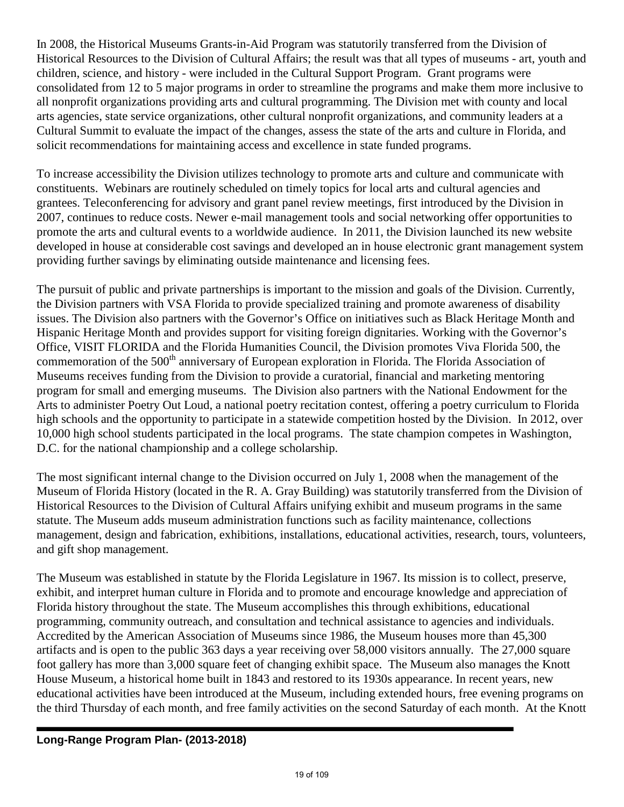In 2008, the Historical Museums Grants-in-Aid Program was statutorily transferred from the Division of Historical Resources to the Division of Cultural Affairs; the result was that all types of museums - art, youth and children, science, and history - were included in the Cultural Support Program. Grant programs were consolidated from 12 to 5 major programs in order to streamline the programs and make them more inclusive to all nonprofit organizations providing arts and cultural programming. The Division met with county and local arts agencies, state service organizations, other cultural nonprofit organizations, and community leaders at a Cultural Summit to evaluate the impact of the changes, assess the state of the arts and culture in Florida, and solicit recommendations for maintaining access and excellence in state funded programs.

To increase accessibility the Division utilizes technology to promote arts and culture and communicate with constituents. Webinars are routinely scheduled on timely topics for local arts and cultural agencies and grantees. Teleconferencing for advisory and grant panel review meetings, first introduced by the Division in 2007, continues to reduce costs. Newer e-mail management tools and social networking offer opportunities to promote the arts and cultural events to a worldwide audience. In 2011, the Division launched its new website developed in house at considerable cost savings and developed an in house electronic grant management system providing further savings by eliminating outside maintenance and licensing fees.

The pursuit of public and private partnerships is important to the mission and goals of the Division. Currently, the Division partners with VSA Florida to provide specialized training and promote awareness of disability issues. The Division also partners with the Governor's Office on initiatives such as Black Heritage Month and Hispanic Heritage Month and provides support for visiting foreign dignitaries. Working with the Governor's Office, VISIT FLORIDA and the Florida Humanities Council, the Division promotes Viva Florida 500, the commemoration of the 500<sup>th</sup> anniversary of European exploration in Florida. The Florida Association of Museums receives funding from the Division to provide a curatorial, financial and marketing mentoring program for small and emerging museums. The Division also partners with the National Endowment for the Arts to administer Poetry Out Loud, a national poetry recitation contest, offering a poetry curriculum to Florida high schools and the opportunity to participate in a statewide competition hosted by the Division. In 2012, over 10,000 high school students participated in the local programs. The state champion competes in Washington, D.C. for the national championship and a college scholarship.

The most significant internal change to the Division occurred on July 1, 2008 when the management of the Museum of Florida History (located in the R. A. Gray Building) was statutorily transferred from the Division of Historical Resources to the Division of Cultural Affairs unifying exhibit and museum programs in the same statute. The Museum adds museum administration functions such as facility maintenance, collections management, design and fabrication, exhibitions, installations, educational activities, research, tours, volunteers, and gift shop management.

The Museum was established in statute by the Florida Legislature in 1967. Its mission is to collect, preserve, exhibit, and interpret human culture in Florida and to promote and encourage knowledge and appreciation of Florida history throughout the state. The Museum accomplishes this through exhibitions, educational programming, community outreach, and consultation and technical assistance to agencies and individuals. Accredited by the American Association of Museums since 1986, the Museum houses more than 45,300 artifacts and is open to the public 363 days a year receiving over 58,000 visitors annually. The 27,000 square foot gallery has more than 3,000 square feet of changing exhibit space. The Museum also manages the Knott House Museum, a historical home built in 1843 and restored to its 1930s appearance. In recent years, new educational activities have been introduced at the Museum, including extended hours, free evening programs on the third Thursday of each month, and free family activities on the second Saturday of each month. At the Knott

#### **Long-Range Program Plan- (2013-2018)**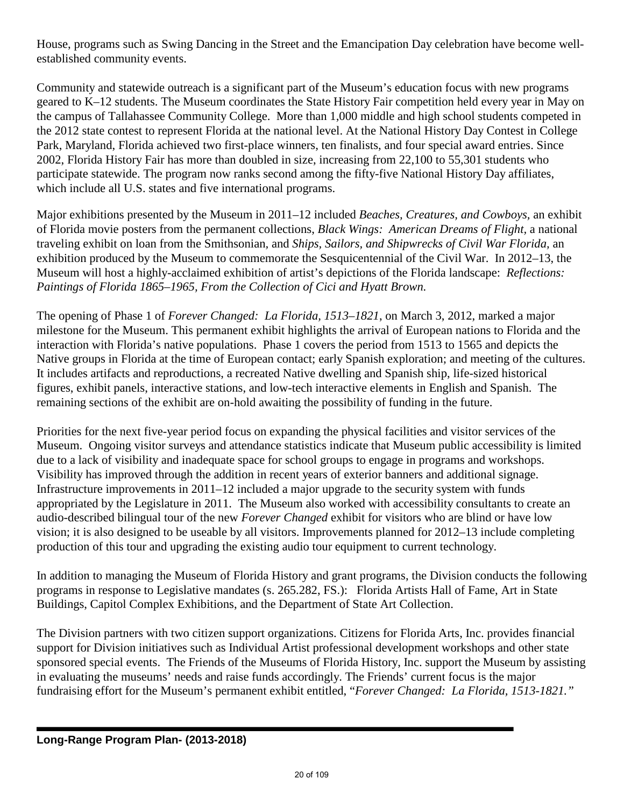House, programs such as Swing Dancing in the Street and the Emancipation Day celebration have become wellestablished community events.

Community and statewide outreach is a significant part of the Museum's education focus with new programs geared to K–12 students. The Museum coordinates the State History Fair competition held every year in May on the campus of Tallahassee Community College. More than 1,000 middle and high school students competed in the 2012 state contest to represent Florida at the national level. At the National History Day Contest in College Park, Maryland, Florida achieved two first-place winners, ten finalists, and four special award entries. Since 2002, Florida History Fair has more than doubled in size, increasing from 22,100 to 55,301 students who participate statewide. The program now ranks second among the fifty-five National History Day affiliates, which include all U.S. states and five international programs.

Major exhibitions presented by the Museum in 2011–12 included *Beaches, Creatures, and Cowboys,* an exhibit of Florida movie posters from the permanent collections, *Black Wings: American Dreams of Flight,* a national traveling exhibit on loan from the Smithsonian*,* and *Ships, Sailors, and Shipwrecks of Civil War Florida,* an exhibition produced by the Museum to commemorate the Sesquicentennial of the Civil War. In 2012–13, the Museum will host a highly-acclaimed exhibition of artist's depictions of the Florida landscape: *Reflections: Paintings of Florida 1865–1965, From the Collection of Cici and Hyatt Brown.*

The opening of Phase 1 of *Forever Changed: La Florida, 1513–1821*, on March 3, 2012, marked a major milestone for the Museum. This permanent exhibit highlights the arrival of European nations to Florida and the interaction with Florida's native populations. Phase 1 covers the period from 1513 to 1565 and depicts the Native groups in Florida at the time of European contact; early Spanish exploration; and meeting of the cultures. It includes artifacts and reproductions, a recreated Native dwelling and Spanish ship, life-sized historical figures, exhibit panels, interactive stations, and low-tech interactive elements in English and Spanish. The remaining sections of the exhibit are on-hold awaiting the possibility of funding in the future.

Priorities for the next five-year period focus on expanding the physical facilities and visitor services of the Museum. Ongoing visitor surveys and attendance statistics indicate that Museum public accessibility is limited due to a lack of visibility and inadequate space for school groups to engage in programs and workshops. Visibility has improved through the addition in recent years of exterior banners and additional signage. Infrastructure improvements in 2011–12 included a major upgrade to the security system with funds appropriated by the Legislature in 2011. The Museum also worked with accessibility consultants to create an audio-described bilingual tour of the new *Forever Changed* exhibit for visitors who are blind or have low vision; it is also designed to be useable by all visitors. Improvements planned for 2012–13 include completing production of this tour and upgrading the existing audio tour equipment to current technology.

In addition to managing the Museum of Florida History and grant programs, the Division conducts the following programs in response to Legislative mandates (s. 265.282, FS.): Florida Artists Hall of Fame, Art in State Buildings, Capitol Complex Exhibitions, and the Department of State Art Collection.

The Division partners with two citizen support organizations. Citizens for Florida Arts, Inc. provides financial support for Division initiatives such as Individual Artist professional development workshops and other state sponsored special events. The Friends of the Museums of Florida History, Inc. support the Museum by assisting in evaluating the museums' needs and raise funds accordingly. The Friends' current focus is the major fundraising effort for the Museum's permanent exhibit entitled, "*Forever Changed: La Florida, 1513-1821."*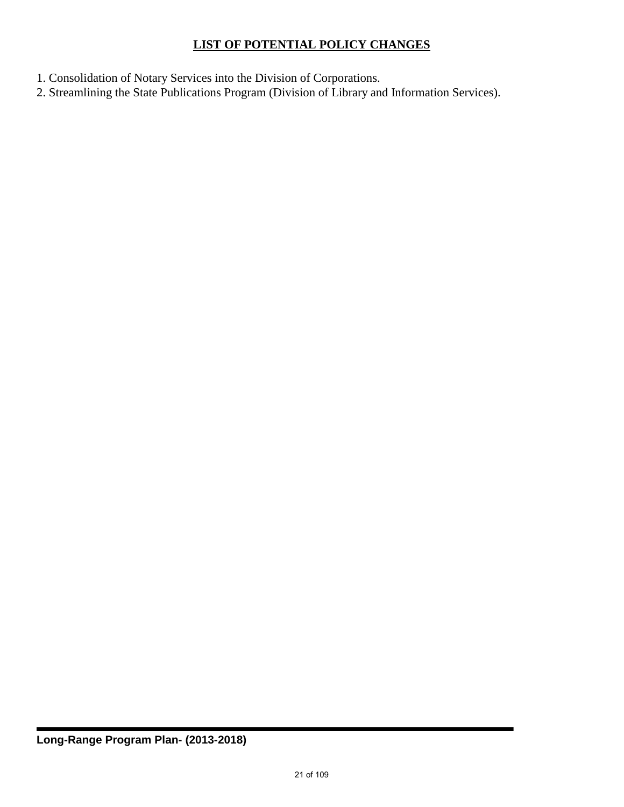#### **LIST OF POTENTIAL POLICY CHANGES**

- 1. Consolidation of Notary Services into the Division of Corporations.
- 2. Streamlining the State Publications Program (Division of Library and Information Services).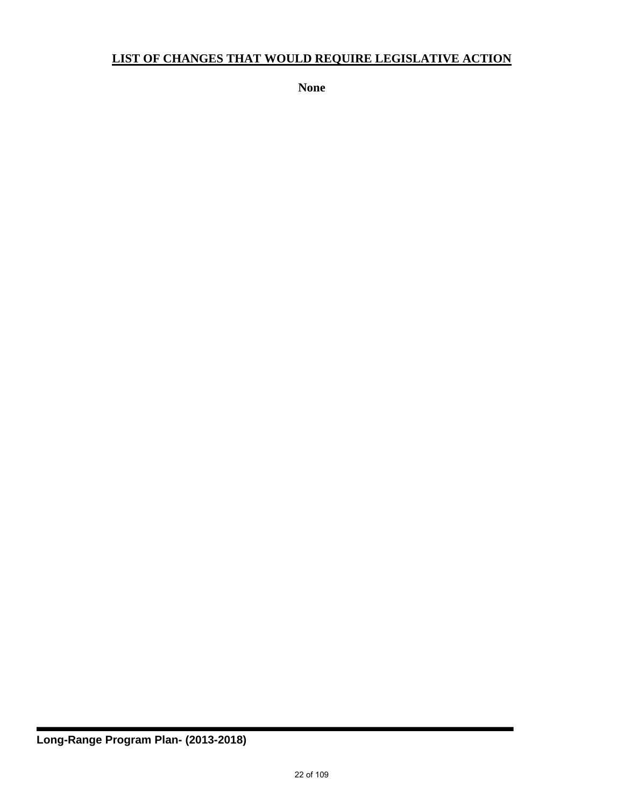#### **LIST OF CHANGES THAT WOULD REQUIRE LEGISLATIVE ACTION**

**None**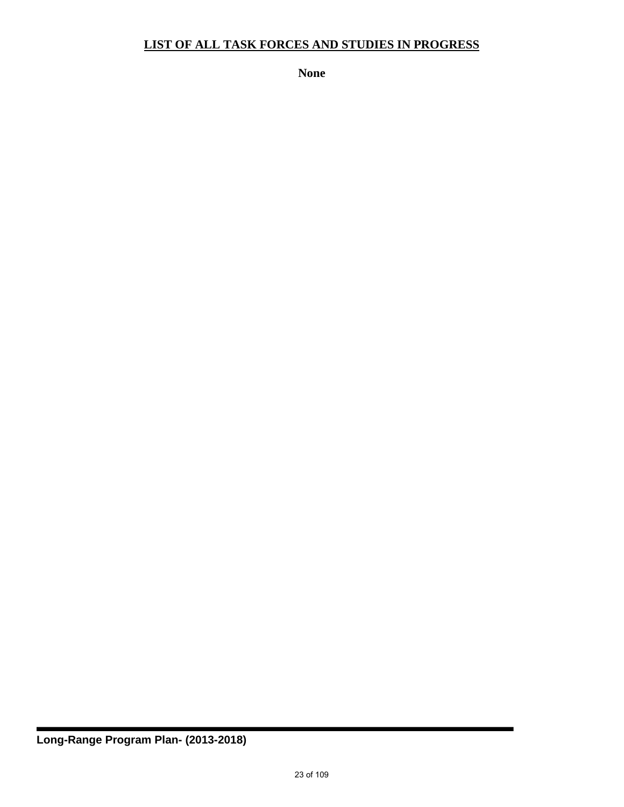#### **LIST OF ALL TASK FORCES AND STUDIES IN PROGRESS**

**None**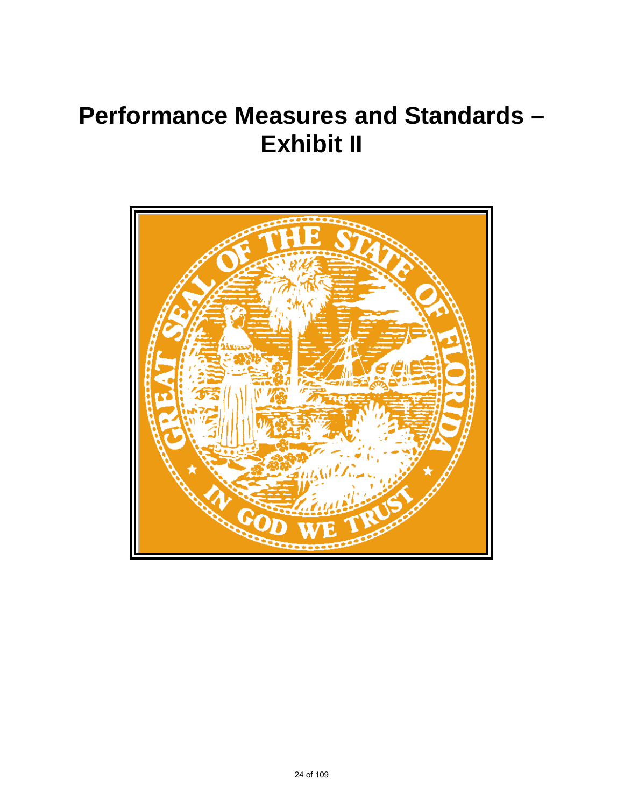## **Performance Measures and Standards – Exhibit II**

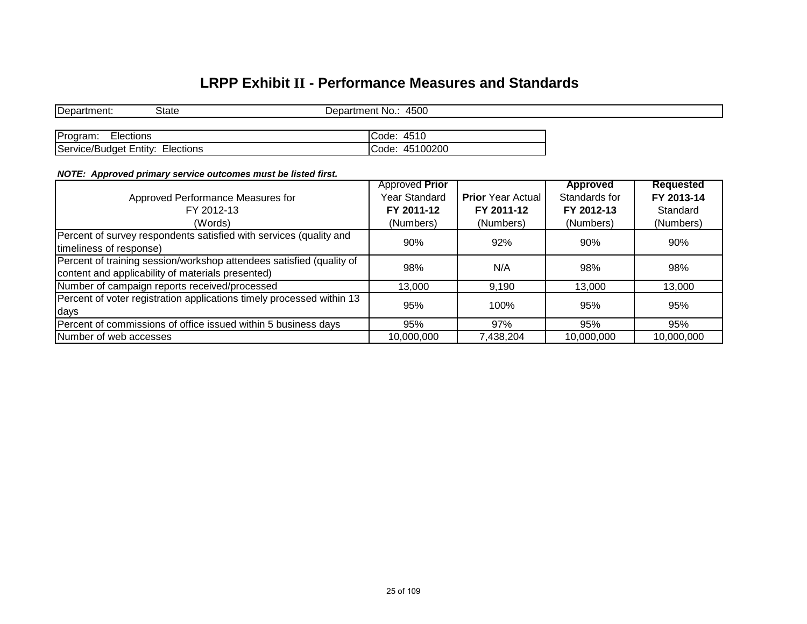| Department:                      | State | Department No.: 4500 |  |
|----------------------------------|-------|----------------------|--|
|                                  |       |                      |  |
| Program:<br>Elections            |       | Code: 4510           |  |
| Service/Budget Entity: Elections |       | Code: 45100200       |  |

|                                                                       | Approved Prior |                          | <b>Approved</b> | <b>Requested</b> |
|-----------------------------------------------------------------------|----------------|--------------------------|-----------------|------------------|
| Approved Performance Measures for                                     | Year Standard  | <b>Prior</b> Year Actual | Standards for   | FY 2013-14       |
| FY 2012-13                                                            | FY 2011-12     | FY 2011-12               | FY 2012-13      | Standard         |
| (Words)                                                               | (Numbers)      | (Numbers)                | (Numbers)       | (Numbers)        |
| Percent of survey respondents satisfied with services (quality and    | 90%            | 92%                      | 90%             | 90%              |
| timeliness of response)                                               |                |                          |                 |                  |
| Percent of training session/workshop attendees satisfied (quality of  | 98%            | N/A                      | 98%             | 98%              |
| content and applicability of materials presented)                     |                |                          |                 |                  |
| Number of campaign reports received/processed                         | 13,000         | 9,190                    | 13,000          | 13,000           |
| Percent of voter registration applications timely processed within 13 | 95%            | 100%                     | 95%             | 95%              |
| <b>Idays</b>                                                          |                |                          |                 |                  |
| Percent of commissions of office issued within 5 business days        | 95%            | 97%                      | 95%             | 95%              |
| Number of web accesses                                                | 10.000.000     | 7.438.204                | 10,000,000      | 10,000,000       |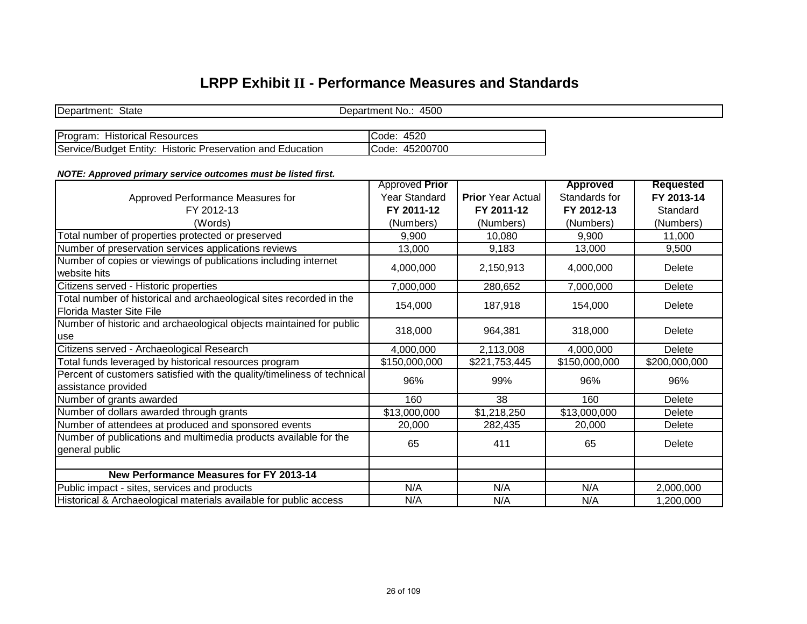| IDepartment: State                                         | Department No.: 4500 |  |
|------------------------------------------------------------|----------------------|--|
|                                                            |                      |  |
| : Historical Resources<br>IProgram:                        | 4520<br>Code:        |  |
| Service/Budget Entity: Historic Preservation and Education | Code: 45200700       |  |

|                                                                                                 | Approved <b>Prior</b> |                          | <b>Approved</b> | <b>Requested</b> |
|-------------------------------------------------------------------------------------------------|-----------------------|--------------------------|-----------------|------------------|
| Approved Performance Measures for                                                               | <b>Year Standard</b>  | <b>Prior</b> Year Actual | Standards for   | FY 2013-14       |
| FY 2012-13                                                                                      | FY 2011-12            | FY 2011-12               | FY 2012-13      | Standard         |
| (Words)                                                                                         | (Numbers)             | (Numbers)                | (Numbers)       | (Numbers)        |
| Total number of properties protected or preserved                                               | 9,900                 | 10,080                   | 9,900           | 11,000           |
| Number of preservation services applications reviews                                            | 13,000                | 9,183                    | 13,000          | 9,500            |
| Number of copies or viewings of publications including internet<br>website hits                 | 4,000,000             | 2,150,913                | 4,000,000       | Delete           |
| Citizens served - Historic properties                                                           | 7,000,000             | 280,652                  | 7,000,000       | Delete           |
| Total number of historical and archaeological sites recorded in the<br>Florida Master Site File | 154,000               | 187,918                  | 154,000         | Delete           |
| Number of historic and archaeological objects maintained for public<br>use                      | 318,000               | 964,381                  | 318,000         | Delete           |
| Citizens served - Archaeological Research                                                       | 4,000,000             | 2,113,008                | 4,000,000       | Delete           |
| Total funds leveraged by historical resources program                                           | \$150,000,000         | \$221,753,445            | \$150,000,000   | \$200,000,000    |
| Percent of customers satisfied with the quality/timeliness of technical<br>assistance provided  | 96%                   | 99%                      | 96%             | 96%              |
| Number of grants awarded                                                                        | 160                   | 38                       | 160             | Delete           |
| Number of dollars awarded through grants                                                        | \$13,000,000          | \$1,218,250              | \$13,000,000    | Delete           |
| Number of attendees at produced and sponsored events                                            | 20,000                | 282,435                  | 20,000          | Delete           |
| Number of publications and multimedia products available for the<br>general public              | 65                    | 411                      | 65              | Delete           |
|                                                                                                 |                       |                          |                 |                  |
| New Performance Measures for FY 2013-14                                                         |                       |                          |                 |                  |
| Public impact - sites, services and products                                                    | N/A                   | N/A                      | N/A             | 2,000,000        |
| Historical & Archaeological materials available for public access                               | N/A                   | N/A                      | N/A             | 1,200,000        |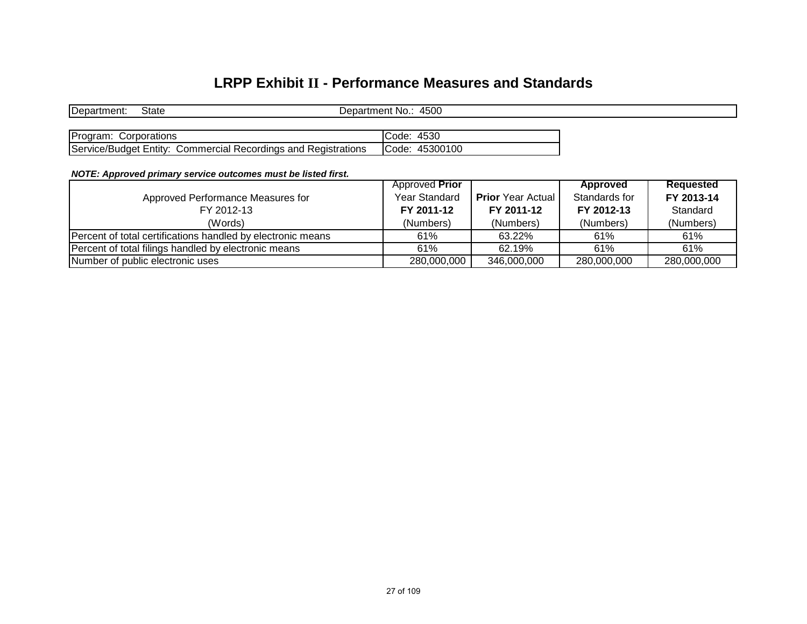| Department:<br>State                                           | Department No.: 4500 |
|----------------------------------------------------------------|----------------------|
|                                                                |                      |
| Program: Corporations                                          | <b>Code: 4530</b>    |
| Service/Budget Entity: Commercial Recordings and Registrations | Code: 45300100       |

|                                                             | Approved Prior |                          | Approved      | Requested   |
|-------------------------------------------------------------|----------------|--------------------------|---------------|-------------|
| Approved Performance Measures for                           | Year Standard  | <b>Prior</b> Year Actual | Standards for | FY 2013-14  |
| FY 2012-13                                                  | FY 2011-12     | FY 2011-12               | FY 2012-13    | Standard    |
| (Words)                                                     | (Numbers)      | (Numbers)                | (Numbers)     | (Numbers)   |
| Percent of total certifications handled by electronic means | 61%            | 63.22%                   | 61%           | 61%         |
| Percent of total filings handled by electronic means        | 61%            | 62.19%                   | 61%           | 61%         |
| Number of public electronic uses                            | 280,000,000    | 346,000,000              | 280,000,000   | 280,000,000 |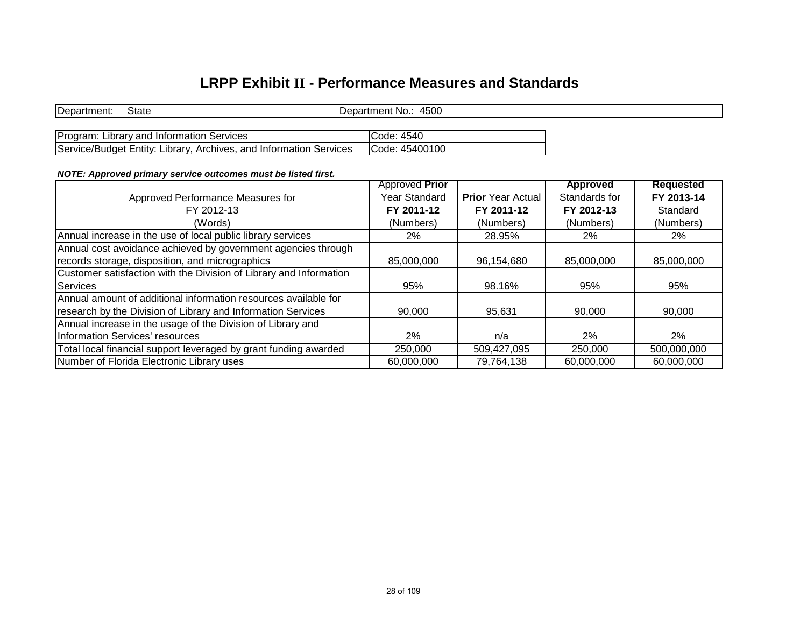| Department: | State                                                              | Department No.: 4500 |                |  |
|-------------|--------------------------------------------------------------------|----------------------|----------------|--|
|             |                                                                    |                      |                |  |
|             | <b>Program: Library and Information Services</b>                   |                      | Code: 4540     |  |
|             | Service/Budget Entity: Library, Archives, and Information Services |                      | Code: 45400100 |  |

|                                                                    | Approved Prior       |                          | <b>Approved</b> | <b>Requested</b> |
|--------------------------------------------------------------------|----------------------|--------------------------|-----------------|------------------|
| Approved Performance Measures for                                  | <b>Year Standard</b> | <b>Prior</b> Year Actual | Standards for   | FY 2013-14       |
| FY 2012-13                                                         | FY 2011-12           | FY 2011-12               | FY 2012-13      | Standard         |
| (Words)                                                            | (Numbers)            | (Numbers)                | (Numbers)       | (Numbers)        |
| Annual increase in the use of local public library services        | 2%                   | 28.95%                   | 2%              | 2%               |
| Annual cost avoidance achieved by government agencies through      |                      |                          |                 |                  |
| records storage, disposition, and micrographics                    | 85,000,000           | 96,154,680               | 85,000,000      | 85,000,000       |
| Customer satisfaction with the Division of Library and Information |                      |                          |                 |                  |
| Services                                                           | 95%                  | 98.16%                   | 95%             | 95%              |
| Annual amount of additional information resources available for    |                      |                          |                 |                  |
| research by the Division of Library and Information Services       | 90.000               | 95,631                   | 90,000          | 90,000           |
| Annual increase in the usage of the Division of Library and        |                      |                          |                 |                  |
| Information Services' resources                                    | $2\%$                | n/a                      | 2%              | $2\%$            |
| Total local financial support leveraged by grant funding awarded   | 250,000              | 509,427,095              | 250,000         | 500,000,000      |
| Number of Florida Electronic Library uses                          | 60,000,000           | 79,764,138               | 60,000,000      | 60,000,000       |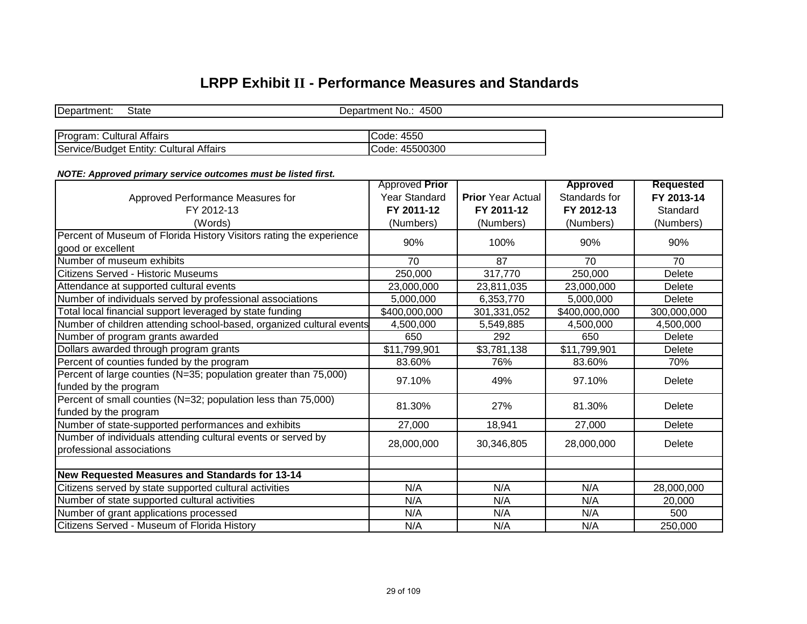| Department:<br>State                    | Department No.: 4500 |  |  |
|-----------------------------------------|----------------------|--|--|
| Program: Cultural Affairs               | Code: 4550           |  |  |
| Service/Budget Entity: Cultural Affairs | Code: 45500300       |  |  |

|                                                                      | Approved <b>Prior</b> |                          | <b>Approved</b>      | <b>Requested</b> |
|----------------------------------------------------------------------|-----------------------|--------------------------|----------------------|------------------|
| Approved Performance Measures for                                    | <b>Year Standard</b>  | <b>Prior</b> Year Actual | Standards for        | FY 2013-14       |
| FY 2012-13                                                           | FY 2011-12            | FY 2011-12               | FY 2012-13           | Standard         |
| (Words)                                                              | (Numbers)             | (Numbers)                | (Numbers)            | (Numbers)        |
| Percent of Museum of Florida History Visitors rating the experience  | 90%                   | 100%                     | 90%                  |                  |
| good or excellent                                                    |                       |                          |                      | 90%              |
| Number of museum exhibits                                            | 70                    | 87                       | 70                   | 70               |
| Citizens Served - Historic Museums                                   | 250,000               | 317,770                  | 250,000              | <b>Delete</b>    |
| Attendance at supported cultural events                              | 23,000,000            | 23,811,035               | 23,000,000           | Delete           |
| Number of individuals served by professional associations            | 5,000,000             | 6,353,770                | 5,000,000            | Delete           |
| Total local financial support leveraged by state funding             | \$400,000,000         | 301,331,052              | $\sqrt{400,000,000}$ | 300,000,000      |
| Number of children attending school-based, organized cultural events | 4,500,000             | 5,549,885                | 4,500,000            | 4,500,000        |
| Number of program grants awarded                                     | 650                   | 292                      | 650                  | Delete           |
| Dollars awarded through program grants                               | \$11,799,901          | \$3,781,138              | \$11,799,901         | Delete           |
| Percent of counties funded by the program                            | 83.60%                | 76%                      | 83.60%               | 70%              |
| Percent of large counties (N=35; population greater than 75,000)     | 97.10%                | 49%                      | 97.10%               | Delete           |
| funded by the program                                                |                       |                          |                      |                  |
| Percent of small counties (N=32; population less than 75,000)        | 81.30%                | 27%                      | 81.30%               | <b>Delete</b>    |
| funded by the program                                                |                       |                          |                      |                  |
| Number of state-supported performances and exhibits                  | 27,000                | 18,941                   | 27,000               | Delete           |
| Number of individuals attending cultural events or served by         | 28,000,000            | 30,346,805               | 28,000,000           | Delete           |
| professional associations                                            |                       |                          |                      |                  |
|                                                                      |                       |                          |                      |                  |
| New Requested Measures and Standards for 13-14                       |                       |                          |                      |                  |
| Citizens served by state supported cultural activities               | N/A                   | N/A                      | N/A                  | 28,000,000       |
| Number of state supported cultural activities                        | N/A                   | N/A                      | N/A                  | 20,000           |
| Number of grant applications processed                               | N/A                   | N/A                      | N/A                  | 500              |
| Citizens Served - Museum of Florida History                          | N/A                   | N/A                      | N/A                  | 250,000          |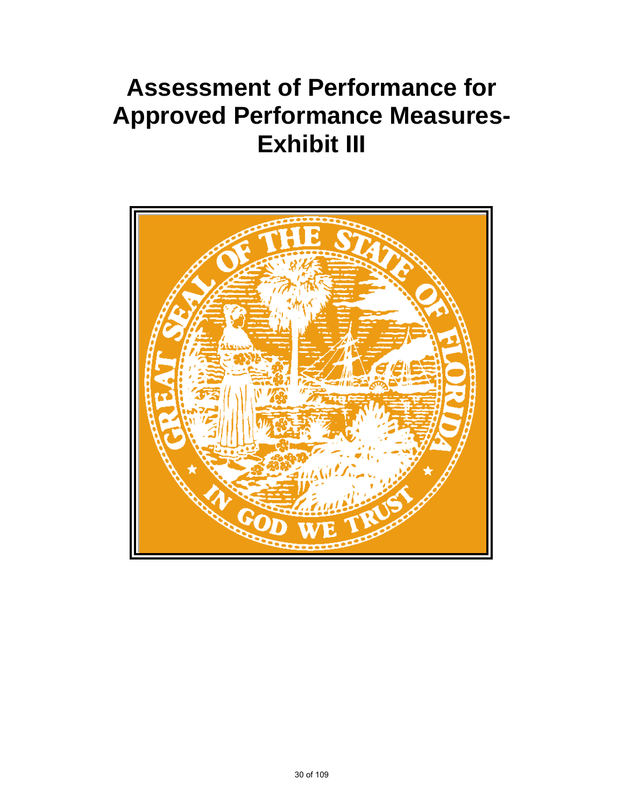## **Assessment of Performance for Approved Performance Measures-Exhibit III**

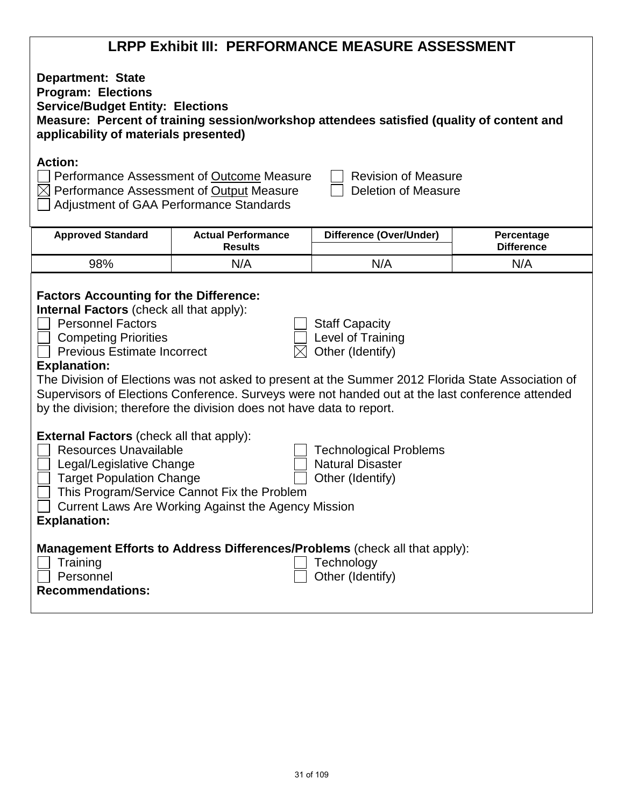| <b>Department: State</b><br><b>Program: Elections</b><br><b>Service/Budget Entity: Elections</b><br>Measure: Percent of training session/workshop attendees satisfied (quality of content and<br>applicability of materials presented)                                                                                                                                                                                                                                                                                                                                        |                                             |                         |                                 |  |
|-------------------------------------------------------------------------------------------------------------------------------------------------------------------------------------------------------------------------------------------------------------------------------------------------------------------------------------------------------------------------------------------------------------------------------------------------------------------------------------------------------------------------------------------------------------------------------|---------------------------------------------|-------------------------|---------------------------------|--|
| <b>Action:</b><br>Performance Assessment of Outcome Measure<br><b>Revision of Measure</b><br>Performance Assessment of Output Measure<br><b>Deletion of Measure</b><br>$\boxtimes$<br>Adjustment of GAA Performance Standards                                                                                                                                                                                                                                                                                                                                                 |                                             |                         |                                 |  |
| <b>Approved Standard</b>                                                                                                                                                                                                                                                                                                                                                                                                                                                                                                                                                      | <b>Actual Performance</b><br><b>Results</b> | Difference (Over/Under) | Percentage<br><b>Difference</b> |  |
| 98%                                                                                                                                                                                                                                                                                                                                                                                                                                                                                                                                                                           | N/A                                         | N/A                     | N/A                             |  |
| <b>Factors Accounting for the Difference:</b><br><b>Internal Factors</b> (check all that apply):<br><b>Personnel Factors</b><br><b>Staff Capacity</b><br>Level of Training<br><b>Competing Priorities</b><br>Other (Identify)<br><b>Previous Estimate Incorrect</b><br><b>Explanation:</b><br>The Division of Elections was not asked to present at the Summer 2012 Florida State Association of<br>Supervisors of Elections Conference. Surveys were not handed out at the last conference attended<br>by the division; therefore the division does not have data to report. |                                             |                         |                                 |  |
| <b>External Factors (check all that apply):</b><br><b>Resources Unavailable</b><br><b>Technological Problems</b><br><b>Natural Disaster</b><br>Legal/Legislative Change<br><b>Target Population Change</b><br>Other (Identify)<br>This Program/Service Cannot Fix the Problem<br>Current Laws Are Working Against the Agency Mission<br><b>Explanation:</b>                                                                                                                                                                                                                   |                                             |                         |                                 |  |
| Management Efforts to Address Differences/Problems (check all that apply):<br>Training<br>Technology<br>Personnel<br>Other (Identify)<br><b>Recommendations:</b>                                                                                                                                                                                                                                                                                                                                                                                                              |                                             |                         |                                 |  |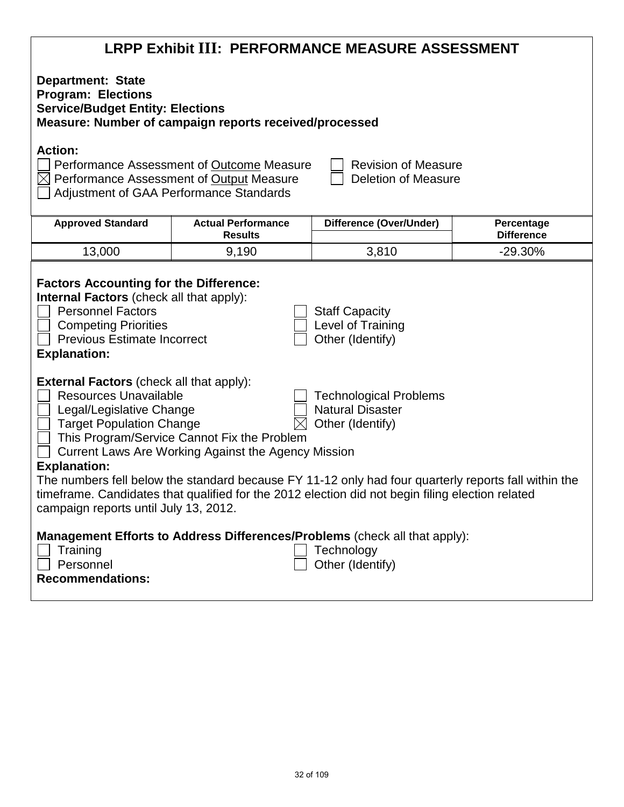| <b>LRPP Exhibit III: PERFORMANCE MEASURE ASSESSMENT</b>                                                                                                                                                                                                                                                                                                                                                                                                                                                                                                                                                                 |                                             |                         |                                 |  |
|-------------------------------------------------------------------------------------------------------------------------------------------------------------------------------------------------------------------------------------------------------------------------------------------------------------------------------------------------------------------------------------------------------------------------------------------------------------------------------------------------------------------------------------------------------------------------------------------------------------------------|---------------------------------------------|-------------------------|---------------------------------|--|
| <b>Department: State</b><br><b>Program: Elections</b><br><b>Service/Budget Entity: Elections</b><br>Measure: Number of campaign reports received/processed                                                                                                                                                                                                                                                                                                                                                                                                                                                              |                                             |                         |                                 |  |
| <b>Action:</b><br>Performance Assessment of Outcome Measure<br><b>Revision of Measure</b><br>$\boxtimes$ Performance Assessment of Output Measure<br><b>Deletion of Measure</b><br>Adjustment of GAA Performance Standards                                                                                                                                                                                                                                                                                                                                                                                              |                                             |                         |                                 |  |
| <b>Approved Standard</b>                                                                                                                                                                                                                                                                                                                                                                                                                                                                                                                                                                                                | <b>Actual Performance</b><br><b>Results</b> | Difference (Over/Under) | Percentage<br><b>Difference</b> |  |
| 13,000                                                                                                                                                                                                                                                                                                                                                                                                                                                                                                                                                                                                                  | 9,190                                       | 3,810                   | $-29.30%$                       |  |
| <b>Factors Accounting for the Difference:</b><br><b>Internal Factors</b> (check all that apply):<br><b>Personnel Factors</b><br><b>Staff Capacity</b><br>Level of Training<br><b>Competing Priorities</b><br><b>Previous Estimate Incorrect</b><br>Other (Identify)<br><b>Explanation:</b>                                                                                                                                                                                                                                                                                                                              |                                             |                         |                                 |  |
| <b>External Factors (check all that apply):</b><br><b>Resources Unavailable</b><br><b>Technological Problems</b><br><b>Natural Disaster</b><br>Legal/Legislative Change<br><b>Target Population Change</b><br>Other (Identify)<br>IХI<br>This Program/Service Cannot Fix the Problem<br>Current Laws Are Working Against the Agency Mission<br><b>Explanation:</b><br>The numbers fell below the standard because FY 11-12 only had four quarterly reports fall within the<br>timeframe. Candidates that qualified for the 2012 election did not begin filing election related<br>campaign reports until July 13, 2012. |                                             |                         |                                 |  |
| Management Efforts to Address Differences/Problems (check all that apply):<br>Training<br>Technology<br>Other (Identify)<br>Personnel<br><b>Recommendations:</b>                                                                                                                                                                                                                                                                                                                                                                                                                                                        |                                             |                         |                                 |  |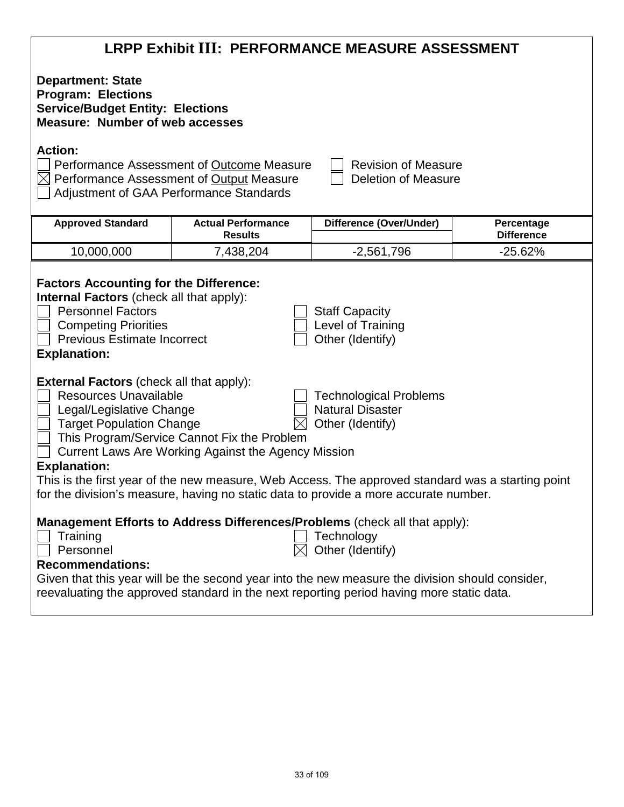| LRPP Exhibit III: PERFORMANCE MEASURE ASSESSMENT                                                                                                                                                                                                                                                                                                                                                                                                                                                                                                                                                                                                                                                                                                                                                                                                              |                                             |                         |                                 |  |
|---------------------------------------------------------------------------------------------------------------------------------------------------------------------------------------------------------------------------------------------------------------------------------------------------------------------------------------------------------------------------------------------------------------------------------------------------------------------------------------------------------------------------------------------------------------------------------------------------------------------------------------------------------------------------------------------------------------------------------------------------------------------------------------------------------------------------------------------------------------|---------------------------------------------|-------------------------|---------------------------------|--|
| <b>Department: State</b><br><b>Program: Elections</b><br><b>Service/Budget Entity: Elections</b><br><b>Measure: Number of web accesses</b>                                                                                                                                                                                                                                                                                                                                                                                                                                                                                                                                                                                                                                                                                                                    |                                             |                         |                                 |  |
| <b>Action:</b><br>Performance Assessment of Outcome Measure<br><b>Revision of Measure</b><br><b>Deletion of Measure</b><br>$\boxtimes$ Performance Assessment of Output Measure<br>Adjustment of GAA Performance Standards                                                                                                                                                                                                                                                                                                                                                                                                                                                                                                                                                                                                                                    |                                             |                         |                                 |  |
| <b>Approved Standard</b>                                                                                                                                                                                                                                                                                                                                                                                                                                                                                                                                                                                                                                                                                                                                                                                                                                      | <b>Actual Performance</b><br><b>Results</b> | Difference (Over/Under) | Percentage<br><b>Difference</b> |  |
| 10,000,000                                                                                                                                                                                                                                                                                                                                                                                                                                                                                                                                                                                                                                                                                                                                                                                                                                                    | 7,438,204                                   | $-2,561,796$            | $-25.62%$                       |  |
| <b>Factors Accounting for the Difference:</b><br><b>Internal Factors</b> (check all that apply):<br><b>Personnel Factors</b><br><b>Staff Capacity</b><br><b>Competing Priorities</b><br>Level of Training<br><b>Previous Estimate Incorrect</b><br>Other (Identify)<br><b>Explanation:</b><br><b>External Factors</b> (check all that apply):<br><b>Resources Unavailable</b><br><b>Technological Problems</b><br><b>Natural Disaster</b><br>Legal/Legislative Change<br><b>Target Population Change</b><br>Other (Identify)<br>This Program/Service Cannot Fix the Problem<br><b>Current Laws Are Working Against the Agency Mission</b><br><b>Explanation:</b><br>This is the first year of the new measure, Web Access. The approved standard was a starting point<br>for the division's measure, having no static data to provide a more accurate number. |                                             |                         |                                 |  |
| Management Efforts to Address Differences/Problems (check all that apply):<br>Technology<br>Training<br>Other (Identify)<br>Personnel<br><b>Recommendations:</b><br>Given that this year will be the second year into the new measure the division should consider,<br>reevaluating the approved standard in the next reporting period having more static data.                                                                                                                                                                                                                                                                                                                                                                                                                                                                                               |                                             |                         |                                 |  |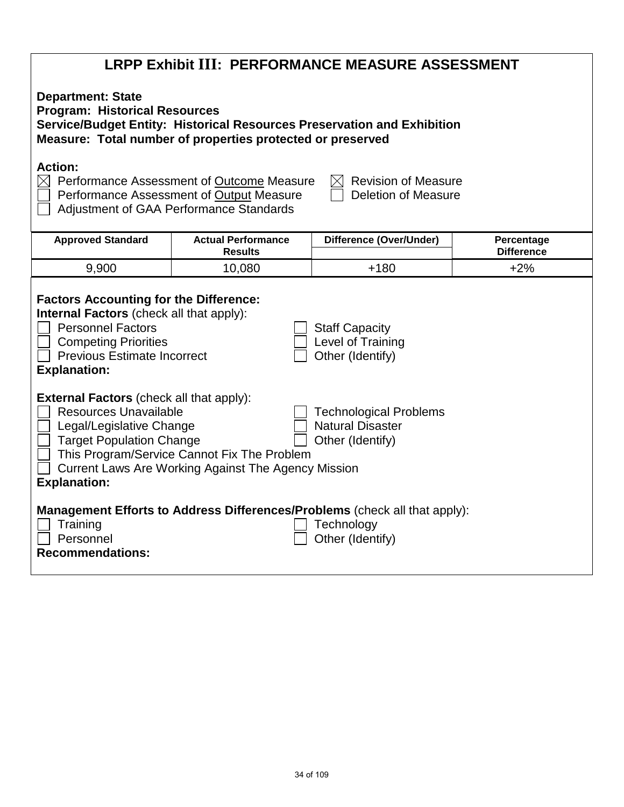| <b>LRPP Exhibit III: PERFORMANCE MEASURE ASSESSMENT</b>                                                                                                                                                                                                                                                                                                            |                                             |                         |                                 |  |
|--------------------------------------------------------------------------------------------------------------------------------------------------------------------------------------------------------------------------------------------------------------------------------------------------------------------------------------------------------------------|---------------------------------------------|-------------------------|---------------------------------|--|
| <b>Department: State</b><br><b>Program: Historical Resources</b><br>Service/Budget Entity: Historical Resources Preservation and Exhibition<br>Measure: Total number of properties protected or preserved                                                                                                                                                          |                                             |                         |                                 |  |
| <b>Action:</b><br>$\boxtimes$ Performance Assessment of Outcome Measure<br><b>Revision of Measure</b><br>$\times$ l<br>Performance Assessment of Output Measure<br><b>Deletion of Measure</b><br>Adjustment of GAA Performance Standards                                                                                                                           |                                             |                         |                                 |  |
| <b>Approved Standard</b>                                                                                                                                                                                                                                                                                                                                           | <b>Actual Performance</b><br><b>Results</b> | Difference (Over/Under) | Percentage<br><b>Difference</b> |  |
| 9,900                                                                                                                                                                                                                                                                                                                                                              | 10,080                                      | $+180$                  | $+2%$                           |  |
| <b>Factors Accounting for the Difference:</b><br><b>Internal Factors</b> (check all that apply):<br><b>Personnel Factors</b><br><b>Staff Capacity</b><br>Level of Training<br><b>Competing Priorities</b><br><b>Previous Estimate Incorrect</b><br>Other (Identify)<br><b>Explanation:</b>                                                                         |                                             |                         |                                 |  |
| <b>External Factors (check all that apply):</b><br><b>Resources Unavailable</b><br><b>Technological Problems</b><br><b>Natural Disaster</b><br>Legal/Legislative Change<br><b>Target Population Change</b><br>Other (Identify)<br>This Program/Service Cannot Fix The Problem<br><b>Current Laws Are Working Against The Agency Mission</b><br><b>Explanation:</b> |                                             |                         |                                 |  |
| Management Efforts to Address Differences/Problems (check all that apply):<br>Training<br>Technology<br>Personnel<br>Other (Identify)<br><b>Recommendations:</b>                                                                                                                                                                                                   |                                             |                         |                                 |  |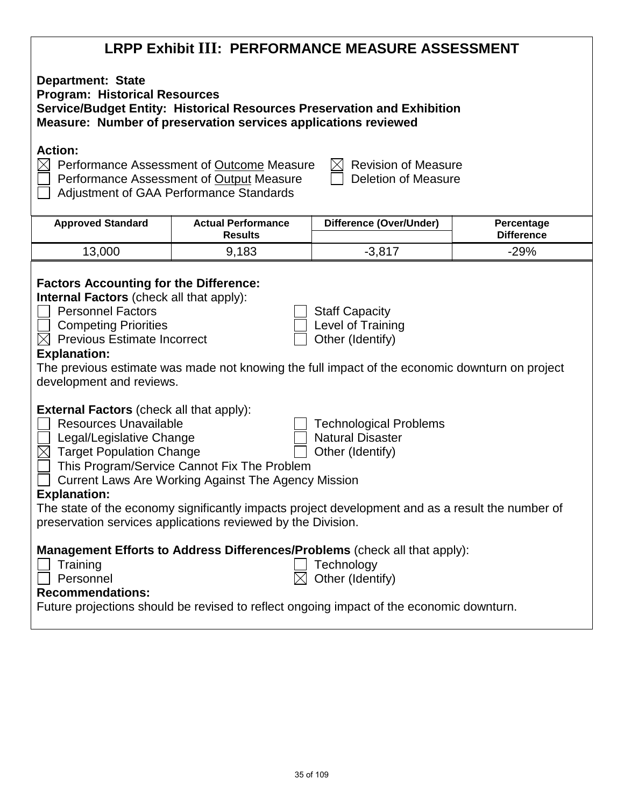| <b>LRPP Exhibit III: PERFORMANCE MEASURE ASSESSMENT</b>                                                                                                                                                                                                                                                                                                                                                                                                                                                                                               |                                             |                         |                                 |  |
|-------------------------------------------------------------------------------------------------------------------------------------------------------------------------------------------------------------------------------------------------------------------------------------------------------------------------------------------------------------------------------------------------------------------------------------------------------------------------------------------------------------------------------------------------------|---------------------------------------------|-------------------------|---------------------------------|--|
| <b>Department: State</b><br><b>Program: Historical Resources</b><br>Service/Budget Entity: Historical Resources Preservation and Exhibition<br>Measure: Number of preservation services applications reviewed                                                                                                                                                                                                                                                                                                                                         |                                             |                         |                                 |  |
| <b>Action:</b><br>Performance Assessment of Outcome Measure<br><b>Revision of Measure</b><br>$\boxtimes$<br>Performance Assessment of Output Measure<br><b>Deletion of Measure</b><br>Adjustment of GAA Performance Standards                                                                                                                                                                                                                                                                                                                         |                                             |                         |                                 |  |
| <b>Approved Standard</b>                                                                                                                                                                                                                                                                                                                                                                                                                                                                                                                              | <b>Actual Performance</b><br><b>Results</b> | Difference (Over/Under) | Percentage<br><b>Difference</b> |  |
| 13,000                                                                                                                                                                                                                                                                                                                                                                                                                                                                                                                                                | 9,183                                       | $-3,817$                | $-29%$                          |  |
| <b>Factors Accounting for the Difference:</b><br><b>Internal Factors</b> (check all that apply):<br><b>Personnel Factors</b><br><b>Staff Capacity</b><br>Level of Training<br><b>Competing Priorities</b><br>$\boxtimes$ Previous Estimate Incorrect<br>Other (Identify)<br><b>Explanation:</b><br>The previous estimate was made not knowing the full impact of the economic downturn on project<br>development and reviews.                                                                                                                         |                                             |                         |                                 |  |
| <b>External Factors</b> (check all that apply):<br><b>Resources Unavailable</b><br><b>Technological Problems</b><br><b>Natural Disaster</b><br>Legal/Legislative Change<br>$\boxtimes$<br><b>Target Population Change</b><br>Other (Identify)<br>This Program/Service Cannot Fix The Problem<br><b>Current Laws Are Working Against The Agency Mission</b><br><b>Explanation:</b><br>The state of the economy significantly impacts project development and as a result the number of<br>preservation services applications reviewed by the Division. |                                             |                         |                                 |  |
| Management Efforts to Address Differences/Problems (check all that apply):<br>Training<br>Technology<br>Personnel<br>Other (Identify)<br><b>Recommendations:</b><br>Future projections should be revised to reflect ongoing impact of the economic downturn.                                                                                                                                                                                                                                                                                          |                                             |                         |                                 |  |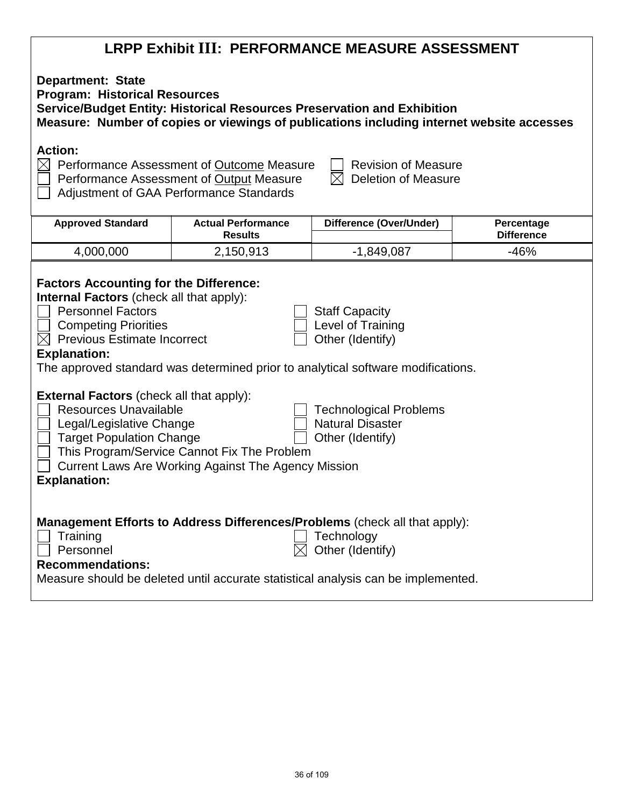| LRPP Exhibit III: PERFORMANCE MEASURE ASSESSMENT                                                                                                                                                                                                                                                                                                                             |                                             |                         |                                 |  |
|------------------------------------------------------------------------------------------------------------------------------------------------------------------------------------------------------------------------------------------------------------------------------------------------------------------------------------------------------------------------------|---------------------------------------------|-------------------------|---------------------------------|--|
| <b>Department: State</b><br><b>Program: Historical Resources</b><br>Service/Budget Entity: Historical Resources Preservation and Exhibition<br>Measure: Number of copies or viewings of publications including internet website accesses                                                                                                                                     |                                             |                         |                                 |  |
| <b>Action:</b><br>$\boxtimes$<br>Performance Assessment of Outcome Measure<br><b>Revision of Measure</b><br>Performance Assessment of Output Measure<br><b>Deletion of Measure</b><br>IXI<br>Adjustment of GAA Performance Standards                                                                                                                                         |                                             |                         |                                 |  |
| <b>Approved Standard</b>                                                                                                                                                                                                                                                                                                                                                     | <b>Actual Performance</b><br><b>Results</b> | Difference (Over/Under) | Percentage<br><b>Difference</b> |  |
| 4,000,000                                                                                                                                                                                                                                                                                                                                                                    | 2,150,913                                   | $-1,849,087$            | $-46%$                          |  |
| <b>Factors Accounting for the Difference:</b><br>Internal Factors (check all that apply):<br><b>Personnel Factors</b><br><b>Staff Capacity</b><br>Level of Training<br><b>Competing Priorities</b><br>$\boxtimes$ Previous Estimate Incorrect<br>Other (Identify)<br><b>Explanation:</b><br>The approved standard was determined prior to analytical software modifications. |                                             |                         |                                 |  |
| <b>External Factors</b> (check all that apply):<br><b>Resources Unavailable</b><br><b>Technological Problems</b><br><b>Natural Disaster</b><br>Legal/Legislative Change<br><b>Target Population Change</b><br>Other (Identify)<br>This Program/Service Cannot Fix The Problem<br><b>Current Laws Are Working Against The Agency Mission</b><br><b>Explanation:</b>           |                                             |                         |                                 |  |
| Management Efforts to Address Differences/Problems (check all that apply):<br>Technology<br>Training<br>Other (Identify)<br>Personnel<br><b>Recommendations:</b><br>Measure should be deleted until accurate statistical analysis can be implemented.                                                                                                                        |                                             |                         |                                 |  |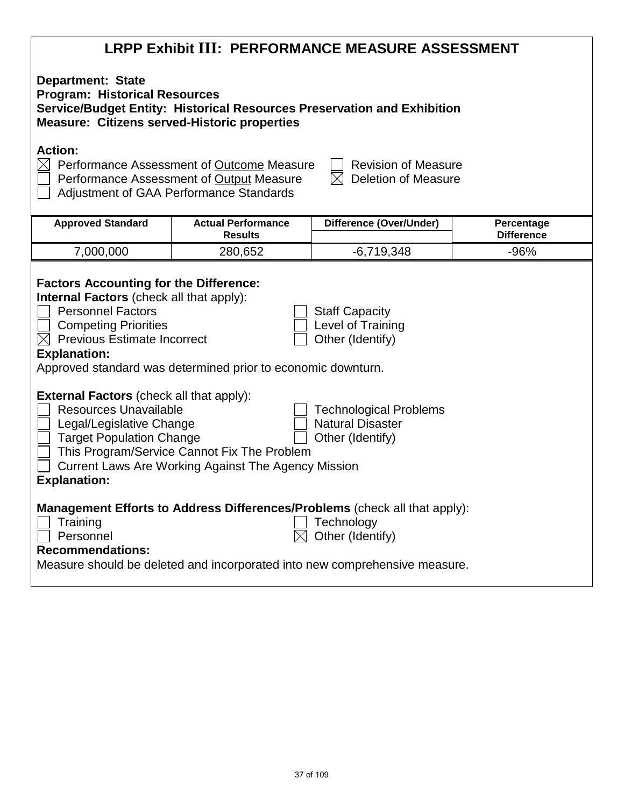|                                                                                                                                                                                                                                                                                                                                                                    |                                             | LRPP Exhibit III: PERFORMANCE MEASURE ASSESSMENT |                                 |
|--------------------------------------------------------------------------------------------------------------------------------------------------------------------------------------------------------------------------------------------------------------------------------------------------------------------------------------------------------------------|---------------------------------------------|--------------------------------------------------|---------------------------------|
| <b>Department: State</b><br><b>Program: Historical Resources</b><br>Service/Budget Entity: Historical Resources Preservation and Exhibition<br><b>Measure: Citizens served-Historic properties</b><br><b>Action:</b><br>$\boxtimes$ Performance Assessment of Outcome Measure<br><b>Revision of Measure</b>                                                        |                                             |                                                  |                                 |
| Performance Assessment of Output Measure<br>$\boxtimes$<br><b>Deletion of Measure</b><br>Adjustment of GAA Performance Standards                                                                                                                                                                                                                                   |                                             |                                                  |                                 |
| <b>Approved Standard</b>                                                                                                                                                                                                                                                                                                                                           | <b>Actual Performance</b><br><b>Results</b> | Difference (Over/Under)                          | Percentage<br><b>Difference</b> |
| 7,000,000                                                                                                                                                                                                                                                                                                                                                          | 280,652                                     | $-6,719,348$                                     | $-96%$                          |
| <b>Factors Accounting for the Difference:</b><br>Internal Factors (check all that apply):<br><b>Personnel Factors</b><br><b>Staff Capacity</b><br>Level of Training<br><b>Competing Priorities</b><br>$\boxtimes$ Previous Estimate Incorrect<br>Other (Identify)<br><b>Explanation:</b><br>Approved standard was determined prior to economic downturn.           |                                             |                                                  |                                 |
| <b>External Factors</b> (check all that apply):<br><b>Resources Unavailable</b><br><b>Technological Problems</b><br><b>Natural Disaster</b><br>Legal/Legislative Change<br><b>Target Population Change</b><br>Other (Identify)<br>This Program/Service Cannot Fix The Problem<br><b>Current Laws Are Working Against The Agency Mission</b><br><b>Explanation:</b> |                                             |                                                  |                                 |
| Management Efforts to Address Differences/Problems (check all that apply):<br>Technology<br>Training<br>Other (Identify)<br>Personnel<br><b>Recommendations:</b><br>Measure should be deleted and incorporated into new comprehensive measure.                                                                                                                     |                                             |                                                  |                                 |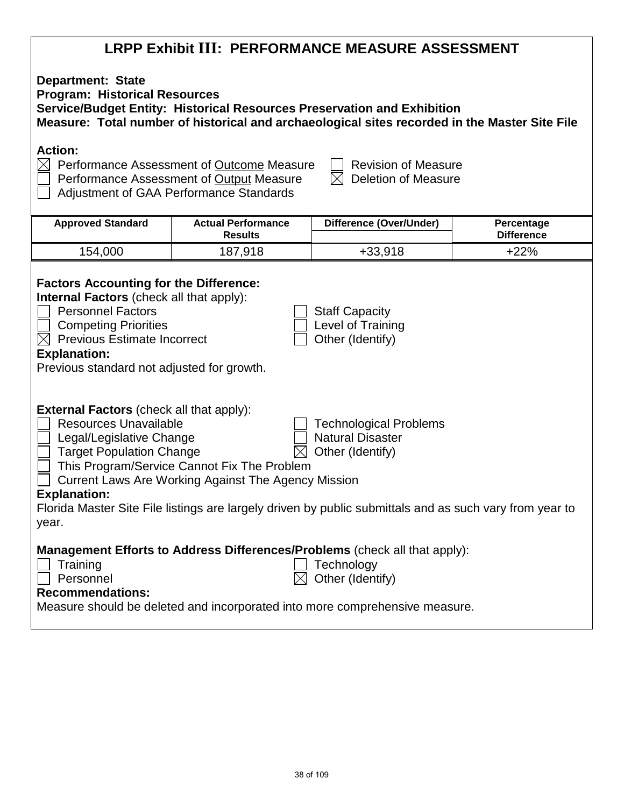|                                                                                                                                                                                                                                                                                                                                                                                                                                                                                        |                                             | LRPP Exhibit III: PERFORMANCE MEASURE ASSESSMENT |                                 |  |
|----------------------------------------------------------------------------------------------------------------------------------------------------------------------------------------------------------------------------------------------------------------------------------------------------------------------------------------------------------------------------------------------------------------------------------------------------------------------------------------|---------------------------------------------|--------------------------------------------------|---------------------------------|--|
| <b>Department: State</b><br><b>Program: Historical Resources</b><br>Service/Budget Entity: Historical Resources Preservation and Exhibition<br>Measure: Total number of historical and archaeological sites recorded in the Master Site File                                                                                                                                                                                                                                           |                                             |                                                  |                                 |  |
| <b>Action:</b><br>$\boxtimes$<br>Performance Assessment of Outcome Measure<br><b>Revision of Measure</b><br>Performance Assessment of Output Measure<br><b>Deletion of Measure</b><br>$\boxtimes$<br>Adjustment of GAA Performance Standards                                                                                                                                                                                                                                           |                                             |                                                  |                                 |  |
| <b>Approved Standard</b>                                                                                                                                                                                                                                                                                                                                                                                                                                                               | <b>Actual Performance</b><br><b>Results</b> | Difference (Over/Under)                          | Percentage<br><b>Difference</b> |  |
| 154,000                                                                                                                                                                                                                                                                                                                                                                                                                                                                                | 187,918                                     | $+33,918$                                        | $+22%$                          |  |
| <b>Factors Accounting for the Difference:</b><br><b>Internal Factors</b> (check all that apply):<br><b>Personnel Factors</b><br><b>Staff Capacity</b><br>Level of Training<br><b>Competing Priorities</b><br>Other (Identify)<br>$\boxtimes$ Previous Estimate Incorrect<br><b>Explanation:</b><br>Previous standard not adjusted for growth.                                                                                                                                          |                                             |                                                  |                                 |  |
| <b>External Factors</b> (check all that apply):<br><b>Resources Unavailable</b><br><b>Technological Problems</b><br><b>Natural Disaster</b><br>Legal/Legislative Change<br><b>Target Population Change</b><br>Other (Identify)<br>This Program/Service Cannot Fix The Problem<br><b>Current Laws Are Working Against The Agency Mission</b><br><b>Explanation:</b><br>Florida Master Site File listings are largely driven by public submittals and as such vary from year to<br>year. |                                             |                                                  |                                 |  |
| Management Efforts to Address Differences/Problems (check all that apply):<br>Training<br>Technology<br>Other (Identify)<br>Personnel<br><b>Recommendations:</b><br>Measure should be deleted and incorporated into more comprehensive measure.                                                                                                                                                                                                                                        |                                             |                                                  |                                 |  |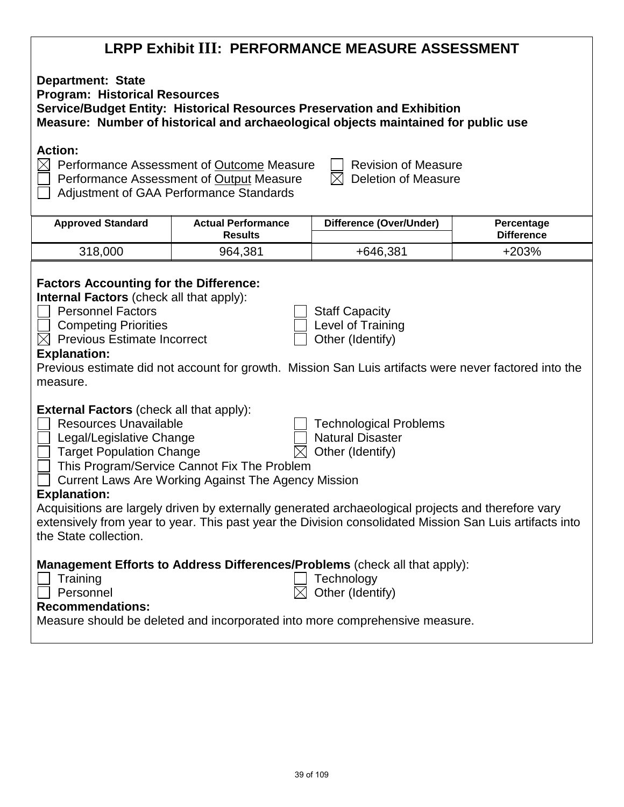|                                                                                                                                                                                                                                                                                                                                                                                                                                                                                                                                                                                                              | <b>LRPP Exhibit III: PERFORMANCE MEASURE ASSESSMENT</b> |                         |                                 |  |
|--------------------------------------------------------------------------------------------------------------------------------------------------------------------------------------------------------------------------------------------------------------------------------------------------------------------------------------------------------------------------------------------------------------------------------------------------------------------------------------------------------------------------------------------------------------------------------------------------------------|---------------------------------------------------------|-------------------------|---------------------------------|--|
| <b>Department: State</b><br><b>Program: Historical Resources</b><br>Service/Budget Entity: Historical Resources Preservation and Exhibition<br>Measure: Number of historical and archaeological objects maintained for public use                                                                                                                                                                                                                                                                                                                                                                            |                                                         |                         |                                 |  |
| <b>Action:</b><br>Performance Assessment of Outcome Measure<br><b>Revision of Measure</b><br>$\bowtie$<br>Performance Assessment of Output Measure<br><b>Deletion of Measure</b><br>$\boxtimes$<br>Adjustment of GAA Performance Standards                                                                                                                                                                                                                                                                                                                                                                   |                                                         |                         |                                 |  |
| <b>Approved Standard</b>                                                                                                                                                                                                                                                                                                                                                                                                                                                                                                                                                                                     | <b>Actual Performance</b><br><b>Results</b>             | Difference (Over/Under) | Percentage<br><b>Difference</b> |  |
| 318,000                                                                                                                                                                                                                                                                                                                                                                                                                                                                                                                                                                                                      | 964,381                                                 | +646,381                | $+203%$                         |  |
| <b>Factors Accounting for the Difference:</b><br>Internal Factors (check all that apply):<br><b>Personnel Factors</b><br><b>Staff Capacity</b><br>Level of Training<br><b>Competing Priorities</b><br>$\boxtimes$ Previous Estimate Incorrect<br>Other (Identify)<br><b>Explanation:</b><br>Previous estimate did not account for growth. Mission San Luis artifacts were never factored into the<br>measure.                                                                                                                                                                                                |                                                         |                         |                                 |  |
| <b>External Factors</b> (check all that apply):<br><b>Resources Unavailable</b><br><b>Technological Problems</b><br><b>Natural Disaster</b><br>Legal/Legislative Change<br><b>Target Population Change</b><br>Other (Identify)<br>This Program/Service Cannot Fix The Problem<br><b>Current Laws Are Working Against The Agency Mission</b><br><b>Explanation:</b><br>Acquisitions are largely driven by externally generated archaeological projects and therefore vary<br>extensively from year to year. This past year the Division consolidated Mission San Luis artifacts into<br>the State collection. |                                                         |                         |                                 |  |
| Management Efforts to Address Differences/Problems (check all that apply):<br>Training<br>Technology<br>Other (Identify)<br>Personnel<br><b>Recommendations:</b><br>Measure should be deleted and incorporated into more comprehensive measure.                                                                                                                                                                                                                                                                                                                                                              |                                                         |                         |                                 |  |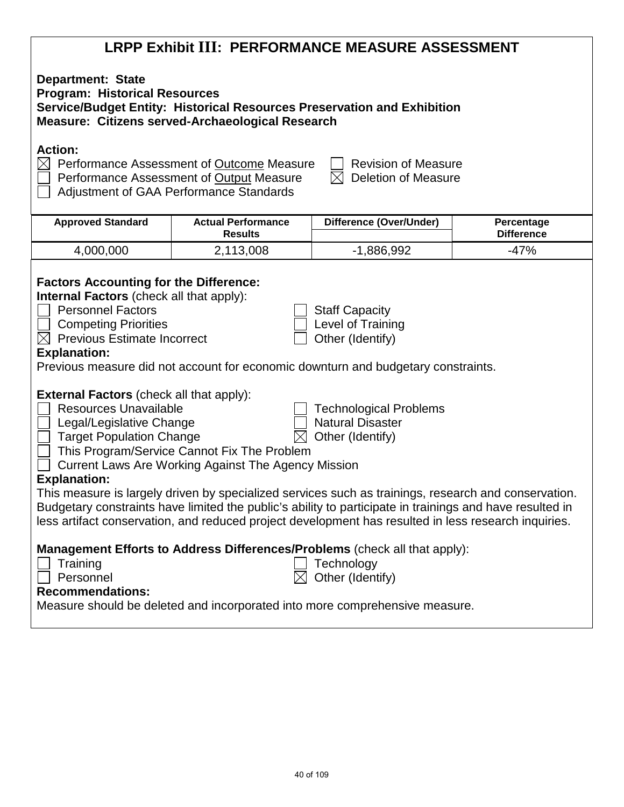|                                                                                                                                                                                                                                                                                                                                                                                                                                         |                                             | <b>LRPP Exhibit III: PERFORMANCE MEASURE ASSESSMENT</b>                                                                                                                                     |                                 |  |
|-----------------------------------------------------------------------------------------------------------------------------------------------------------------------------------------------------------------------------------------------------------------------------------------------------------------------------------------------------------------------------------------------------------------------------------------|---------------------------------------------|---------------------------------------------------------------------------------------------------------------------------------------------------------------------------------------------|---------------------------------|--|
| <b>Department: State</b><br><b>Program: Historical Resources</b><br>Service/Budget Entity: Historical Resources Preservation and Exhibition<br>Measure: Citizens served-Archaeological Research                                                                                                                                                                                                                                         |                                             |                                                                                                                                                                                             |                                 |  |
| <b>Action:</b><br>Performance Assessment of Outcome Measure<br><b>Revision of Measure</b><br>$\boxtimes$<br>Performance Assessment of Output Measure<br><b>Deletion of Measure</b><br>Adjustment of GAA Performance Standards                                                                                                                                                                                                           |                                             |                                                                                                                                                                                             |                                 |  |
| <b>Approved Standard</b>                                                                                                                                                                                                                                                                                                                                                                                                                | <b>Actual Performance</b><br><b>Results</b> | Difference (Over/Under)                                                                                                                                                                     | Percentage<br><b>Difference</b> |  |
| 4,000,000                                                                                                                                                                                                                                                                                                                                                                                                                               | 2,113,008                                   | $-1,886,992$                                                                                                                                                                                | $-47%$                          |  |
| <b>Factors Accounting for the Difference:</b><br><b>Internal Factors</b> (check all that apply):<br><b>Personnel Factors</b><br><b>Staff Capacity</b><br>Level of Training<br><b>Competing Priorities</b><br>Other (Identify)<br>$\boxtimes$ Previous Estimate Incorrect<br><b>Explanation:</b><br>Previous measure did not account for economic downturn and budgetary constraints.<br><b>External Factors</b> (check all that apply): |                                             |                                                                                                                                                                                             |                                 |  |
| <b>Resources Unavailable</b><br><b>Technological Problems</b><br><b>Natural Disaster</b><br>Legal/Legislative Change<br><b>Target Population Change</b><br>Other (Identify)<br>This Program/Service Cannot Fix The Problem<br><b>Current Laws Are Working Against The Agency Mission</b><br><b>Explanation:</b><br>This measure is largely driven by specialized services such as trainings, research and conservation.                 |                                             |                                                                                                                                                                                             |                                 |  |
| Budgetary constraints have limited the public's ability to participate in trainings and have resulted in<br>less artifact conservation, and reduced project development has resulted in less research inquiries.                                                                                                                                                                                                                        |                                             |                                                                                                                                                                                             |                                 |  |
| Training<br>Personnel<br><b>Recommendations:</b>                                                                                                                                                                                                                                                                                                                                                                                        |                                             | Management Efforts to Address Differences/Problems (check all that apply):<br>Technology<br>Other (Identify)<br>Measure should be deleted and incorporated into more comprehensive measure. |                                 |  |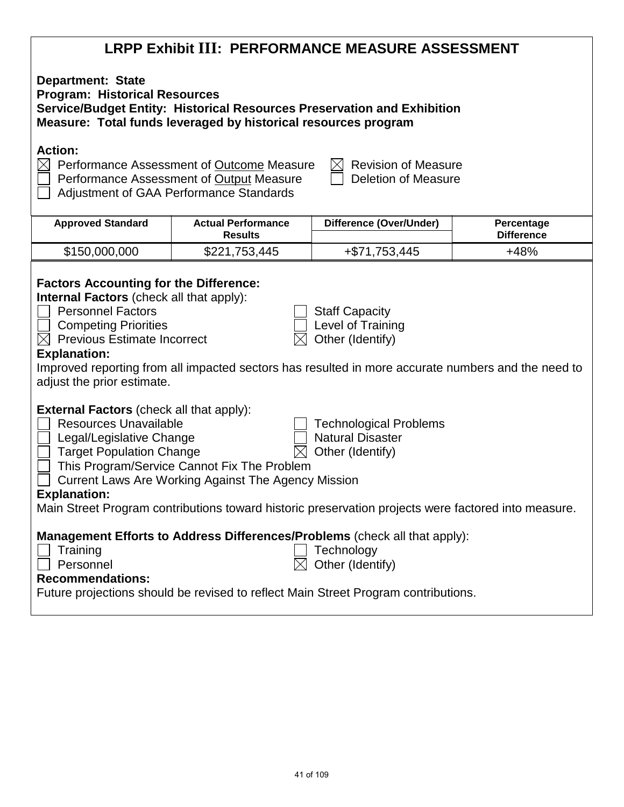|                                                                                                                                                                                                                                                                                                                                                                                                                                                                           |                                             | <b>LRPP Exhibit III: PERFORMANCE MEASURE ASSESSMENT</b> |                                 |  |
|---------------------------------------------------------------------------------------------------------------------------------------------------------------------------------------------------------------------------------------------------------------------------------------------------------------------------------------------------------------------------------------------------------------------------------------------------------------------------|---------------------------------------------|---------------------------------------------------------|---------------------------------|--|
| <b>Department: State</b><br><b>Program: Historical Resources</b><br>Service/Budget Entity: Historical Resources Preservation and Exhibition<br>Measure: Total funds leveraged by historical resources program                                                                                                                                                                                                                                                             |                                             |                                                         |                                 |  |
| <b>Action:</b><br>$\boxtimes$<br>Performance Assessment of Outcome Measure<br><b>Revision of Measure</b><br>$\bowtie$<br>Performance Assessment of Output Measure<br><b>Deletion of Measure</b><br>Adjustment of GAA Performance Standards                                                                                                                                                                                                                                |                                             |                                                         |                                 |  |
| <b>Approved Standard</b>                                                                                                                                                                                                                                                                                                                                                                                                                                                  | <b>Actual Performance</b><br><b>Results</b> | Difference (Over/Under)                                 | Percentage<br><b>Difference</b> |  |
| \$150,000,000                                                                                                                                                                                                                                                                                                                                                                                                                                                             | \$221,753,445                               | +\$71,753,445                                           | $+48%$                          |  |
| <b>Factors Accounting for the Difference:</b><br><b>Internal Factors</b> (check all that apply):<br><b>Personnel Factors</b><br><b>Staff Capacity</b><br>Level of Training<br><b>Competing Priorities</b><br>$\boxtimes$ Previous Estimate Incorrect<br>Other (Identify)<br><b>Explanation:</b><br>Improved reporting from all impacted sectors has resulted in more accurate numbers and the need to<br>adjust the prior estimate.                                       |                                             |                                                         |                                 |  |
| <b>External Factors (check all that apply):</b><br><b>Resources Unavailable</b><br><b>Technological Problems</b><br><b>Natural Disaster</b><br>Legal/Legislative Change<br><b>Target Population Change</b><br>Other (Identify)<br>This Program/Service Cannot Fix The Problem<br><b>Current Laws Are Working Against The Agency Mission</b><br><b>Explanation:</b><br>Main Street Program contributions toward historic preservation projects were factored into measure. |                                             |                                                         |                                 |  |
| Management Efforts to Address Differences/Problems (check all that apply):<br>Training<br>Technology<br>Other (Identify)<br>Personnel<br><b>Recommendations:</b><br>Future projections should be revised to reflect Main Street Program contributions.                                                                                                                                                                                                                    |                                             |                                                         |                                 |  |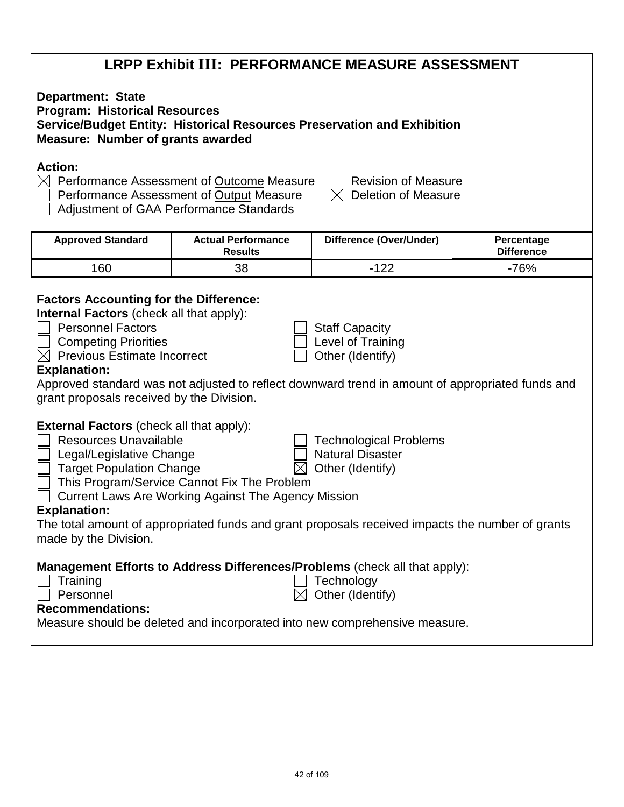| LRPP Exhibit III: PERFORMANCE MEASURE ASSESSMENT<br><b>Department: State</b><br><b>Program: Historical Resources</b><br>Service/Budget Entity: Historical Resources Preservation and Exhibition<br><b>Measure: Number of grants awarded</b><br><b>Action:</b><br>Performance Assessment of Outcome Measure<br><b>Revision of Measure</b><br>$\bowtie$<br>Performance Assessment of Output Measure<br>$\boxtimes$<br><b>Deletion of Measure</b><br>Adjustment of GAA Performance Standards |                                             |                         |                                 |
|-------------------------------------------------------------------------------------------------------------------------------------------------------------------------------------------------------------------------------------------------------------------------------------------------------------------------------------------------------------------------------------------------------------------------------------------------------------------------------------------|---------------------------------------------|-------------------------|---------------------------------|
| <b>Approved Standard</b>                                                                                                                                                                                                                                                                                                                                                                                                                                                                  | <b>Actual Performance</b><br><b>Results</b> | Difference (Over/Under) | Percentage<br><b>Difference</b> |
| 160                                                                                                                                                                                                                                                                                                                                                                                                                                                                                       | 38                                          | $-122$                  | $-76%$                          |
| <b>Factors Accounting for the Difference:</b><br><b>Internal Factors</b> (check all that apply):<br><b>Personnel Factors</b><br><b>Staff Capacity</b><br>Level of Training<br><b>Competing Priorities</b><br>$\boxtimes$ Previous Estimate Incorrect<br>Other (Identify)<br><b>Explanation:</b><br>Approved standard was not adjusted to reflect downward trend in amount of appropriated funds and<br>grant proposals received by the Division.                                          |                                             |                         |                                 |
| <b>External Factors</b> (check all that apply):<br><b>Resources Unavailable</b><br><b>Technological Problems</b><br><b>Natural Disaster</b><br>Legal/Legislative Change<br><b>Target Population Change</b><br>Other (Identify)<br>This Program/Service Cannot Fix The Problem<br>Current Laws Are Working Against The Agency Mission<br><b>Explanation:</b><br>The total amount of appropriated funds and grant proposals received impacts the number of grants<br>made by the Division.  |                                             |                         |                                 |
| Management Efforts to Address Differences/Problems (check all that apply):<br>Training<br>Technology<br>Other (Identify)<br>Personnel<br><b>Recommendations:</b><br>Measure should be deleted and incorporated into new comprehensive measure.                                                                                                                                                                                                                                            |                                             |                         |                                 |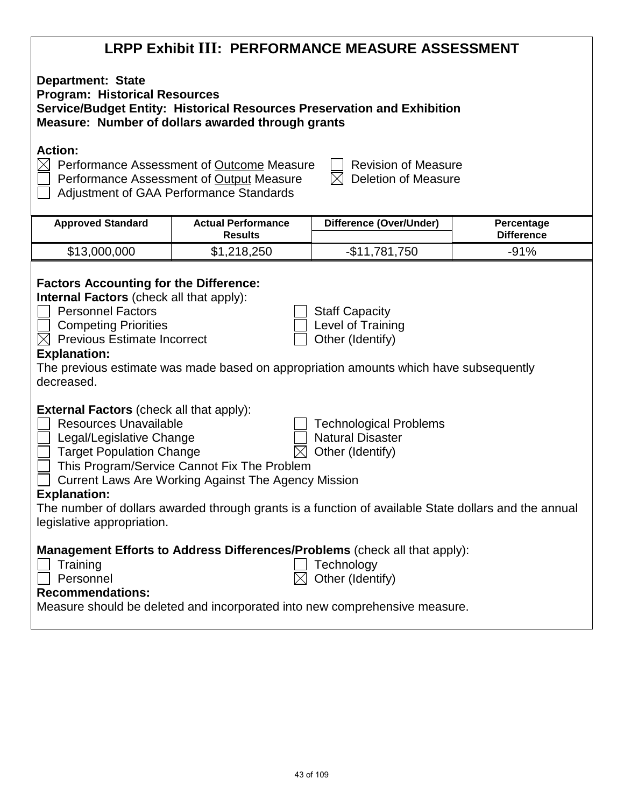|                                                                                                                                                                                                                                                                                                                                                                                                                                                                                                          |                                             | <b>LRPP Exhibit III: PERFORMANCE MEASURE ASSESSMENT</b> |                                 |  |
|----------------------------------------------------------------------------------------------------------------------------------------------------------------------------------------------------------------------------------------------------------------------------------------------------------------------------------------------------------------------------------------------------------------------------------------------------------------------------------------------------------|---------------------------------------------|---------------------------------------------------------|---------------------------------|--|
| <b>Department: State</b><br><b>Program: Historical Resources</b><br>Service/Budget Entity: Historical Resources Preservation and Exhibition<br>Measure: Number of dollars awarded through grants                                                                                                                                                                                                                                                                                                         |                                             |                                                         |                                 |  |
| <b>Action:</b><br>$\boxtimes$<br>Performance Assessment of Outcome Measure<br><b>Revision of Measure</b><br>$\boxtimes$<br>Performance Assessment of Output Measure<br><b>Deletion of Measure</b><br>Adjustment of GAA Performance Standards                                                                                                                                                                                                                                                             |                                             |                                                         |                                 |  |
| <b>Approved Standard</b>                                                                                                                                                                                                                                                                                                                                                                                                                                                                                 | <b>Actual Performance</b><br><b>Results</b> | Difference (Over/Under)                                 | Percentage<br><b>Difference</b> |  |
| \$13,000,000                                                                                                                                                                                                                                                                                                                                                                                                                                                                                             | \$1,218,250                                 | $-$11,781,750$                                          | $-91%$                          |  |
| <b>Factors Accounting for the Difference:</b><br><b>Internal Factors</b> (check all that apply):<br><b>Personnel Factors</b><br><b>Staff Capacity</b><br>Level of Training<br><b>Competing Priorities</b><br>$\boxtimes$ Previous Estimate Incorrect<br>Other (Identify)<br><b>Explanation:</b><br>The previous estimate was made based on appropriation amounts which have subsequently<br>decreased.                                                                                                   |                                             |                                                         |                                 |  |
| <b>External Factors</b> (check all that apply):<br><b>Resources Unavailable</b><br><b>Technological Problems</b><br><b>Natural Disaster</b><br>Legal/Legislative Change<br>Other (Identify)<br><b>Target Population Change</b><br>This Program/Service Cannot Fix The Problem<br><b>Current Laws Are Working Against The Agency Mission</b><br><b>Explanation:</b><br>The number of dollars awarded through grants is a function of available State dollars and the annual<br>legislative appropriation. |                                             |                                                         |                                 |  |
| Management Efforts to Address Differences/Problems (check all that apply):<br>Training<br>Technology<br>Other (Identify)<br>Personnel<br><b>Recommendations:</b><br>Measure should be deleted and incorporated into new comprehensive measure.                                                                                                                                                                                                                                                           |                                             |                                                         |                                 |  |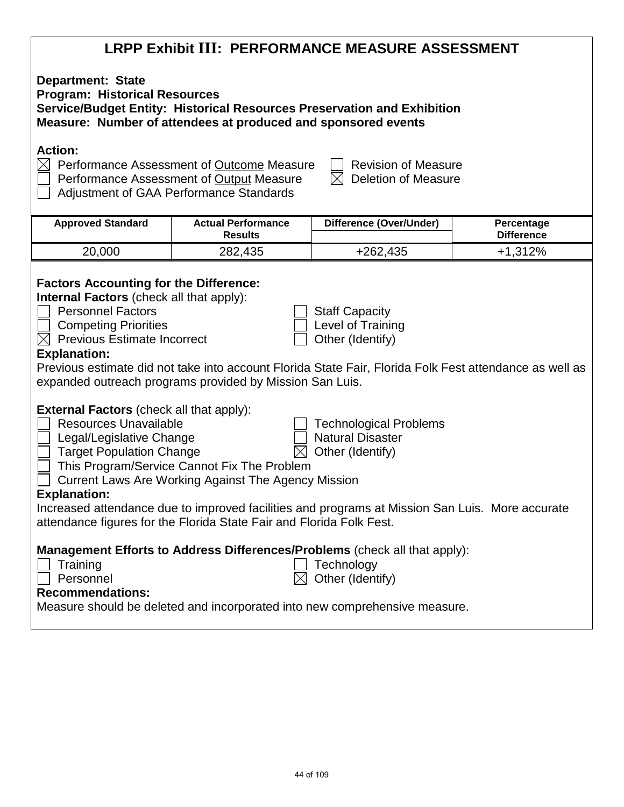|                                                                                                                                                                                                                                                                                                                                                                                                                                                                                                                                               |                                             | <b>LRPP Exhibit III: PERFORMANCE MEASURE ASSESSMENT</b> |                                 |  |
|-----------------------------------------------------------------------------------------------------------------------------------------------------------------------------------------------------------------------------------------------------------------------------------------------------------------------------------------------------------------------------------------------------------------------------------------------------------------------------------------------------------------------------------------------|---------------------------------------------|---------------------------------------------------------|---------------------------------|--|
| <b>Department: State</b><br><b>Program: Historical Resources</b><br>Service/Budget Entity: Historical Resources Preservation and Exhibition<br>Measure: Number of attendees at produced and sponsored events                                                                                                                                                                                                                                                                                                                                  |                                             |                                                         |                                 |  |
| <b>Action:</b><br>$\bowtie$<br>Performance Assessment of Outcome Measure<br><b>Revision of Measure</b><br>Performance Assessment of Output Measure<br>$\bowtie$<br><b>Deletion of Measure</b><br>Adjustment of GAA Performance Standards                                                                                                                                                                                                                                                                                                      |                                             |                                                         |                                 |  |
| <b>Approved Standard</b>                                                                                                                                                                                                                                                                                                                                                                                                                                                                                                                      | <b>Actual Performance</b><br><b>Results</b> | Difference (Over/Under)                                 | Percentage<br><b>Difference</b> |  |
| 20,000                                                                                                                                                                                                                                                                                                                                                                                                                                                                                                                                        | 282,435                                     | $+262,435$                                              | $+1,312%$                       |  |
| <b>Factors Accounting for the Difference:</b><br>Internal Factors (check all that apply):<br><b>Personnel Factors</b><br><b>Staff Capacity</b><br>Level of Training<br><b>Competing Priorities</b><br>$\boxtimes$ Previous Estimate Incorrect<br>Other (Identify)<br><b>Explanation:</b><br>Previous estimate did not take into account Florida State Fair, Florida Folk Fest attendance as well as<br>expanded outreach programs provided by Mission San Luis.                                                                               |                                             |                                                         |                                 |  |
| <b>External Factors</b> (check all that apply):<br><b>Resources Unavailable</b><br><b>Technological Problems</b><br><b>Natural Disaster</b><br>Legal/Legislative Change<br><b>Target Population Change</b><br>Other (Identify)<br>This Program/Service Cannot Fix The Problem<br><b>Current Laws Are Working Against The Agency Mission</b><br><b>Explanation:</b><br>Increased attendance due to improved facilities and programs at Mission San Luis. More accurate<br>attendance figures for the Florida State Fair and Florida Folk Fest. |                                             |                                                         |                                 |  |
| Management Efforts to Address Differences/Problems (check all that apply):<br>Training<br>Technology<br>Other (Identify)<br>Personnel<br><b>Recommendations:</b><br>Measure should be deleted and incorporated into new comprehensive measure.                                                                                                                                                                                                                                                                                                |                                             |                                                         |                                 |  |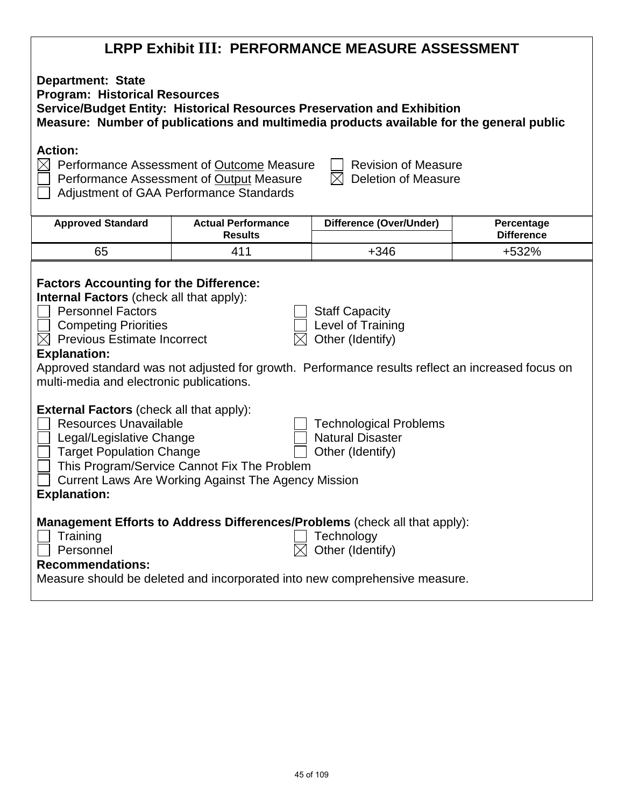|                                                                                                                                                                                                                                                                                                                                                                                                                                          |                                             | <b>LRPP Exhibit III: PERFORMANCE MEASURE ASSESSMENT</b> |                                 |  |
|------------------------------------------------------------------------------------------------------------------------------------------------------------------------------------------------------------------------------------------------------------------------------------------------------------------------------------------------------------------------------------------------------------------------------------------|---------------------------------------------|---------------------------------------------------------|---------------------------------|--|
| <b>Department: State</b><br><b>Program: Historical Resources</b><br>Service/Budget Entity: Historical Resources Preservation and Exhibition<br>Measure: Number of publications and multimedia products available for the general public                                                                                                                                                                                                  |                                             |                                                         |                                 |  |
| <b>Action:</b><br>Performance Assessment of Outcome Measure<br><b>Revision of Measure</b><br>Performance Assessment of Output Measure<br><b>Deletion of Measure</b><br>Adjustment of GAA Performance Standards                                                                                                                                                                                                                           |                                             |                                                         |                                 |  |
| <b>Approved Standard</b>                                                                                                                                                                                                                                                                                                                                                                                                                 | <b>Actual Performance</b><br><b>Results</b> | Difference (Over/Under)                                 | Percentage<br><b>Difference</b> |  |
| 65                                                                                                                                                                                                                                                                                                                                                                                                                                       | 411                                         | $+346$                                                  | +532%                           |  |
| <b>Factors Accounting for the Difference:</b><br>Internal Factors (check all that apply):<br><b>Personnel Factors</b><br><b>Staff Capacity</b><br>Level of Training<br><b>Competing Priorities</b><br>Other (Identify)<br>$\boxtimes$ Previous Estimate Incorrect<br><b>Explanation:</b><br>Approved standard was not adjusted for growth. Performance results reflect an increased focus on<br>multi-media and electronic publications. |                                             |                                                         |                                 |  |
| <b>External Factors (check all that apply):</b><br><b>Resources Unavailable</b><br><b>Technological Problems</b><br><b>Natural Disaster</b><br>Legal/Legislative Change<br><b>Target Population Change</b><br>Other (Identify)<br>This Program/Service Cannot Fix The Problem<br><b>Current Laws Are Working Against The Agency Mission</b><br><b>Explanation:</b>                                                                       |                                             |                                                         |                                 |  |
| Management Efforts to Address Differences/Problems (check all that apply):<br>Training<br>Technology<br>Personnel<br>Other (Identify)<br><b>Recommendations:</b><br>Measure should be deleted and incorporated into new comprehensive measure.                                                                                                                                                                                           |                                             |                                                         |                                 |  |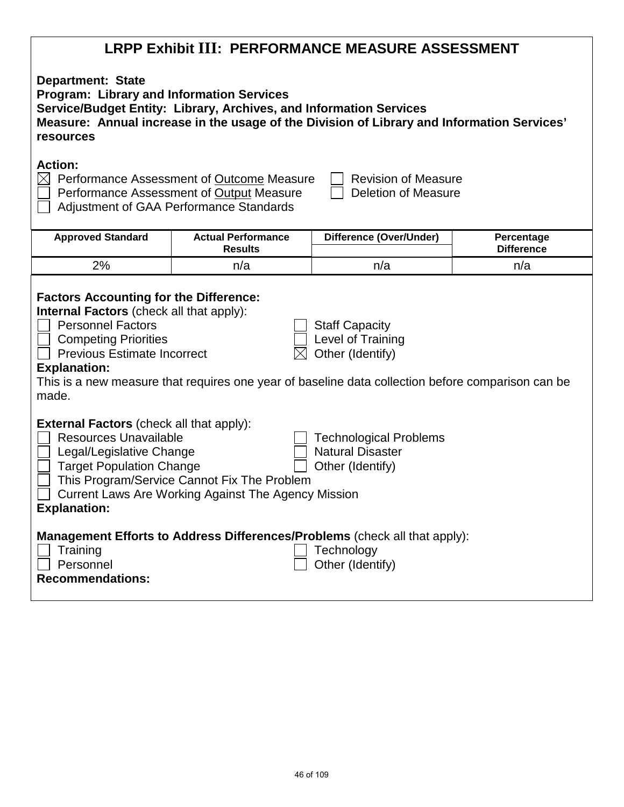| LRPP Exhibit III: PERFORMANCE MEASURE ASSESSMENT |
|--------------------------------------------------|
|--------------------------------------------------|

| <b>Department: State</b> |
|--------------------------|
|--------------------------|

**Program: Library and Information Services**

**Service/Budget Entity: Library, Archives, and Information Services**

**Measure: Annual increase in the usage of the Division of Library and Information Services' resources**

#### **Action:**

 $\boxtimes$  Performance Assessment of Outcome Measure  $\Box$  Revision of Measure

Performance Assessment of Output Measure

Adjustment of GAA Performance Standards

| <b>Revision of Measure</b> |  |
|----------------------------|--|
| Deletion of Measure        |  |

**Approved Standard Actual Performance Results Difference (Over/Under) Percentage Difference** 2% n/a n/a n/a **Factors Accounting for the Difference:** 

**Internal Factors** (check all that apply):

 $\Box$  Personnel Factors  $\Box$  Staff Capacity

 $\Box$  Previous Estimate Incorrect

| <b>I GIOVILIGI LAULUIS</b>         | $\Box$ vian vapavity       |
|------------------------------------|----------------------------|
| <b>Competing Priorities</b>        | $\Box$ Level of Training   |
| <b>Previous Estimate Incorrect</b> | $\bowtie$ Other (Identify) |

#### **Explanation:**

This is a new measure that requires one year of baseline data collection before comparison can be made.

#### **External Factors** (check all that apply):

| Resources Unavailable    |  |  |
|--------------------------|--|--|
| Logal/Logiclative Change |  |  |

Technological Problems □ Legal/Legislative Change Natural Disaster  $\Box$  Target Population Change  $\Box$  Other (Identify)

- This Program/Service Cannot Fix The Problem
- $\Box$  Current Laws Are Working Against The Agency Mission

#### **Explanation:**

| Management Efforts to Address Differences/Problems (check all that apply): |  |  |  |
|----------------------------------------------------------------------------|--|--|--|
|                                                                            |  |  |  |

| Iraining                | Technology              |
|-------------------------|-------------------------|
| Personnel               | $\Box$ Other (Identify) |
| <b>Recommendations:</b> |                         |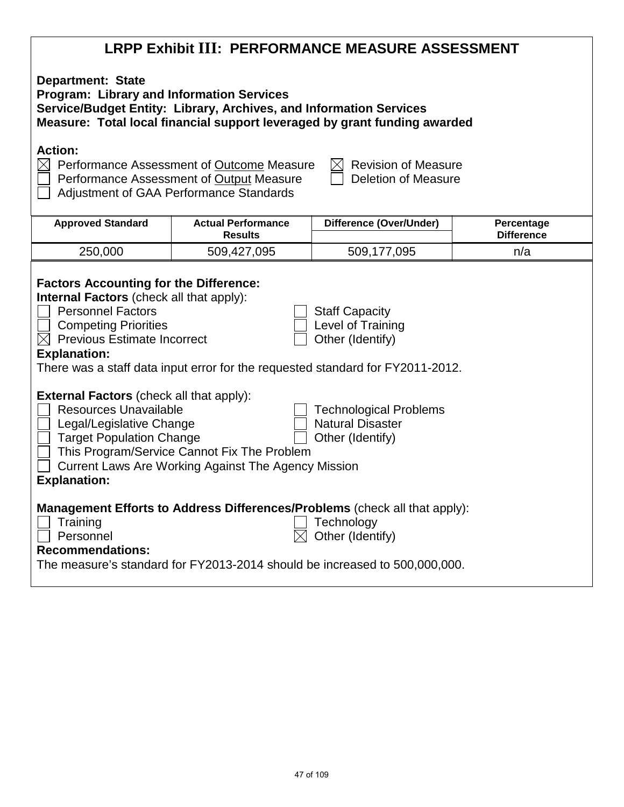|                                                                                                                                                                                                                                                                                                                                                                                                                                                                               |                                                                                                                                                                                            | <b>LRPP Exhibit III: PERFORMANCE MEASURE ASSESSMENT</b> |                                 |  |
|-------------------------------------------------------------------------------------------------------------------------------------------------------------------------------------------------------------------------------------------------------------------------------------------------------------------------------------------------------------------------------------------------------------------------------------------------------------------------------|--------------------------------------------------------------------------------------------------------------------------------------------------------------------------------------------|---------------------------------------------------------|---------------------------------|--|
| <b>Department: State</b><br><b>Program: Library and Information Services</b><br>Service/Budget Entity: Library, Archives, and Information Services<br>Measure: Total local financial support leveraged by grant funding awarded<br><b>Action:</b><br>$\boxtimes$<br>Performance Assessment of Outcome Measure<br><b>Revision of Measure</b><br>$\bowtie$<br>Performance Assessment of Output Measure<br><b>Deletion of Measure</b><br>Adjustment of GAA Performance Standards |                                                                                                                                                                                            |                                                         |                                 |  |
| <b>Approved Standard</b>                                                                                                                                                                                                                                                                                                                                                                                                                                                      | <b>Actual Performance</b><br><b>Results</b>                                                                                                                                                | Difference (Over/Under)                                 | Percentage<br><b>Difference</b> |  |
| 250,000                                                                                                                                                                                                                                                                                                                                                                                                                                                                       | 509,427,095                                                                                                                                                                                | 509,177,095                                             | n/a                             |  |
| <b>Factors Accounting for the Difference:</b><br><b>Internal Factors</b> (check all that apply):<br><b>Personnel Factors</b><br><b>Staff Capacity</b><br>Level of Training<br><b>Competing Priorities</b><br>$\boxtimes$ Previous Estimate Incorrect<br>Other (Identify)<br><b>Explanation:</b><br>There was a staff data input error for the requested standard for FY2011-2012.                                                                                             |                                                                                                                                                                                            |                                                         |                                 |  |
| <b>External Factors (check all that apply):</b><br><b>Resources Unavailable</b><br><b>Technological Problems</b><br><b>Natural Disaster</b><br>Legal/Legislative Change<br><b>Target Population Change</b><br>Other (Identify)<br>This Program/Service Cannot Fix The Problem<br><b>Current Laws Are Working Against The Agency Mission</b><br><b>Explanation:</b>                                                                                                            |                                                                                                                                                                                            |                                                         |                                 |  |
| Training<br>Personnel<br><b>Recommendations:</b>                                                                                                                                                                                                                                                                                                                                                                                                                              | Management Efforts to Address Differences/Problems (check all that apply):<br>Technology<br>Other (Identify)<br>The measure's standard for FY2013-2014 should be increased to 500,000,000. |                                                         |                                 |  |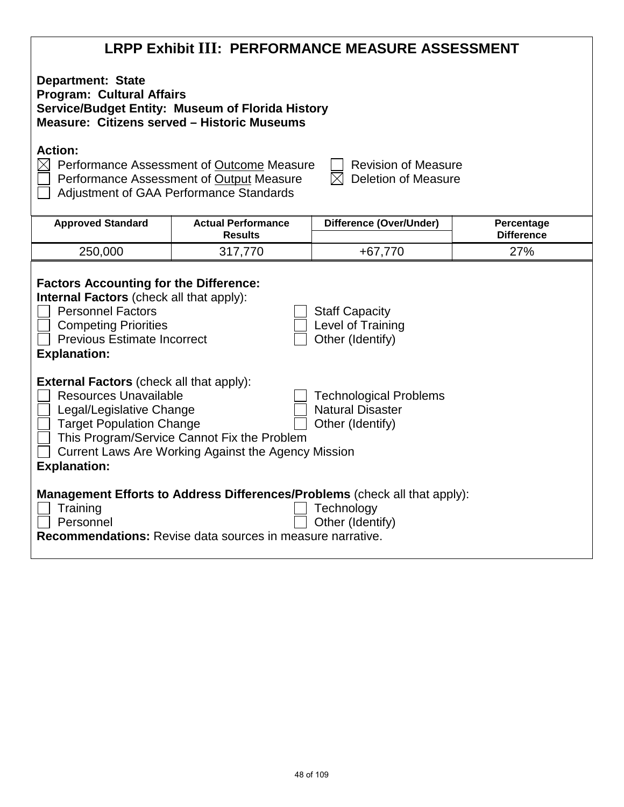| <b>LRPP Exhibit III: PERFORMANCE MEASURE ASSESSMENT</b>                                                                                                                                                                                                                                                                                                                                                      |                           |                         |                   |  |
|--------------------------------------------------------------------------------------------------------------------------------------------------------------------------------------------------------------------------------------------------------------------------------------------------------------------------------------------------------------------------------------------------------------|---------------------------|-------------------------|-------------------|--|
| <b>Department: State</b><br><b>Program: Cultural Affairs</b><br>Service/Budget Entity: Museum of Florida History<br>Measure: Citizens served - Historic Museums<br><b>Action:</b><br>$\boxtimes$ Performance Assessment of Outcome Measure<br><b>Revision of Measure</b><br>Performance Assessment of Output Measure<br>$\boxtimes$<br><b>Deletion of Measure</b><br>Adjustment of GAA Performance Standards |                           |                         |                   |  |
| <b>Approved Standard</b>                                                                                                                                                                                                                                                                                                                                                                                     | <b>Actual Performance</b> | Difference (Over/Under) | Percentage        |  |
|                                                                                                                                                                                                                                                                                                                                                                                                              | <b>Results</b>            |                         | <b>Difference</b> |  |
| 250,000                                                                                                                                                                                                                                                                                                                                                                                                      | 317,770                   | $+67,770$               | 27%               |  |
| <b>Factors Accounting for the Difference:</b><br><b>Internal Factors</b> (check all that apply):<br><b>Personnel Factors</b><br><b>Staff Capacity</b><br>Level of Training<br><b>Competing Priorities</b><br><b>Previous Estimate Incorrect</b><br>Other (Identify)<br><b>Explanation:</b>                                                                                                                   |                           |                         |                   |  |
| <b>External Factors</b> (check all that apply):<br><b>Resources Unavailable</b><br><b>Technological Problems</b><br><b>Natural Disaster</b><br>Legal/Legislative Change<br><b>Target Population Change</b><br>Other (Identify)<br>This Program/Service Cannot Fix the Problem<br>Current Laws Are Working Against the Agency Mission<br><b>Explanation:</b>                                                  |                           |                         |                   |  |
| Management Efforts to Address Differences/Problems (check all that apply):<br>Training<br>Technology<br>Personnel<br>Other (Identify)<br>Recommendations: Revise data sources in measure narrative.                                                                                                                                                                                                          |                           |                         |                   |  |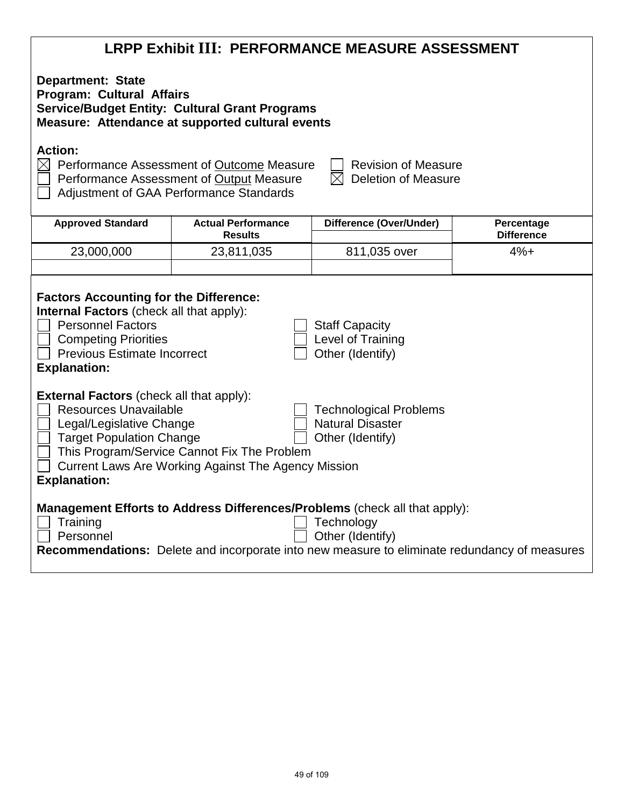| LRPP Exhibit III: PERFORMANCE MEASURE ASSESSMENT<br><b>Department: State</b><br><b>Program: Cultural Affairs</b><br><b>Service/Budget Entity: Cultural Grant Programs</b><br>Measure: Attendance at supported cultural events<br><b>Action:</b><br><b>Revision of Measure</b><br>$\boxtimes$<br>Performance Assessment of Outcome Measure<br>Performance Assessment of Output Measure<br><b>Deletion of Measure</b><br>$\bowtie$<br>Adjustment of GAA Performance Standards |                                             |                         |                                 |  |
|-----------------------------------------------------------------------------------------------------------------------------------------------------------------------------------------------------------------------------------------------------------------------------------------------------------------------------------------------------------------------------------------------------------------------------------------------------------------------------|---------------------------------------------|-------------------------|---------------------------------|--|
| <b>Approved Standard</b>                                                                                                                                                                                                                                                                                                                                                                                                                                                    | <b>Actual Performance</b><br><b>Results</b> | Difference (Over/Under) | Percentage<br><b>Difference</b> |  |
| 23,000,000                                                                                                                                                                                                                                                                                                                                                                                                                                                                  | 23,811,035                                  | 811,035 over            | $4%+$                           |  |
| <b>Factors Accounting for the Difference:</b><br><b>Internal Factors</b> (check all that apply):<br><b>Personnel Factors</b><br><b>Staff Capacity</b><br>Level of Training<br><b>Competing Priorities</b><br>Other (Identify)<br><b>Previous Estimate Incorrect</b><br><b>Explanation:</b>                                                                                                                                                                                  |                                             |                         |                                 |  |
| <b>External Factors</b> (check all that apply):<br>Resources Unavailable<br><b>Technological Problems</b><br><b>Natural Disaster</b><br>Legal/Legislative Change<br><b>Target Population Change</b><br>Other (Identify)<br>This Program/Service Cannot Fix The Problem<br>Current Laws Are Working Against The Agency Mission<br><b>Explanation:</b>                                                                                                                        |                                             |                         |                                 |  |
| Management Efforts to Address Differences/Problems (check all that apply):<br>Technology<br>Training<br>Other (Identify)<br>Personnel<br>Recommendations: Delete and incorporate into new measure to eliminate redundancy of measures                                                                                                                                                                                                                                       |                                             |                         |                                 |  |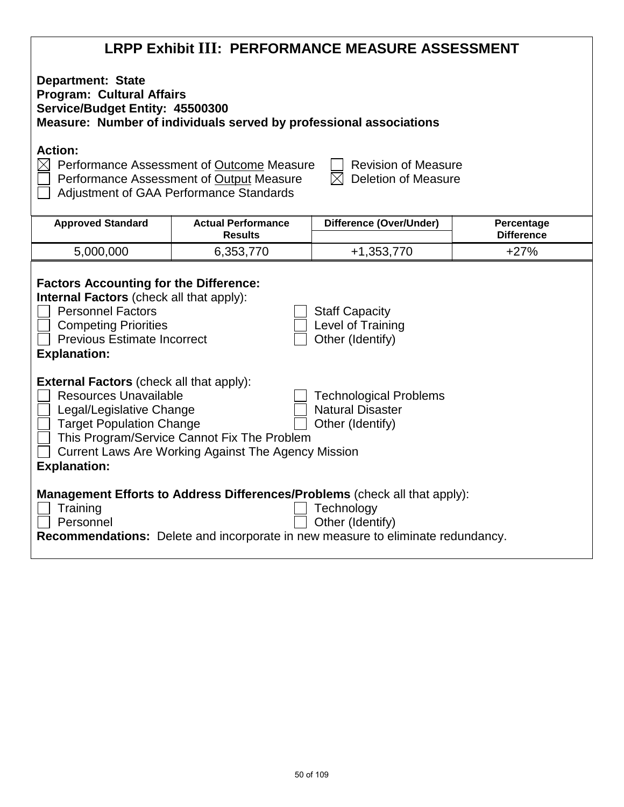| LRPP Exhibit III: PERFORMANCE MEASURE ASSESSMENT                                                                                                                                                                                                                                                                                                                                                                    |                                             |                         |                                 |  |
|---------------------------------------------------------------------------------------------------------------------------------------------------------------------------------------------------------------------------------------------------------------------------------------------------------------------------------------------------------------------------------------------------------------------|---------------------------------------------|-------------------------|---------------------------------|--|
| <b>Department: State</b><br><b>Program: Cultural Affairs</b><br>Service/Budget Entity: 45500300<br>Measure: Number of individuals served by professional associations<br><b>Action:</b><br>$\bowtie$<br>Performance Assessment of Outcome Measure<br><b>Revision of Measure</b><br>$\boxtimes$<br>Performance Assessment of Output Measure<br><b>Deletion of Measure</b><br>Adjustment of GAA Performance Standards |                                             |                         |                                 |  |
| <b>Approved Standard</b>                                                                                                                                                                                                                                                                                                                                                                                            | <b>Actual Performance</b><br><b>Results</b> | Difference (Over/Under) | Percentage<br><b>Difference</b> |  |
| 5,000,000                                                                                                                                                                                                                                                                                                                                                                                                           | 6,353,770                                   | +1,353,770              | $+27%$                          |  |
| <b>Factors Accounting for the Difference:</b><br>Internal Factors (check all that apply):<br><b>Personnel Factors</b><br><b>Staff Capacity</b><br>Level of Training<br><b>Competing Priorities</b><br><b>Previous Estimate Incorrect</b><br>Other (Identify)<br><b>Explanation:</b>                                                                                                                                 |                                             |                         |                                 |  |
| <b>External Factors (check all that apply):</b><br><b>Resources Unavailable</b><br><b>Technological Problems</b><br><b>Natural Disaster</b><br>Legal/Legislative Change<br><b>Target Population Change</b><br>Other (Identify)<br>This Program/Service Cannot Fix The Problem<br><b>Current Laws Are Working Against The Agency Mission</b><br><b>Explanation:</b>                                                  |                                             |                         |                                 |  |
| Management Efforts to Address Differences/Problems (check all that apply):<br>Training<br>Technology<br>Other (Identify)<br>Personnel<br>Recommendations: Delete and incorporate in new measure to eliminate redundancy.                                                                                                                                                                                            |                                             |                         |                                 |  |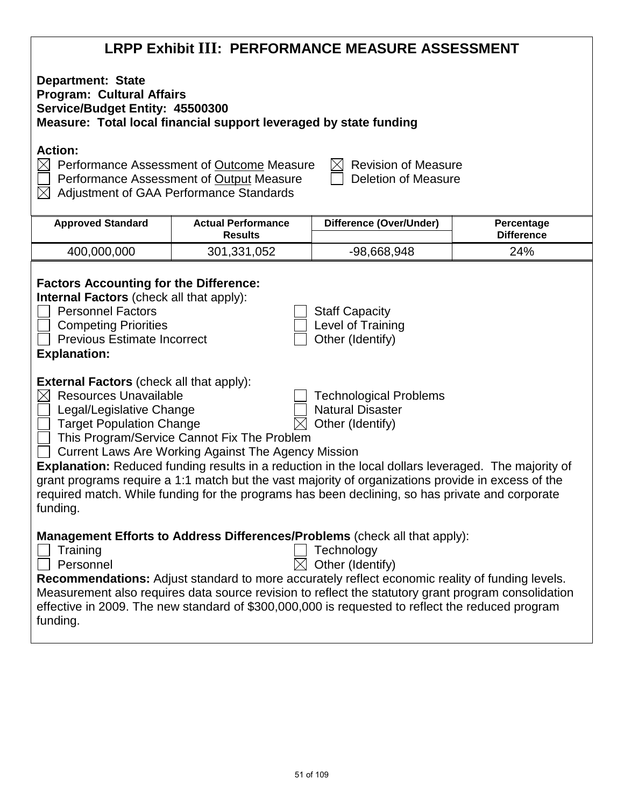| LRPP Exhibit III: PERFORMANCE MEASURE ASSESSMENT                                                                                                                                                                                                                                                                                                                                                                                                                                                                                                                                                                                                                                                                                                         |                                             |                         |                                 |  |
|----------------------------------------------------------------------------------------------------------------------------------------------------------------------------------------------------------------------------------------------------------------------------------------------------------------------------------------------------------------------------------------------------------------------------------------------------------------------------------------------------------------------------------------------------------------------------------------------------------------------------------------------------------------------------------------------------------------------------------------------------------|---------------------------------------------|-------------------------|---------------------------------|--|
| <b>Department: State</b><br><b>Program: Cultural Affairs</b><br>Service/Budget Entity: 45500300<br>Measure: Total local financial support leveraged by state funding<br><b>Action:</b><br>$\boxtimes$ Performance Assessment of Outcome Measure<br><b>Revision of Measure</b><br>IХI<br>Performance Assessment of Output Measure<br><b>Deletion of Measure</b><br>$\bowtie$<br>Adjustment of GAA Performance Standards                                                                                                                                                                                                                                                                                                                                   |                                             |                         |                                 |  |
| <b>Approved Standard</b>                                                                                                                                                                                                                                                                                                                                                                                                                                                                                                                                                                                                                                                                                                                                 | <b>Actual Performance</b><br><b>Results</b> | Difference (Over/Under) | Percentage<br><b>Difference</b> |  |
| 400,000,000                                                                                                                                                                                                                                                                                                                                                                                                                                                                                                                                                                                                                                                                                                                                              | 301,331,052                                 | -98,668,948             | 24%                             |  |
| <b>Factors Accounting for the Difference:</b><br>Internal Factors (check all that apply):<br><b>Personnel Factors</b><br><b>Staff Capacity</b><br>Level of Training<br><b>Competing Priorities</b><br>Other (Identify)<br><b>Previous Estimate Incorrect</b><br><b>Explanation:</b><br><b>External Factors (check all that apply):</b><br><b>Resources Unavailable</b><br>$\boxtimes$<br><b>Technological Problems</b><br><b>Natural Disaster</b><br>Legal/Legislative Change<br><b>Target Population Change</b><br>Other (Identify)<br>This Program/Service Cannot Fix The Problem<br>Current Laws Are Working Against The Agency Mission<br><b>Explanation:</b> Reduced funding results in a reduction in the local dollars leveraged. The majority of |                                             |                         |                                 |  |
| grant programs require a 1:1 match but the vast majority of organizations provide in excess of the<br>required match. While funding for the programs has been declining, so has private and corporate<br>funding.<br>Management Efforts to Address Differences/Problems (check all that apply):<br>Training<br>Technology<br>Other (Identify)<br>Personnel<br>Recommendations: Adjust standard to more accurately reflect economic reality of funding levels.<br>Measurement also requires data source revision to reflect the statutory grant program consolidation<br>effective in 2009. The new standard of \$300,000,000 is requested to reflect the reduced program<br>funding.                                                                     |                                             |                         |                                 |  |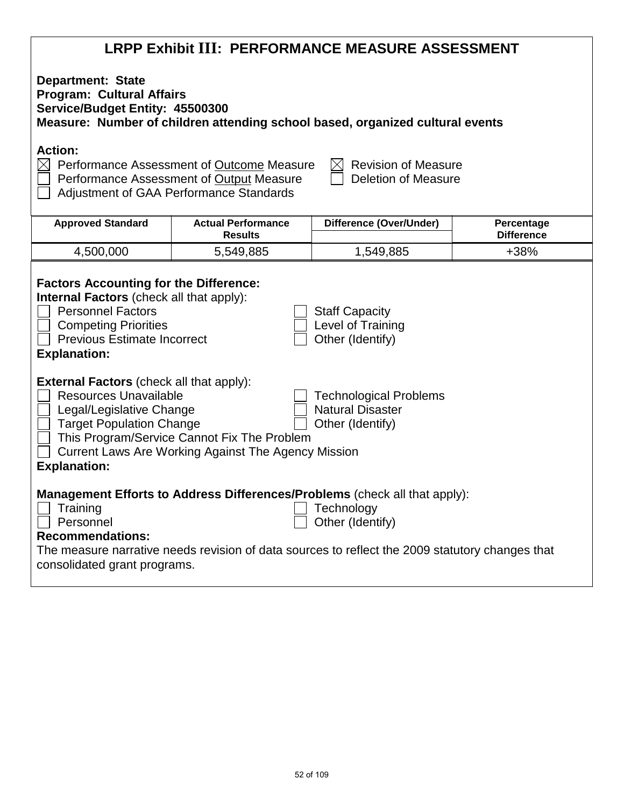| LRPP Exhibit III: PERFORMANCE MEASURE ASSESSMENT                                                                                                                                                                                                                                                                                                                   |                                                                                                                                                                                                           |                                                                |                                 |  |  |  |
|--------------------------------------------------------------------------------------------------------------------------------------------------------------------------------------------------------------------------------------------------------------------------------------------------------------------------------------------------------------------|-----------------------------------------------------------------------------------------------------------------------------------------------------------------------------------------------------------|----------------------------------------------------------------|---------------------------------|--|--|--|
| <b>Department: State</b><br><b>Program: Cultural Affairs</b><br>Service/Budget Entity: 45500300<br>Measure: Number of children attending school based, organized cultural events                                                                                                                                                                                   |                                                                                                                                                                                                           |                                                                |                                 |  |  |  |
| <b>Action:</b><br>$\bowtie$                                                                                                                                                                                                                                                                                                                                        | Performance Assessment of Outcome Measure<br><b>Revision of Measure</b><br>$\bowtie$<br>Performance Assessment of Output Measure<br><b>Deletion of Measure</b><br>Adjustment of GAA Performance Standards |                                                                |                                 |  |  |  |
| <b>Approved Standard</b>                                                                                                                                                                                                                                                                                                                                           | <b>Actual Performance</b><br><b>Results</b>                                                                                                                                                               | Difference (Over/Under)                                        | Percentage<br><b>Difference</b> |  |  |  |
| 4,500,000                                                                                                                                                                                                                                                                                                                                                          | 5,549,885                                                                                                                                                                                                 | 1,549,885                                                      | $+38%$                          |  |  |  |
| <b>Factors Accounting for the Difference:</b><br><b>Internal Factors</b> (check all that apply):<br><b>Personnel Factors</b><br><b>Competing Priorities</b><br><b>Previous Estimate Incorrect</b><br><b>Explanation:</b>                                                                                                                                           |                                                                                                                                                                                                           | <b>Staff Capacity</b><br>Level of Training<br>Other (Identify) |                                 |  |  |  |
| <b>External Factors</b> (check all that apply):<br><b>Resources Unavailable</b><br><b>Technological Problems</b><br><b>Natural Disaster</b><br>Legal/Legislative Change<br><b>Target Population Change</b><br>Other (Identify)<br>This Program/Service Cannot Fix The Problem<br><b>Current Laws Are Working Against The Agency Mission</b><br><b>Explanation:</b> |                                                                                                                                                                                                           |                                                                |                                 |  |  |  |
| Management Efforts to Address Differences/Problems (check all that apply):<br>Technology<br>Training<br>Personnel<br>Other (Identify)<br><b>Recommendations:</b><br>The measure narrative needs revision of data sources to reflect the 2009 statutory changes that<br>consolidated grant programs.                                                                |                                                                                                                                                                                                           |                                                                |                                 |  |  |  |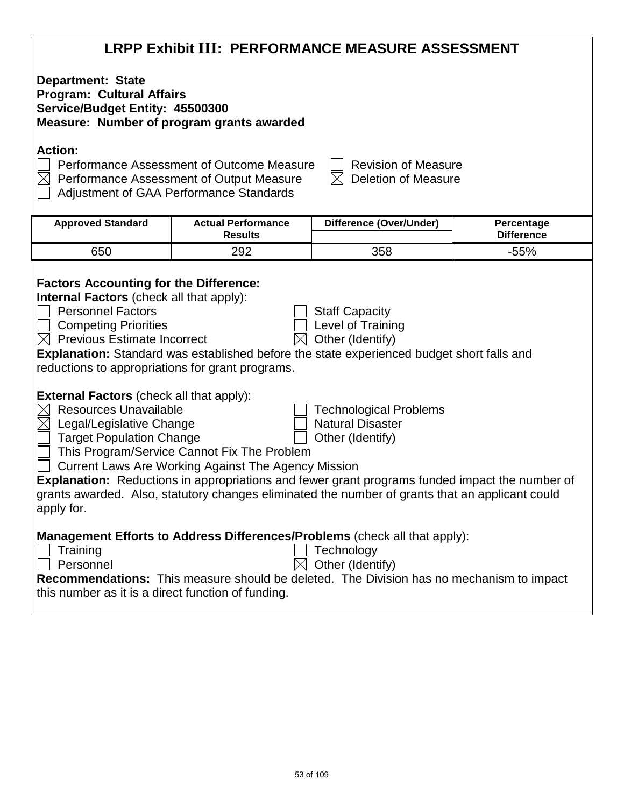| LRPP Exhibit III: PERFORMANCE MEASURE ASSESSMENT                                                                                                                                                                                                                                                                                                                                                                                                                                                                                                                            |                                                                                                                                         |                                                                       |                                 |  |
|-----------------------------------------------------------------------------------------------------------------------------------------------------------------------------------------------------------------------------------------------------------------------------------------------------------------------------------------------------------------------------------------------------------------------------------------------------------------------------------------------------------------------------------------------------------------------------|-----------------------------------------------------------------------------------------------------------------------------------------|-----------------------------------------------------------------------|---------------------------------|--|
| <b>Department: State</b><br><b>Program: Cultural Affairs</b><br>Service/Budget Entity: 45500300<br>Measure: Number of program grants awarded                                                                                                                                                                                                                                                                                                                                                                                                                                |                                                                                                                                         |                                                                       |                                 |  |
| <b>Action:</b><br>$\boxtimes$                                                                                                                                                                                                                                                                                                                                                                                                                                                                                                                                               | Performance Assessment of Outcome Measure<br>Performance Assessment of Output Measure<br><b>Adjustment of GAA Performance Standards</b> | <b>Revision of Measure</b><br>$\bowtie$<br><b>Deletion of Measure</b> |                                 |  |
| <b>Approved Standard</b>                                                                                                                                                                                                                                                                                                                                                                                                                                                                                                                                                    | <b>Actual Performance</b><br><b>Results</b>                                                                                             | Difference (Over/Under)                                               | Percentage<br><b>Difference</b> |  |
| 650                                                                                                                                                                                                                                                                                                                                                                                                                                                                                                                                                                         | 292                                                                                                                                     | 358                                                                   | $-55%$                          |  |
| <b>Factors Accounting for the Difference:</b><br><b>Internal Factors</b> (check all that apply):<br><b>Personnel Factors</b><br><b>Staff Capacity</b><br>Level of Training<br><b>Competing Priorities</b><br>Other (Identify)<br><b>Previous Estimate Incorrect</b><br>$\bowtie$<br><b>Explanation:</b> Standard was established before the state experienced budget short falls and<br>reductions to appropriations for grant programs.<br><b>External Factors</b> (check all that apply):<br><b>Resources Unavailable</b><br><b>Technological Problems</b><br>$\boxtimes$ |                                                                                                                                         |                                                                       |                                 |  |
| <b>Natural Disaster</b><br>$\boxtimes$<br>Legal/Legislative Change<br><b>Target Population Change</b><br>Other (Identify)<br>This Program/Service Cannot Fix The Problem<br><b>Current Laws Are Working Against The Agency Mission</b><br>Explanation: Reductions in appropriations and fewer grant programs funded impact the number of<br>grants awarded. Also, statutory changes eliminated the number of grants that an applicant could<br>apply for.                                                                                                                   |                                                                                                                                         |                                                                       |                                 |  |
| Management Efforts to Address Differences/Problems (check all that apply):<br>Training<br>Technology<br>Other (Identify)<br>Personnel<br>Recommendations: This measure should be deleted. The Division has no mechanism to impact<br>this number as it is a direct function of funding.                                                                                                                                                                                                                                                                                     |                                                                                                                                         |                                                                       |                                 |  |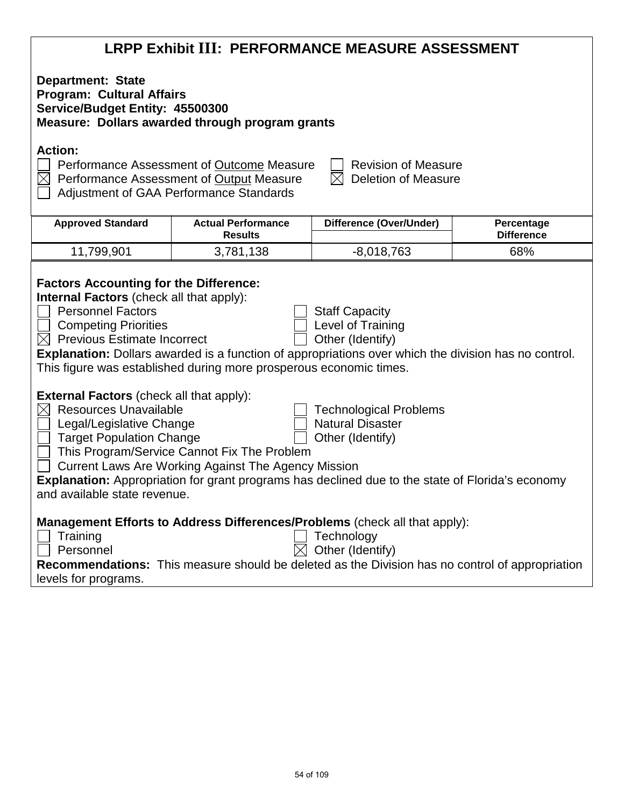| <b>LRPP Exhibit III: PERFORMANCE MEASURE ASSESSMENT</b>                                                                                                                                                                                                                                                                                                                                                                                                                                             |                                                                                                                                                                                                                    |                                                                |                                 |  |  |
|-----------------------------------------------------------------------------------------------------------------------------------------------------------------------------------------------------------------------------------------------------------------------------------------------------------------------------------------------------------------------------------------------------------------------------------------------------------------------------------------------------|--------------------------------------------------------------------------------------------------------------------------------------------------------------------------------------------------------------------|----------------------------------------------------------------|---------------------------------|--|--|
| <b>Department: State</b><br><b>Program: Cultural Affairs</b><br>Service/Budget Entity: 45500300<br>Measure: Dollars awarded through program grants                                                                                                                                                                                                                                                                                                                                                  |                                                                                                                                                                                                                    |                                                                |                                 |  |  |
| <b>Action:</b><br>$\boxtimes$                                                                                                                                                                                                                                                                                                                                                                                                                                                                       | Performance Assessment of Outcome Measure<br><b>Revision of Measure</b><br>Performance Assessment of Output Measure<br><b>Deletion of Measure</b><br>$\boxtimes$<br><b>Adjustment of GAA Performance Standards</b> |                                                                |                                 |  |  |
| <b>Approved Standard</b>                                                                                                                                                                                                                                                                                                                                                                                                                                                                            | <b>Actual Performance</b><br><b>Results</b>                                                                                                                                                                        | Difference (Over/Under)                                        | Percentage<br><b>Difference</b> |  |  |
| 11,799,901                                                                                                                                                                                                                                                                                                                                                                                                                                                                                          | 3,781,138                                                                                                                                                                                                          | $-8,018,763$                                                   | 68%                             |  |  |
| <b>Factors Accounting for the Difference:</b><br><b>Internal Factors</b> (check all that apply):<br><b>Personnel Factors</b><br><b>Competing Priorities</b><br>$\boxtimes$ Previous Estimate Incorrect                                                                                                                                                                                                                                                                                              | <b>Explanation:</b> Dollars awarded is a function of appropriations over which the division has no control.<br>This figure was established during more prosperous economic times.                                  | <b>Staff Capacity</b><br>Level of Training<br>Other (Identify) |                                 |  |  |
| <b>External Factors</b> (check all that apply):<br><b>Resources Unavailable</b><br>$\bowtie$<br><b>Technological Problems</b><br><b>Natural Disaster</b><br>Legal/Legislative Change<br><b>Target Population Change</b><br>Other (Identify)<br>This Program/Service Cannot Fix The Problem<br><b>Current Laws Are Working Against The Agency Mission</b><br><b>Explanation:</b> Appropriation for grant programs has declined due to the state of Florida's economy<br>and available state revenue. |                                                                                                                                                                                                                    |                                                                |                                 |  |  |
| Management Efforts to Address Differences/Problems (check all that apply):<br>Technology<br>Training<br>Other (Identify)<br>Personnel<br>Recommendations: This measure should be deleted as the Division has no control of appropriation<br>levels for programs.                                                                                                                                                                                                                                    |                                                                                                                                                                                                                    |                                                                |                                 |  |  |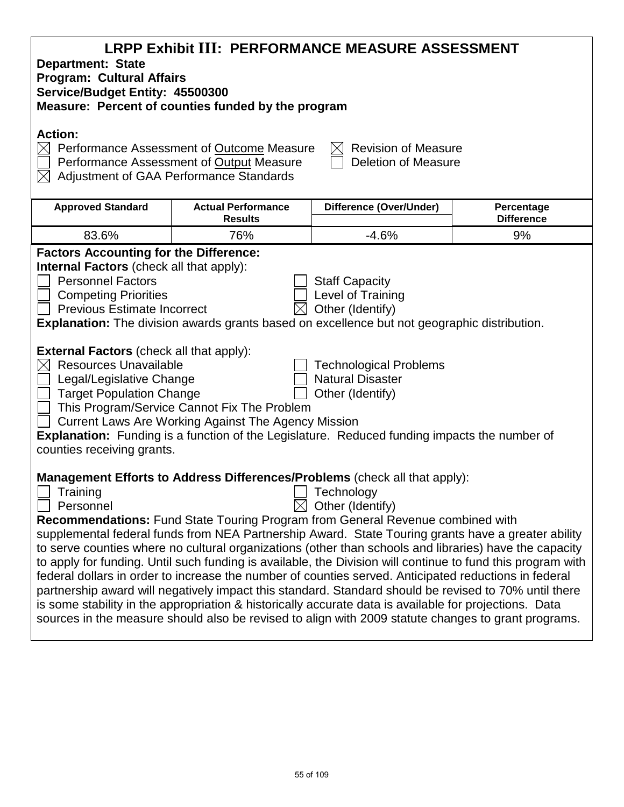| <b>LRPP Exhibit III: PERFORMANCE MEASURE ASSESSMENT</b>                                                                                                                                                                                                                                                                                                                                                                                                                                                                                                                                                                                                                                                                                                                                     |                                             |                                                                                                     |                                 |
|---------------------------------------------------------------------------------------------------------------------------------------------------------------------------------------------------------------------------------------------------------------------------------------------------------------------------------------------------------------------------------------------------------------------------------------------------------------------------------------------------------------------------------------------------------------------------------------------------------------------------------------------------------------------------------------------------------------------------------------------------------------------------------------------|---------------------------------------------|-----------------------------------------------------------------------------------------------------|---------------------------------|
| <b>Department: State</b>                                                                                                                                                                                                                                                                                                                                                                                                                                                                                                                                                                                                                                                                                                                                                                    |                                             |                                                                                                     |                                 |
| <b>Program: Cultural Affairs</b>                                                                                                                                                                                                                                                                                                                                                                                                                                                                                                                                                                                                                                                                                                                                                            |                                             |                                                                                                     |                                 |
| Service/Budget Entity: 45500300<br>Measure: Percent of counties funded by the program                                                                                                                                                                                                                                                                                                                                                                                                                                                                                                                                                                                                                                                                                                       |                                             |                                                                                                     |                                 |
|                                                                                                                                                                                                                                                                                                                                                                                                                                                                                                                                                                                                                                                                                                                                                                                             |                                             |                                                                                                     |                                 |
| <b>Action:</b><br>$\boxtimes$<br>Performance Assessment of Outcome Measure<br><b>Revision of Measure</b><br>$\mathbb{X}% _{n}$<br>Performance Assessment of Output Measure<br><b>Deletion of Measure</b><br>$\bowtie$<br>Adjustment of GAA Performance Standards                                                                                                                                                                                                                                                                                                                                                                                                                                                                                                                            |                                             |                                                                                                     |                                 |
| <b>Approved Standard</b>                                                                                                                                                                                                                                                                                                                                                                                                                                                                                                                                                                                                                                                                                                                                                                    | <b>Actual Performance</b><br><b>Results</b> | Difference (Over/Under)                                                                             | Percentage<br><b>Difference</b> |
| 83.6%                                                                                                                                                                                                                                                                                                                                                                                                                                                                                                                                                                                                                                                                                                                                                                                       | 76%                                         | $-4.6%$                                                                                             | 9%                              |
| <b>Factors Accounting for the Difference:</b>                                                                                                                                                                                                                                                                                                                                                                                                                                                                                                                                                                                                                                                                                                                                               |                                             |                                                                                                     |                                 |
| <b>Internal Factors</b> (check all that apply):                                                                                                                                                                                                                                                                                                                                                                                                                                                                                                                                                                                                                                                                                                                                             |                                             |                                                                                                     |                                 |
| <b>Personnel Factors</b>                                                                                                                                                                                                                                                                                                                                                                                                                                                                                                                                                                                                                                                                                                                                                                    |                                             | <b>Staff Capacity</b>                                                                               |                                 |
| <b>Competing Priorities</b>                                                                                                                                                                                                                                                                                                                                                                                                                                                                                                                                                                                                                                                                                                                                                                 |                                             | Level of Training                                                                                   |                                 |
| <b>Previous Estimate Incorrect</b>                                                                                                                                                                                                                                                                                                                                                                                                                                                                                                                                                                                                                                                                                                                                                          |                                             | Other (Identify)                                                                                    |                                 |
|                                                                                                                                                                                                                                                                                                                                                                                                                                                                                                                                                                                                                                                                                                                                                                                             |                                             | <b>Explanation:</b> The division awards grants based on excellence but not geographic distribution. |                                 |
| <b>External Factors (check all that apply):</b><br><b>Resources Unavailable</b><br><b>Technological Problems</b><br>$\times$<br><b>Natural Disaster</b><br>Legal/Legislative Change<br><b>Target Population Change</b><br>Other (Identify)<br>This Program/Service Cannot Fix The Problem<br><b>Current Laws Are Working Against The Agency Mission</b><br>Explanation: Funding is a function of the Legislature. Reduced funding impacts the number of<br>counties receiving grants.                                                                                                                                                                                                                                                                                                       |                                             |                                                                                                     |                                 |
| Management Efforts to Address Differences/Problems (check all that apply):<br>Training<br>Technology<br>$\boxtimes$ Other (Identify)<br>Personnel<br><b>Recommendations:</b> Fund State Touring Program from General Revenue combined with<br>supplemental federal funds from NEA Partnership Award. State Touring grants have a greater ability<br>to serve counties where no cultural organizations (other than schools and libraries) have the capacity<br>to apply for funding. Until such funding is available, the Division will continue to fund this program with<br>federal dollars in order to increase the number of counties served. Anticipated reductions in federal<br>partnership award will negatively impact this standard. Standard should be revised to 70% until there |                                             |                                                                                                     |                                 |
| is some stability in the appropriation & historically accurate data is available for projections. Data<br>sources in the measure should also be revised to align with 2009 statute changes to grant programs.                                                                                                                                                                                                                                                                                                                                                                                                                                                                                                                                                                               |                                             |                                                                                                     |                                 |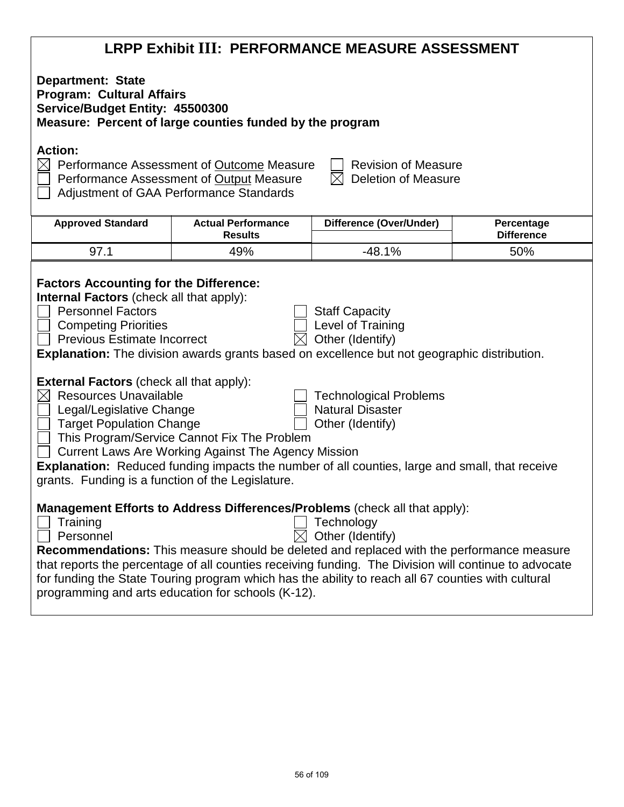| LRPP Exhibit III: PERFORMANCE MEASURE ASSESSMENT                                                                                                                                                                                                                                                                                                                                                                                                                                                                                                                                                                                                                                                                                                                                                                                                                                                             |                                             |                         |                                 |  |
|--------------------------------------------------------------------------------------------------------------------------------------------------------------------------------------------------------------------------------------------------------------------------------------------------------------------------------------------------------------------------------------------------------------------------------------------------------------------------------------------------------------------------------------------------------------------------------------------------------------------------------------------------------------------------------------------------------------------------------------------------------------------------------------------------------------------------------------------------------------------------------------------------------------|---------------------------------------------|-------------------------|---------------------------------|--|
| <b>Department: State</b><br><b>Program: Cultural Affairs</b><br>Service/Budget Entity: 45500300<br>Measure: Percent of large counties funded by the program                                                                                                                                                                                                                                                                                                                                                                                                                                                                                                                                                                                                                                                                                                                                                  |                                             |                         |                                 |  |
| <b>Action:</b><br>$\boxtimes$ Performance Assessment of Outcome Measure<br><b>Revision of Measure</b><br>Performance Assessment of Output Measure<br>$\boxtimes$<br><b>Deletion of Measure</b><br>Adjustment of GAA Performance Standards                                                                                                                                                                                                                                                                                                                                                                                                                                                                                                                                                                                                                                                                    |                                             |                         |                                 |  |
| <b>Approved Standard</b>                                                                                                                                                                                                                                                                                                                                                                                                                                                                                                                                                                                                                                                                                                                                                                                                                                                                                     | <b>Actual Performance</b><br><b>Results</b> | Difference (Over/Under) | Percentage<br><b>Difference</b> |  |
| 97.1                                                                                                                                                                                                                                                                                                                                                                                                                                                                                                                                                                                                                                                                                                                                                                                                                                                                                                         | 49%                                         | $-48.1%$                | 50%                             |  |
| <b>Factors Accounting for the Difference:</b><br><b>Internal Factors</b> (check all that apply):<br><b>Personnel Factors</b><br><b>Staff Capacity</b><br>Level of Training<br><b>Competing Priorities</b><br><b>Previous Estimate Incorrect</b><br>Other (Identify)<br>$\boxtimes$<br><b>Explanation:</b> The division awards grants based on excellence but not geographic distribution.<br><b>External Factors (check all that apply):</b><br><b>Resources Unavailable</b><br><b>Technological Problems</b><br>$\bowtie$<br><b>Natural Disaster</b><br>Legal/Legislative Change<br><b>Target Population Change</b><br>Other (Identify)<br>This Program/Service Cannot Fix The Problem<br><b>Current Laws Are Working Against The Agency Mission</b><br>Explanation: Reduced funding impacts the number of all counties, large and small, that receive<br>grants. Funding is a function of the Legislature. |                                             |                         |                                 |  |
| Management Efforts to Address Differences/Problems (check all that apply):<br>Technology<br>Training<br>Other (Identify)<br>Personnel<br>Recommendations: This measure should be deleted and replaced with the performance measure<br>that reports the percentage of all counties receiving funding. The Division will continue to advocate<br>for funding the State Touring program which has the ability to reach all 67 counties with cultural<br>programming and arts education for schools (K-12).                                                                                                                                                                                                                                                                                                                                                                                                      |                                             |                         |                                 |  |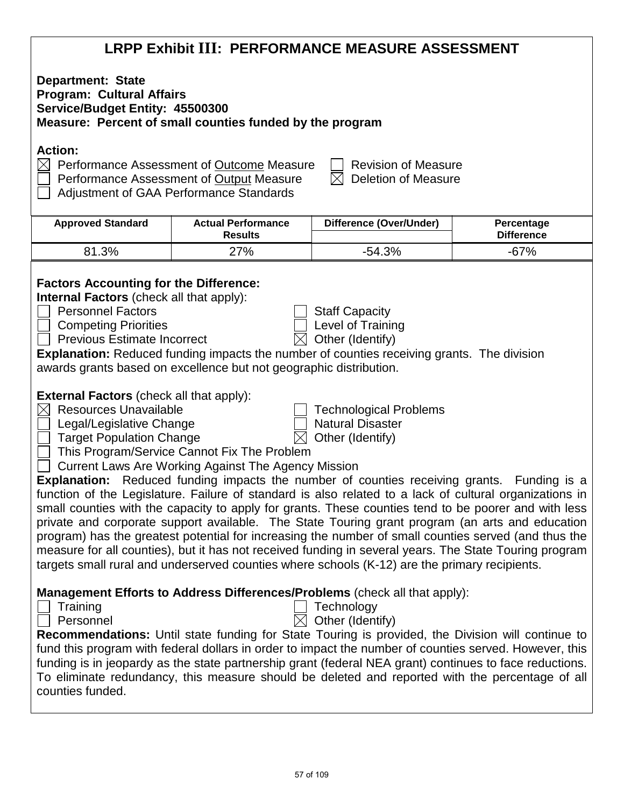| LRPP Exhibit III: PERFORMANCE MEASURE ASSESSMENT                                                                                                                                                                                                                                                                                                                                                                                                                                                                                                                                                                                                                                                                                                                                                                                                                                                                                                                      |                                             |                                                                                                                                                                                                                                                                                                                                                                                                                                                                                                                                           |                                 |
|-----------------------------------------------------------------------------------------------------------------------------------------------------------------------------------------------------------------------------------------------------------------------------------------------------------------------------------------------------------------------------------------------------------------------------------------------------------------------------------------------------------------------------------------------------------------------------------------------------------------------------------------------------------------------------------------------------------------------------------------------------------------------------------------------------------------------------------------------------------------------------------------------------------------------------------------------------------------------|---------------------------------------------|-------------------------------------------------------------------------------------------------------------------------------------------------------------------------------------------------------------------------------------------------------------------------------------------------------------------------------------------------------------------------------------------------------------------------------------------------------------------------------------------------------------------------------------------|---------------------------------|
| <b>Department: State</b><br><b>Program: Cultural Affairs</b><br>Service/Budget Entity: 45500300<br>Measure: Percent of small counties funded by the program                                                                                                                                                                                                                                                                                                                                                                                                                                                                                                                                                                                                                                                                                                                                                                                                           |                                             |                                                                                                                                                                                                                                                                                                                                                                                                                                                                                                                                           |                                 |
| <b>Action:</b><br>$\bowtie$<br>Performance Assessment of Outcome Measure<br><b>Revision of Measure</b><br>Performance Assessment of Output Measure<br><b>Deletion of Measure</b><br>$\boxtimes$<br>Adjustment of GAA Performance Standards                                                                                                                                                                                                                                                                                                                                                                                                                                                                                                                                                                                                                                                                                                                            |                                             |                                                                                                                                                                                                                                                                                                                                                                                                                                                                                                                                           |                                 |
| <b>Approved Standard</b>                                                                                                                                                                                                                                                                                                                                                                                                                                                                                                                                                                                                                                                                                                                                                                                                                                                                                                                                              | <b>Actual Performance</b><br><b>Results</b> | Difference (Over/Under)                                                                                                                                                                                                                                                                                                                                                                                                                                                                                                                   | Percentage<br><b>Difference</b> |
| 81.3%                                                                                                                                                                                                                                                                                                                                                                                                                                                                                                                                                                                                                                                                                                                                                                                                                                                                                                                                                                 | 27%                                         | $-54.3%$                                                                                                                                                                                                                                                                                                                                                                                                                                                                                                                                  | $-67%$                          |
| <b>Factors Accounting for the Difference:</b><br><b>Internal Factors</b> (check all that apply):<br><b>Personnel Factors</b><br><b>Staff Capacity</b><br>Level of Training<br><b>Competing Priorities</b><br>Other (Identify)<br>Previous Estimate Incorrect<br><b>Explanation:</b> Reduced funding impacts the number of counties receiving grants. The division<br>awards grants based on excellence but not geographic distribution.<br><b>External Factors</b> (check all that apply):<br><b>Resources Unavailable</b><br>$\boxtimes$<br><b>Technological Problems</b>                                                                                                                                                                                                                                                                                                                                                                                            |                                             |                                                                                                                                                                                                                                                                                                                                                                                                                                                                                                                                           |                                 |
| <b>Natural Disaster</b><br>Legal/Legislative Change<br>Other (Identify)<br><b>Target Population Change</b><br>This Program/Service Cannot Fix The Problem<br><b>Current Laws Are Working Against The Agency Mission</b><br><b>Explanation:</b> Reduced funding impacts the number of counties receiving grants. Funding is a<br>function of the Legislature. Failure of standard is also related to a lack of cultural organizations in<br>small counties with the capacity to apply for grants. These counties tend to be poorer and with less<br>private and corporate support available. The State Touring grant program (an arts and education<br>program) has the greatest potential for increasing the number of small counties served (and thus the<br>measure for all counties), but it has not received funding in several years. The State Touring program<br>targets small rural and underserved counties where schools (K-12) are the primary recipients. |                                             |                                                                                                                                                                                                                                                                                                                                                                                                                                                                                                                                           |                                 |
| Training<br>Personnel<br>counties funded.                                                                                                                                                                                                                                                                                                                                                                                                                                                                                                                                                                                                                                                                                                                                                                                                                                                                                                                             |                                             | Management Efforts to Address Differences/Problems (check all that apply):<br>Technology<br>Other (Identify)<br>Recommendations: Until state funding for State Touring is provided, the Division will continue to<br>fund this program with federal dollars in order to impact the number of counties served. However, this<br>funding is in jeopardy as the state partnership grant (federal NEA grant) continues to face reductions.<br>To eliminate redundancy, this measure should be deleted and reported with the percentage of all |                                 |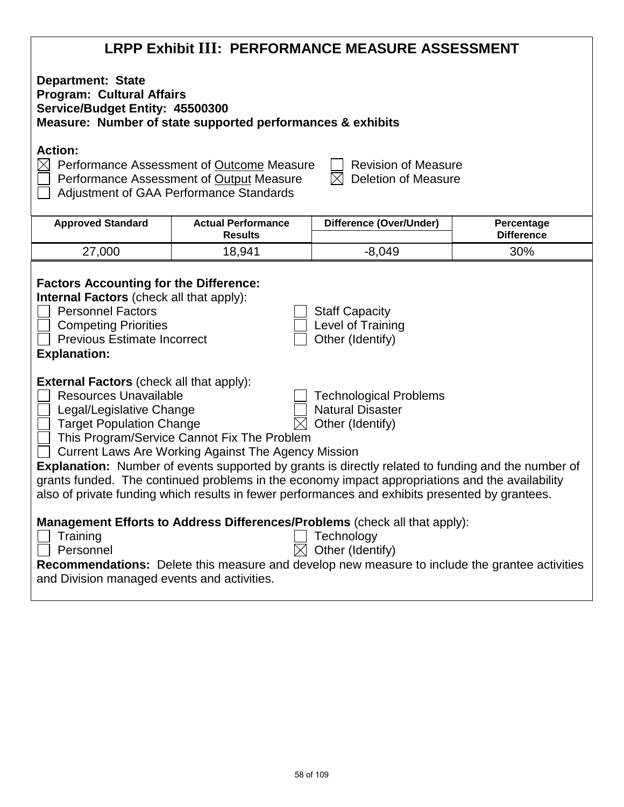| <b>LRPP Exhibit III: PERFORMANCE MEASURE ASSESSMENT</b>                                                                                                                                                                                                                                                                                                                                                                                                                                                                                                                                                                                                        |                                             |                         |                                 |
|----------------------------------------------------------------------------------------------------------------------------------------------------------------------------------------------------------------------------------------------------------------------------------------------------------------------------------------------------------------------------------------------------------------------------------------------------------------------------------------------------------------------------------------------------------------------------------------------------------------------------------------------------------------|---------------------------------------------|-------------------------|---------------------------------|
| <b>Department: State</b><br><b>Program: Cultural Affairs</b><br>Service/Budget Entity: 45500300<br>Measure: Number of state supported performances & exhibits                                                                                                                                                                                                                                                                                                                                                                                                                                                                                                  |                                             |                         |                                 |
| <b>Action:</b><br>$\boxtimes$ Performance Assessment of Outcome Measure<br><b>Revision of Measure</b><br>Performance Assessment of Output Measure<br>$\bowtie$<br><b>Deletion of Measure</b><br>Adjustment of GAA Performance Standards                                                                                                                                                                                                                                                                                                                                                                                                                        |                                             |                         |                                 |
| <b>Approved Standard</b>                                                                                                                                                                                                                                                                                                                                                                                                                                                                                                                                                                                                                                       | <b>Actual Performance</b><br><b>Results</b> | Difference (Over/Under) | Percentage<br><b>Difference</b> |
| 27,000                                                                                                                                                                                                                                                                                                                                                                                                                                                                                                                                                                                                                                                         | 18,941                                      | $-8,049$                | 30%                             |
| <b>Factors Accounting for the Difference:</b><br><b>Internal Factors</b> (check all that apply):<br><b>Personnel Factors</b><br><b>Staff Capacity</b><br>Level of Training<br><b>Competing Priorities</b><br><b>Previous Estimate Incorrect</b><br>Other (Identify)<br><b>Explanation:</b>                                                                                                                                                                                                                                                                                                                                                                     |                                             |                         |                                 |
| <b>External Factors (check all that apply):</b><br><b>Resources Unavailable</b><br><b>Technological Problems</b><br><b>Natural Disaster</b><br>Legal/Legislative Change<br>Other (Identify)<br><b>Target Population Change</b><br>This Program/Service Cannot Fix The Problem<br><b>Current Laws Are Working Against The Agency Mission</b><br><b>Explanation:</b> Number of events supported by grants is directly related to funding and the number of<br>grants funded. The continued problems in the economy impact appropriations and the availability<br>also of private funding which results in fewer performances and exhibits presented by grantees. |                                             |                         |                                 |
| Management Efforts to Address Differences/Problems (check all that apply):<br>Technology<br>Training<br>Other (Identify)<br>Personnel<br><b>Recommendations:</b> Delete this measure and develop new measure to include the grantee activities<br>and Division managed events and activities.                                                                                                                                                                                                                                                                                                                                                                  |                                             |                         |                                 |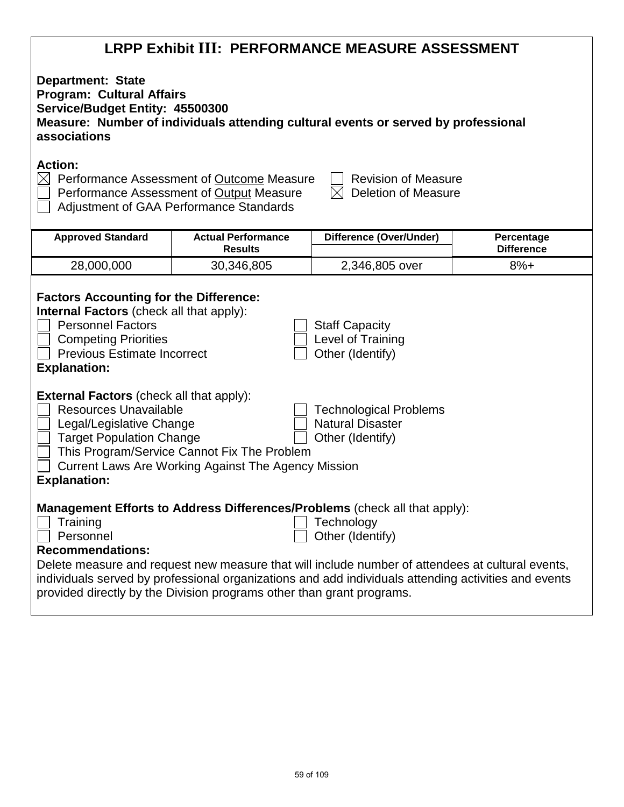| <b>Department: State</b><br><b>Program: Cultural Affairs</b><br>Service/Budget Entity: 45500300<br>Measure: Number of individuals attending cultural events or served by professional<br>associations                                                                                                                                                                                                                                                                                                                                                                                                                                     |                                             |                         |                                 |
|-------------------------------------------------------------------------------------------------------------------------------------------------------------------------------------------------------------------------------------------------------------------------------------------------------------------------------------------------------------------------------------------------------------------------------------------------------------------------------------------------------------------------------------------------------------------------------------------------------------------------------------------|---------------------------------------------|-------------------------|---------------------------------|
| <b>Action:</b><br>$\boxtimes$ Performance Assessment of Outcome Measure<br><b>Revision of Measure</b><br>Performance Assessment of Output Measure<br>$\boxtimes$<br><b>Deletion of Measure</b><br>Adjustment of GAA Performance Standards                                                                                                                                                                                                                                                                                                                                                                                                 |                                             |                         |                                 |
| <b>Approved Standard</b>                                                                                                                                                                                                                                                                                                                                                                                                                                                                                                                                                                                                                  | <b>Actual Performance</b><br><b>Results</b> | Difference (Over/Under) | Percentage<br><b>Difference</b> |
| 28,000,000                                                                                                                                                                                                                                                                                                                                                                                                                                                                                                                                                                                                                                | 30,346,805                                  | 2,346,805 over          | $8%+$                           |
| <b>Factors Accounting for the Difference:</b><br><b>Internal Factors</b> (check all that apply):<br><b>Personnel Factors</b><br><b>Staff Capacity</b><br><b>Competing Priorities</b><br>Level of Training<br><b>Previous Estimate Incorrect</b><br>Other (Identify)<br><b>Explanation:</b><br><b>External Factors (check all that apply):</b><br><b>Resources Unavailable</b><br><b>Technological Problems</b><br><b>Natural Disaster</b><br>Legal/Legislative Change<br><b>Target Population Change</b><br>Other (Identify)<br>This Program/Service Cannot Fix The Problem<br><b>Current Laws Are Working Against The Agency Mission</b> |                                             |                         |                                 |
| <b>Explanation:</b><br>Management Efforts to Address Differences/Problems (check all that apply):                                                                                                                                                                                                                                                                                                                                                                                                                                                                                                                                         |                                             |                         |                                 |
| Training<br>Technology<br>Personnel<br>Other (Identify)<br><b>Recommendations:</b><br>Delete measure and request new measure that will include number of attendees at cultural events,<br>individuals served by professional organizations and add individuals attending activities and events<br>provided directly by the Division programs other than grant programs.                                                                                                                                                                                                                                                                   |                                             |                         |                                 |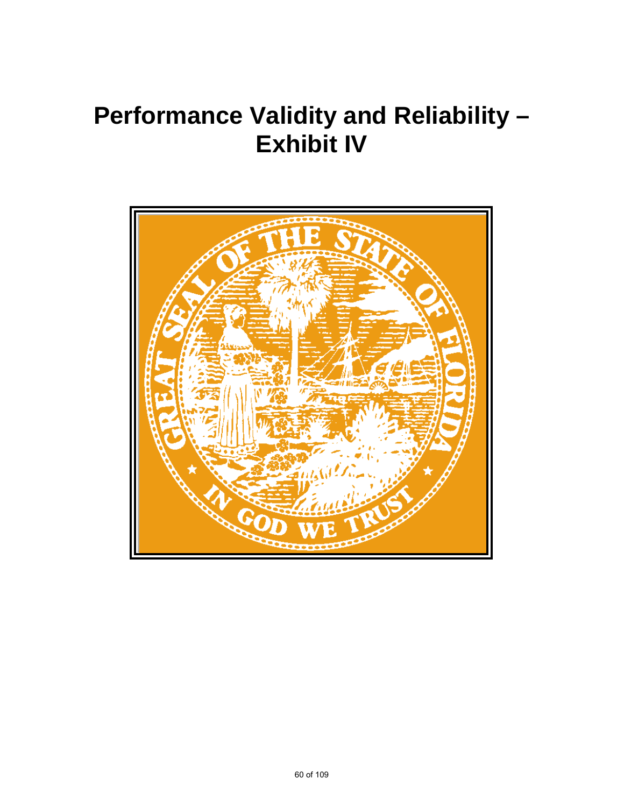# **Performance Validity and Reliability – Exhibit IV**

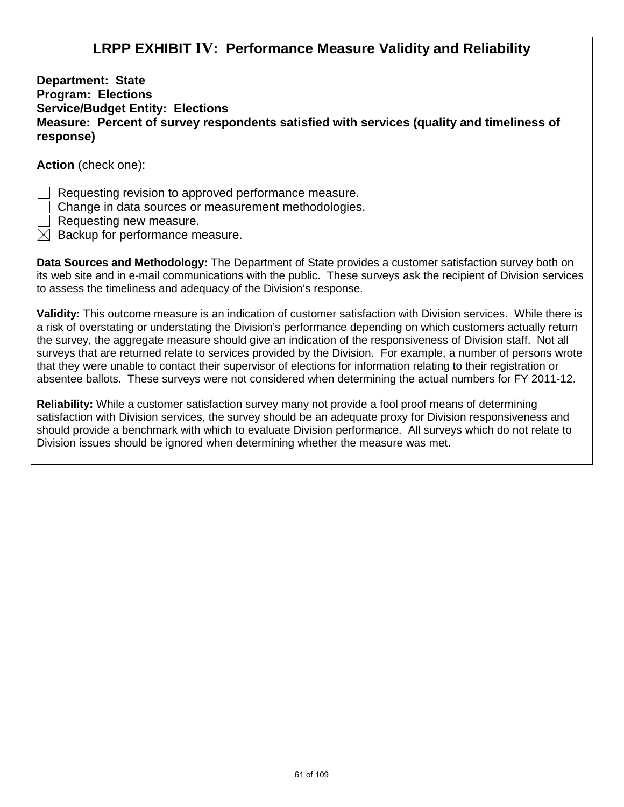**Department: State Program: Elections Service/Budget Entity: Elections Measure: Percent of survey respondents satisfied with services (quality and timeliness of response)**

**Action** (check one):

Requesting revision to approved performance measure.

Change in data sources or measurement methodologies.

Requesting new measure.

 $\boxtimes$  Backup for performance measure.

**Data Sources and Methodology:** The Department of State provides a customer satisfaction survey both on its web site and in e-mail communications with the public. These surveys ask the recipient of Division services to assess the timeliness and adequacy of the Division's response.

**Validity:** This outcome measure is an indication of customer satisfaction with Division services. While there is a risk of overstating or understating the Division's performance depending on which customers actually return the survey, the aggregate measure should give an indication of the responsiveness of Division staff. Not all surveys that are returned relate to services provided by the Division. For example, a number of persons wrote that they were unable to contact their supervisor of elections for information relating to their registration or absentee ballots. These surveys were not considered when determining the actual numbers for FY 2011-12.

**Reliability:** While a customer satisfaction survey many not provide a fool proof means of determining satisfaction with Division services, the survey should be an adequate proxy for Division responsiveness and should provide a benchmark with which to evaluate Division performance. All surveys which do not relate to Division issues should be ignored when determining whether the measure was met.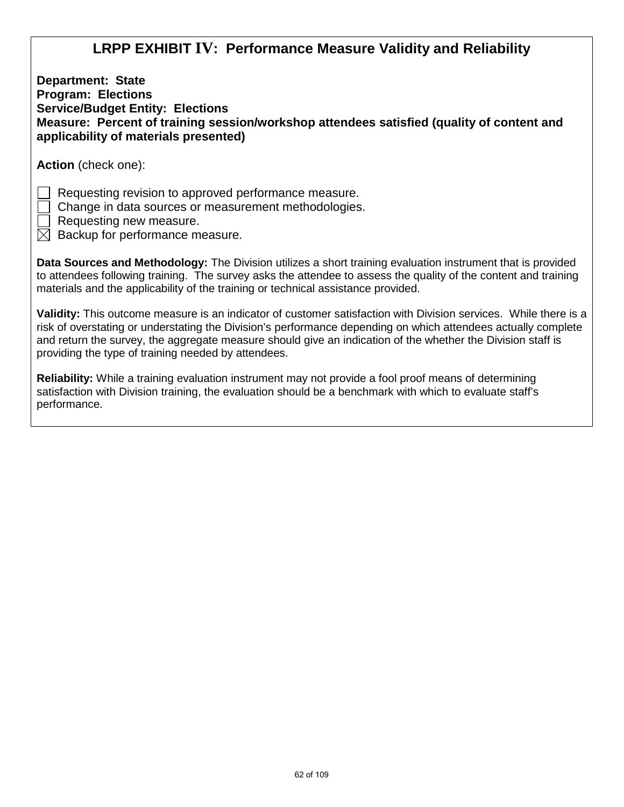**Department: State Program: Elections Service/Budget Entity: Elections Measure: Percent of training session/workshop attendees satisfied (quality of content and applicability of materials presented)**

**Action** (check one):

Requesting revision to approved performance measure.

Change in data sources or measurement methodologies.

Requesting new measure.

 $\boxtimes$  Backup for performance measure.

**Data Sources and Methodology:** The Division utilizes a short training evaluation instrument that is provided to attendees following training. The survey asks the attendee to assess the quality of the content and training materials and the applicability of the training or technical assistance provided.

**Validity:** This outcome measure is an indicator of customer satisfaction with Division services. While there is a risk of overstating or understating the Division's performance depending on which attendees actually complete and return the survey, the aggregate measure should give an indication of the whether the Division staff is providing the type of training needed by attendees.

**Reliability:** While a training evaluation instrument may not provide a fool proof means of determining satisfaction with Division training, the evaluation should be a benchmark with which to evaluate staff's performance.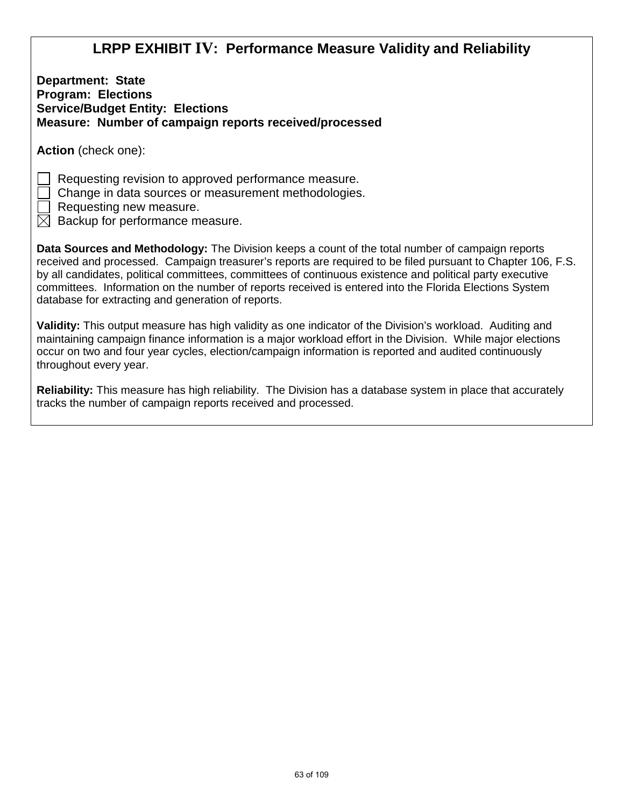**Department: State Program: Elections Service/Budget Entity: Elections Measure: Number of campaign reports received/processed**

**Action** (check one):

Requesting revision to approved performance measure.

Change in data sources or measurement methodologies.

Requesting new measure.

 $\boxtimes$  Backup for performance measure.

**Data Sources and Methodology:** The Division keeps a count of the total number of campaign reports received and processed. Campaign treasurer's reports are required to be filed pursuant to Chapter 106, F.S. by all candidates, political committees, committees of continuous existence and political party executive committees. Information on the number of reports received is entered into the Florida Elections System database for extracting and generation of reports.

**Validity:** This output measure has high validity as one indicator of the Division's workload. Auditing and maintaining campaign finance information is a major workload effort in the Division. While major elections occur on two and four year cycles, election/campaign information is reported and audited continuously throughout every year.

**Reliability:** This measure has high reliability. The Division has a database system in place that accurately tracks the number of campaign reports received and processed.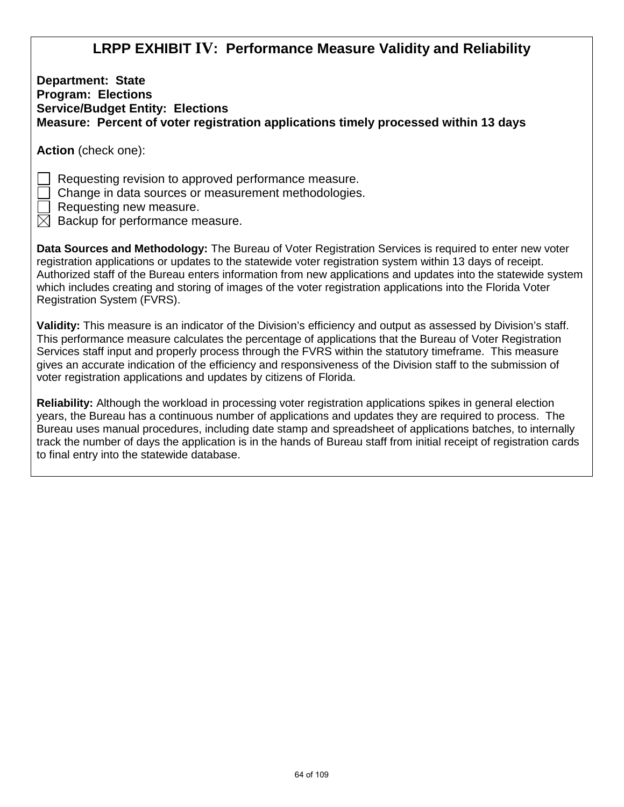**Department: State Program: Elections Service/Budget Entity: Elections Measure: Percent of voter registration applications timely processed within 13 days** 

**Action** (check one):

Requesting revision to approved performance measure.

Change in data sources or measurement methodologies.

Requesting new measure.

 $\boxtimes$  Backup for performance measure.

**Data Sources and Methodology:** The Bureau of Voter Registration Services is required to enter new voter registration applications or updates to the statewide voter registration system within 13 days of receipt. Authorized staff of the Bureau enters information from new applications and updates into the statewide system which includes creating and storing of images of the voter registration applications into the Florida Voter Registration System (FVRS).

**Validity:** This measure is an indicator of the Division's efficiency and output as assessed by Division's staff. This performance measure calculates the percentage of applications that the Bureau of Voter Registration Services staff input and properly process through the FVRS within the statutory timeframe. This measure gives an accurate indication of the efficiency and responsiveness of the Division staff to the submission of voter registration applications and updates by citizens of Florida.

**Reliability:** Although the workload in processing voter registration applications spikes in general election years, the Bureau has a continuous number of applications and updates they are required to process. The Bureau uses manual procedures, including date stamp and spreadsheet of applications batches, to internally track the number of days the application is in the hands of Bureau staff from initial receipt of registration cards to final entry into the statewide database.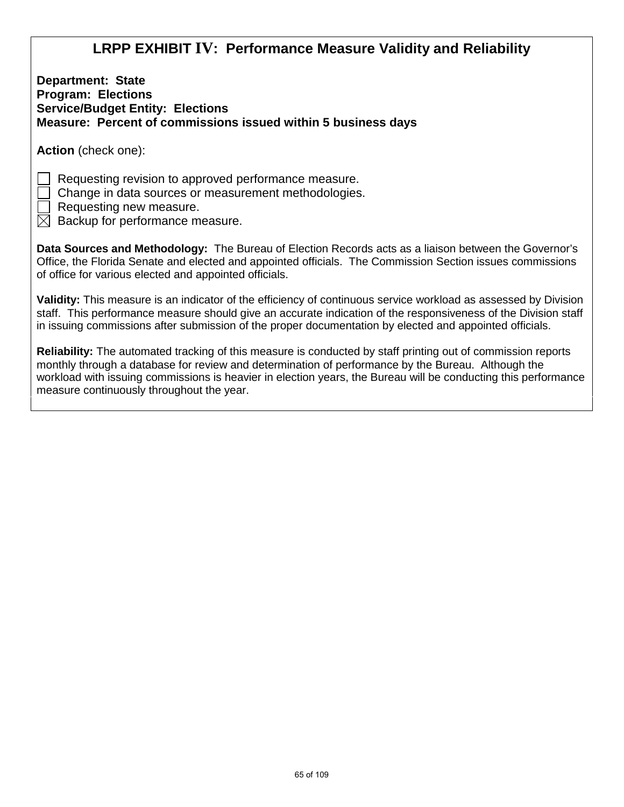**Department: State Program: Elections Service/Budget Entity: Elections Measure: Percent of commissions issued within 5 business days**

**Action** (check one):

Requesting revision to approved performance measure.

Change in data sources or measurement methodologies.

Requesting new measure.

 $\boxtimes$  Backup for performance measure.

**Data Sources and Methodology:** The Bureau of Election Records acts as a liaison between the Governor's Office, the Florida Senate and elected and appointed officials. The Commission Section issues commissions of office for various elected and appointed officials.

**Validity:** This measure is an indicator of the efficiency of continuous service workload as assessed by Division staff. This performance measure should give an accurate indication of the responsiveness of the Division staff in issuing commissions after submission of the proper documentation by elected and appointed officials.

**Reliability:** The automated tracking of this measure is conducted by staff printing out of commission reports monthly through a database for review and determination of performance by the Bureau. Although the workload with issuing commissions is heavier in election years, the Bureau will be conducting this performance measure continuously throughout the year.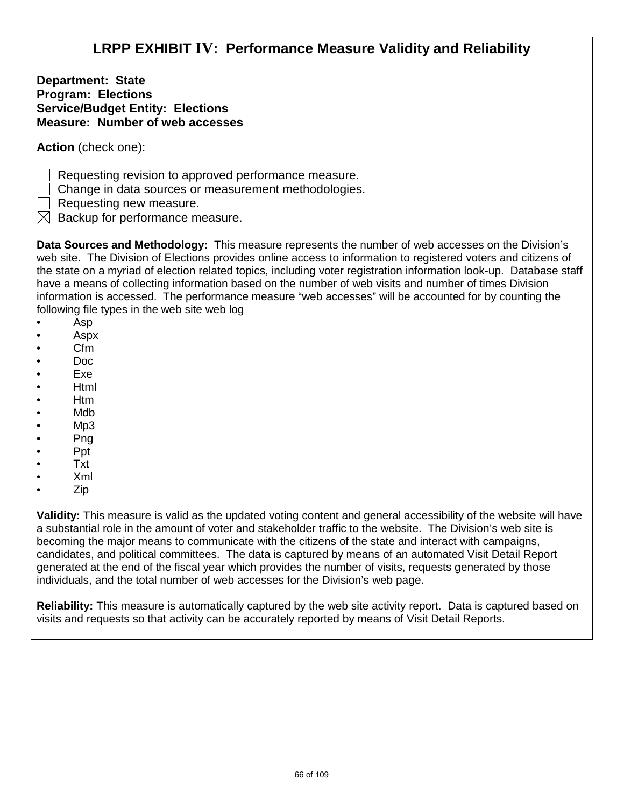**Department: State Program: Elections Service/Budget Entity: Elections Measure: Number of web accesses** 

**Action** (check one):

Requesting revision to approved performance measure.

Change in data sources or measurement methodologies.

Requesting new measure.

 $\boxtimes$  Backup for performance measure.

**Data Sources and Methodology:** This measure represents the number of web accesses on the Division's web site. The Division of Elections provides online access to information to registered voters and citizens of the state on a myriad of election related topics, including voter registration information look-up. Database staff have a means of collecting information based on the number of web visits and number of times Division information is accessed. The performance measure "web accesses" will be accounted for by counting the following file types in the web site web log

- Asp
- Aspx
- Cfm
- Doc
- Exe
- Html
- Htm
- Mdb
- $Mp3$ • Png
- Ppt
- Txt
- Xml
- Zip

**Validity:** This measure is valid as the updated voting content and general accessibility of the website will have a substantial role in the amount of voter and stakeholder traffic to the website. The Division's web site is becoming the major means to communicate with the citizens of the state and interact with campaigns, candidates, and political committees. The data is captured by means of an automated Visit Detail Report generated at the end of the fiscal year which provides the number of visits, requests generated by those individuals, and the total number of web accesses for the Division's web page.

**Reliability:** This measure is automatically captured by the web site activity report. Data is captured based on visits and requests so that activity can be accurately reported by means of Visit Detail Reports.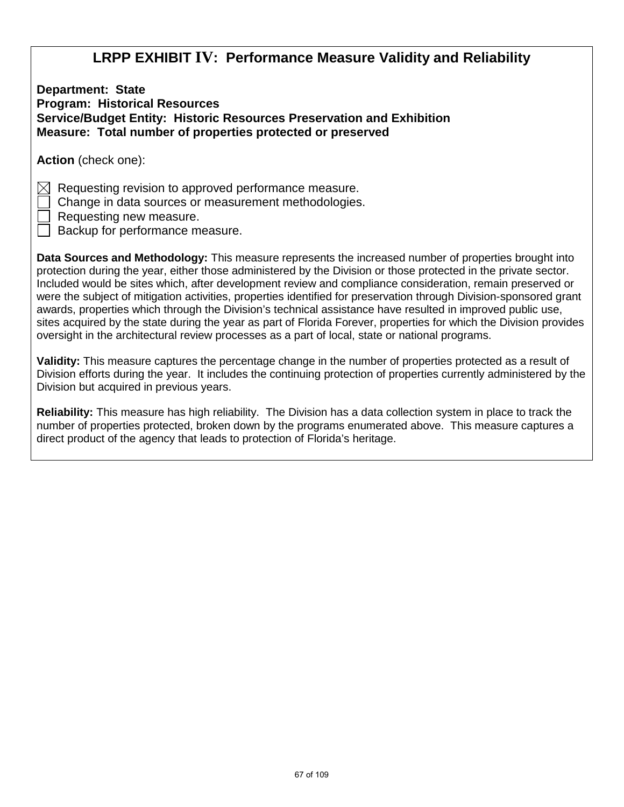**Department: State Program: Historical Resources Service/Budget Entity: Historic Resources Preservation and Exhibition Measure: Total number of properties protected or preserved**

**Action** (check one):

 $\boxtimes$  Requesting revision to approved performance measure.

- Change in data sources or measurement methodologies.
- Requesting new measure.

Backup for performance measure.

**Data Sources and Methodology:** This measure represents the increased number of properties brought into protection during the year, either those administered by the Division or those protected in the private sector. Included would be sites which, after development review and compliance consideration, remain preserved or were the subject of mitigation activities, properties identified for preservation through Division-sponsored grant awards, properties which through the Division's technical assistance have resulted in improved public use, sites acquired by the state during the year as part of Florida Forever, properties for which the Division provides oversight in the architectural review processes as a part of local, state or national programs.

**Validity:** This measure captures the percentage change in the number of properties protected as a result of Division efforts during the year. It includes the continuing protection of properties currently administered by the Division but acquired in previous years.

**Reliability:** This measure has high reliability. The Division has a data collection system in place to track the number of properties protected, broken down by the programs enumerated above. This measure captures a direct product of the agency that leads to protection of Florida's heritage.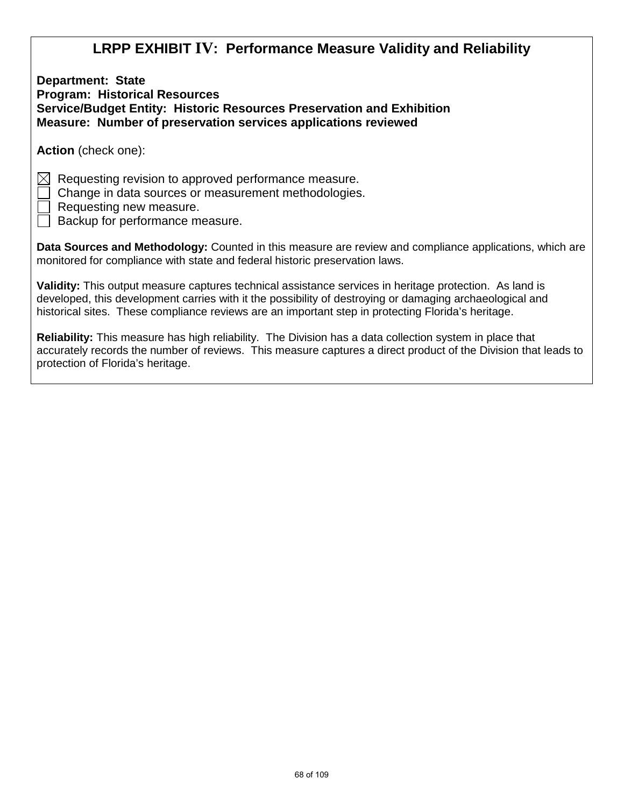**Department: State Program: Historical Resources Service/Budget Entity: Historic Resources Preservation and Exhibition Measure: Number of preservation services applications reviewed**

**Action** (check one):

 $\boxtimes$  Requesting revision to approved performance measure.

Change in data sources or measurement methodologies.

Requesting new measure.

Backup for performance measure.

**Data Sources and Methodology:** Counted in this measure are review and compliance applications, which are monitored for compliance with state and federal historic preservation laws.

**Validity:** This output measure captures technical assistance services in heritage protection. As land is developed, this development carries with it the possibility of destroying or damaging archaeological and historical sites. These compliance reviews are an important step in protecting Florida's heritage.

**Reliability:** This measure has high reliability. The Division has a data collection system in place that accurately records the number of reviews. This measure captures a direct product of the Division that leads to protection of Florida's heritage.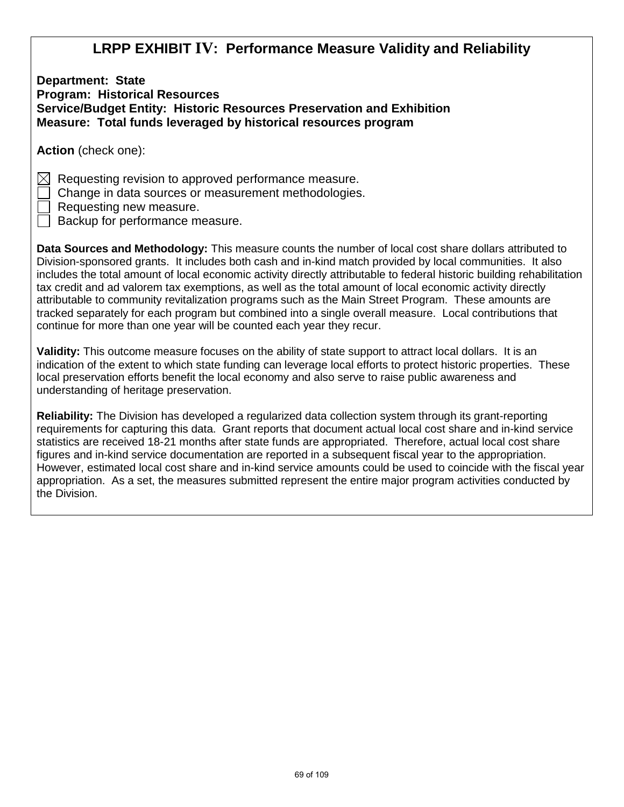**Department: State Program: Historical Resources Service/Budget Entity: Historic Resources Preservation and Exhibition Measure: Total funds leveraged by historical resources program**

**Action** (check one):

 $\boxtimes$  Requesting revision to approved performance measure.

Change in data sources or measurement methodologies.

Requesting new measure.

Backup for performance measure.

**Data Sources and Methodology:** This measure counts the number of local cost share dollars attributed to Division-sponsored grants. It includes both cash and in-kind match provided by local communities. It also includes the total amount of local economic activity directly attributable to federal historic building rehabilitation tax credit and ad valorem tax exemptions, as well as the total amount of local economic activity directly attributable to community revitalization programs such as the Main Street Program. These amounts are tracked separately for each program but combined into a single overall measure. Local contributions that continue for more than one year will be counted each year they recur.

**Validity:** This outcome measure focuses on the ability of state support to attract local dollars. It is an indication of the extent to which state funding can leverage local efforts to protect historic properties. These local preservation efforts benefit the local economy and also serve to raise public awareness and understanding of heritage preservation.

**Reliability:** The Division has developed a regularized data collection system through its grant-reporting requirements for capturing this data. Grant reports that document actual local cost share and in-kind service statistics are received 18-21 months after state funds are appropriated. Therefore, actual local cost share figures and in-kind service documentation are reported in a subsequent fiscal year to the appropriation. However, estimated local cost share and in-kind service amounts could be used to coincide with the fiscal year appropriation. As a set, the measures submitted represent the entire major program activities conducted by the Division.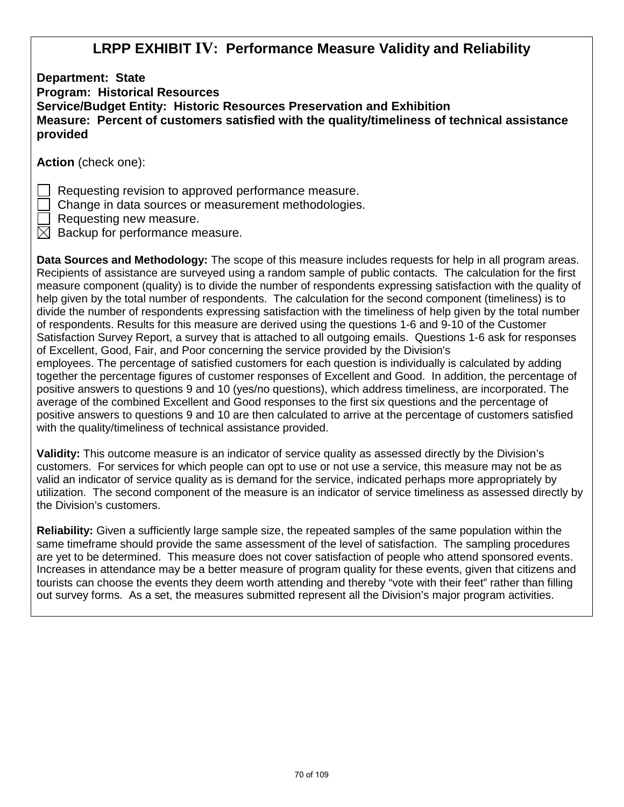**Department: State Program: Historical Resources Service/Budget Entity: Historic Resources Preservation and Exhibition Measure: Percent of customers satisfied with the quality/timeliness of technical assistance provided**

**Action** (check one):

Requesting revision to approved performance measure.

- Change in data sources or measurement methodologies.
- Requesting new measure.

 $\boxtimes$  Backup for performance measure.

**Data Sources and Methodology:** The scope of this measure includes requests for help in all program areas. Recipients of assistance are surveyed using a random sample of public contacts. The calculation for the first measure component (quality) is to divide the number of respondents expressing satisfaction with the quality of help given by the total number of respondents. The calculation for the second component (timeliness) is to divide the number of respondents expressing satisfaction with the timeliness of help given by the total number of respondents. Results for this measure are derived using the questions 1-6 and 9-10 of the Customer Satisfaction Survey Report, a survey that is attached to all outgoing emails. Questions 1-6 ask for responses of Excellent, Good, Fair, and Poor concerning the service provided by the Division's employees. The percentage of satisfied customers for each question is individually is calculated by adding together the percentage figures of customer responses of Excellent and Good. In addition, the percentage of positive answers to questions 9 and 10 (yes/no questions), which address timeliness, are incorporated. The average of the combined Excellent and Good responses to the first six questions and the percentage of positive answers to questions 9 and 10 are then calculated to arrive at the percentage of customers satisfied with the quality/timeliness of technical assistance provided.

**Validity:** This outcome measure is an indicator of service quality as assessed directly by the Division's customers. For services for which people can opt to use or not use a service, this measure may not be as valid an indicator of service quality as is demand for the service, indicated perhaps more appropriately by utilization. The second component of the measure is an indicator of service timeliness as assessed directly by the Division's customers.

**Reliability:** Given a sufficiently large sample size, the repeated samples of the same population within the same timeframe should provide the same assessment of the level of satisfaction. The sampling procedures are yet to be determined. This measure does not cover satisfaction of people who attend sponsored events. Increases in attendance may be a better measure of program quality for these events, given that citizens and tourists can choose the events they deem worth attending and thereby "vote with their feet" rather than filling out survey forms. As a set, the measures submitted represent all the Division's major program activities.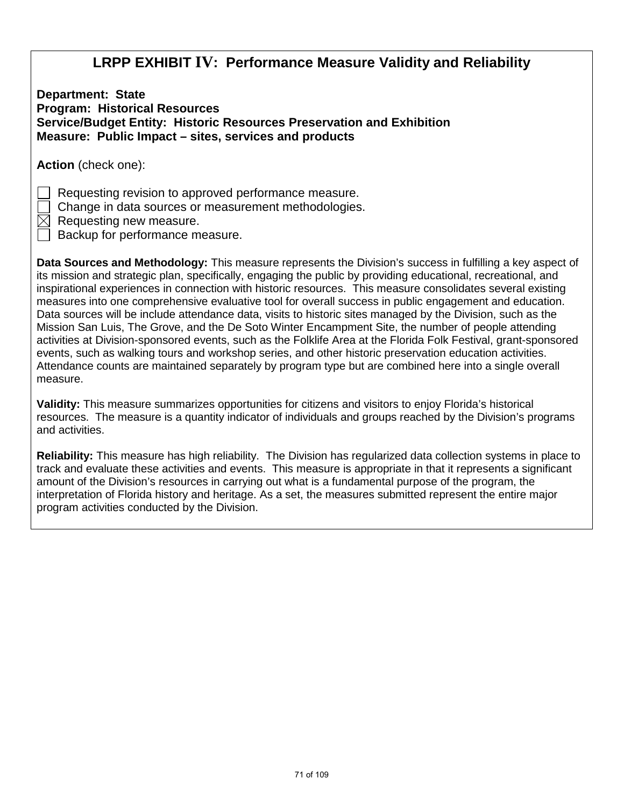**Department: State Program: Historical Resources Service/Budget Entity: Historic Resources Preservation and Exhibition Measure: Public Impact – sites, services and products**

**Action** (check one):

Requesting revision to approved performance measure.

Change in data sources or measurement methodologies.

 $\boxtimes$  Requesting new measure.

Backup for performance measure.

**Data Sources and Methodology:** This measure represents the Division's success in fulfilling a key aspect of its mission and strategic plan, specifically, engaging the public by providing educational, recreational, and inspirational experiences in connection with historic resources. This measure consolidates several existing measures into one comprehensive evaluative tool for overall success in public engagement and education. Data sources will be include attendance data, visits to historic sites managed by the Division, such as the Mission San Luis, The Grove, and the De Soto Winter Encampment Site, the number of people attending activities at Division-sponsored events, such as the Folklife Area at the Florida Folk Festival, grant-sponsored events, such as walking tours and workshop series, and other historic preservation education activities. Attendance counts are maintained separately by program type but are combined here into a single overall measure.

**Validity:** This measure summarizes opportunities for citizens and visitors to enjoy Florida's historical resources. The measure is a quantity indicator of individuals and groups reached by the Division's programs and activities.

**Reliability:** This measure has high reliability. The Division has regularized data collection systems in place to track and evaluate these activities and events. This measure is appropriate in that it represents a significant amount of the Division's resources in carrying out what is a fundamental purpose of the program, the interpretation of Florida history and heritage. As a set, the measures submitted represent the entire major program activities conducted by the Division.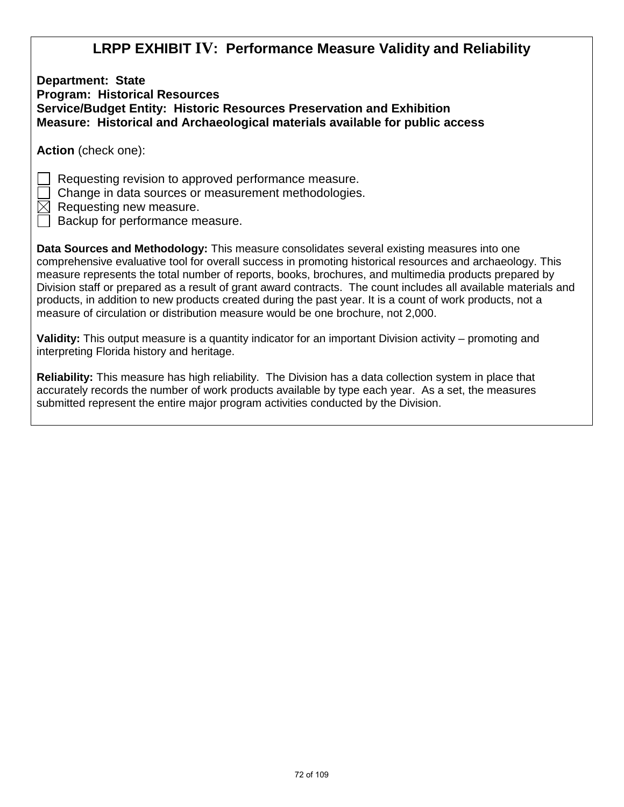**Department: State Program: Historical Resources Service/Budget Entity: Historic Resources Preservation and Exhibition Measure: Historical and Archaeological materials available for public access**

**Action** (check one):

Requesting revision to approved performance measure.

Change in data sources or measurement methodologies.

 $\boxtimes$  Requesting new measure.

Backup for performance measure.

**Data Sources and Methodology:** This measure consolidates several existing measures into one comprehensive evaluative tool for overall success in promoting historical resources and archaeology. This measure represents the total number of reports, books, brochures, and multimedia products prepared by Division staff or prepared as a result of grant award contracts. The count includes all available materials and products, in addition to new products created during the past year. It is a count of work products, not a measure of circulation or distribution measure would be one brochure, not 2,000.

**Validity:** This output measure is a quantity indicator for an important Division activity – promoting and interpreting Florida history and heritage.

**Reliability:** This measure has high reliability. The Division has a data collection system in place that accurately records the number of work products available by type each year. As a set, the measures submitted represent the entire major program activities conducted by the Division.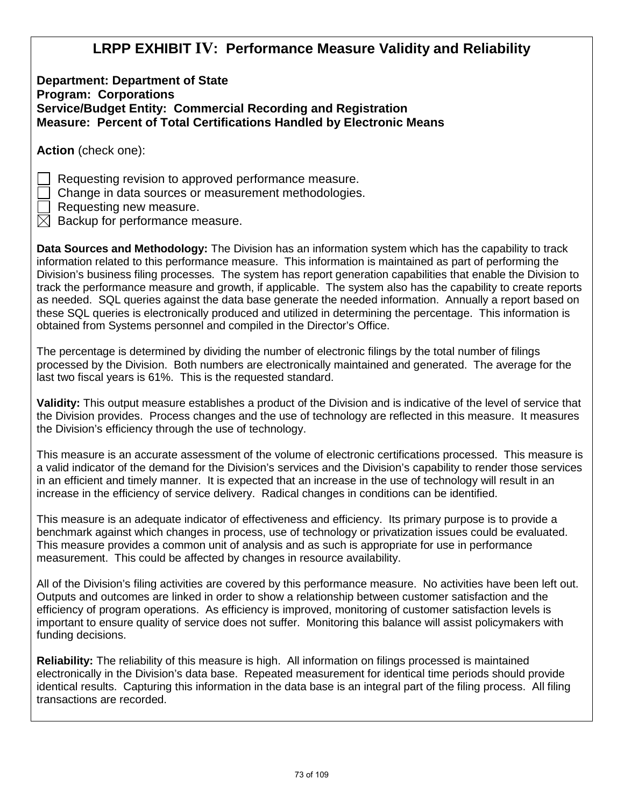**Department: Department of State Program: Corporations Service/Budget Entity: Commercial Recording and Registration Measure: Percent of Total Certifications Handled by Electronic Means**

**Action** (check one):

Requesting revision to approved performance measure.

Change in data sources or measurement methodologies.

Requesting new measure.

 $\boxtimes$  Backup for performance measure.

**Data Sources and Methodology:** The Division has an information system which has the capability to track information related to this performance measure. This information is maintained as part of performing the Division's business filing processes. The system has report generation capabilities that enable the Division to track the performance measure and growth, if applicable. The system also has the capability to create reports as needed. SQL queries against the data base generate the needed information. Annually a report based on these SQL queries is electronically produced and utilized in determining the percentage. This information is obtained from Systems personnel and compiled in the Director's Office.

The percentage is determined by dividing the number of electronic filings by the total number of filings processed by the Division. Both numbers are electronically maintained and generated. The average for the last two fiscal years is 61%. This is the requested standard.

**Validity:** This output measure establishes a product of the Division and is indicative of the level of service that the Division provides. Process changes and the use of technology are reflected in this measure. It measures the Division's efficiency through the use of technology.

This measure is an accurate assessment of the volume of electronic certifications processed. This measure is a valid indicator of the demand for the Division's services and the Division's capability to render those services in an efficient and timely manner. It is expected that an increase in the use of technology will result in an increase in the efficiency of service delivery. Radical changes in conditions can be identified.

This measure is an adequate indicator of effectiveness and efficiency. Its primary purpose is to provide a benchmark against which changes in process, use of technology or privatization issues could be evaluated. This measure provides a common unit of analysis and as such is appropriate for use in performance measurement. This could be affected by changes in resource availability.

All of the Division's filing activities are covered by this performance measure. No activities have been left out. Outputs and outcomes are linked in order to show a relationship between customer satisfaction and the efficiency of program operations. As efficiency is improved, monitoring of customer satisfaction levels is important to ensure quality of service does not suffer. Monitoring this balance will assist policymakers with funding decisions.

**Reliability:** The reliability of this measure is high. All information on filings processed is maintained electronically in the Division's data base. Repeated measurement for identical time periods should provide identical results. Capturing this information in the data base is an integral part of the filing process. All filing transactions are recorded.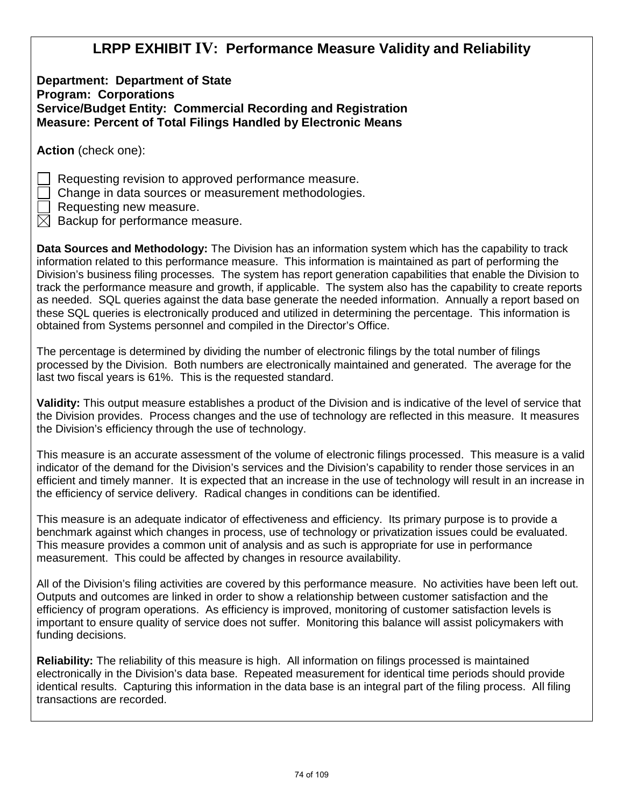**Department: Department of State Program: Corporations Service/Budget Entity: Commercial Recording and Registration Measure: Percent of Total Filings Handled by Electronic Means** 

**Action** (check one):

Requesting revision to approved performance measure.

Change in data sources or measurement methodologies.

Requesting new measure.

 $\boxtimes$  Backup for performance measure.

**Data Sources and Methodology:** The Division has an information system which has the capability to track information related to this performance measure. This information is maintained as part of performing the Division's business filing processes. The system has report generation capabilities that enable the Division to track the performance measure and growth, if applicable. The system also has the capability to create reports as needed. SQL queries against the data base generate the needed information. Annually a report based on these SQL queries is electronically produced and utilized in determining the percentage. This information is obtained from Systems personnel and compiled in the Director's Office.

The percentage is determined by dividing the number of electronic filings by the total number of filings processed by the Division. Both numbers are electronically maintained and generated. The average for the last two fiscal years is 61%. This is the requested standard.

**Validity:** This output measure establishes a product of the Division and is indicative of the level of service that the Division provides. Process changes and the use of technology are reflected in this measure. It measures the Division's efficiency through the use of technology.

This measure is an accurate assessment of the volume of electronic filings processed. This measure is a valid indicator of the demand for the Division's services and the Division's capability to render those services in an efficient and timely manner. It is expected that an increase in the use of technology will result in an increase in the efficiency of service delivery. Radical changes in conditions can be identified.

This measure is an adequate indicator of effectiveness and efficiency. Its primary purpose is to provide a benchmark against which changes in process, use of technology or privatization issues could be evaluated. This measure provides a common unit of analysis and as such is appropriate for use in performance measurement. This could be affected by changes in resource availability.

All of the Division's filing activities are covered by this performance measure. No activities have been left out. Outputs and outcomes are linked in order to show a relationship between customer satisfaction and the efficiency of program operations. As efficiency is improved, monitoring of customer satisfaction levels is important to ensure quality of service does not suffer. Monitoring this balance will assist policymakers with funding decisions.

**Reliability:** The reliability of this measure is high. All information on filings processed is maintained electronically in the Division's data base. Repeated measurement for identical time periods should provide identical results. Capturing this information in the data base is an integral part of the filing process. All filing transactions are recorded.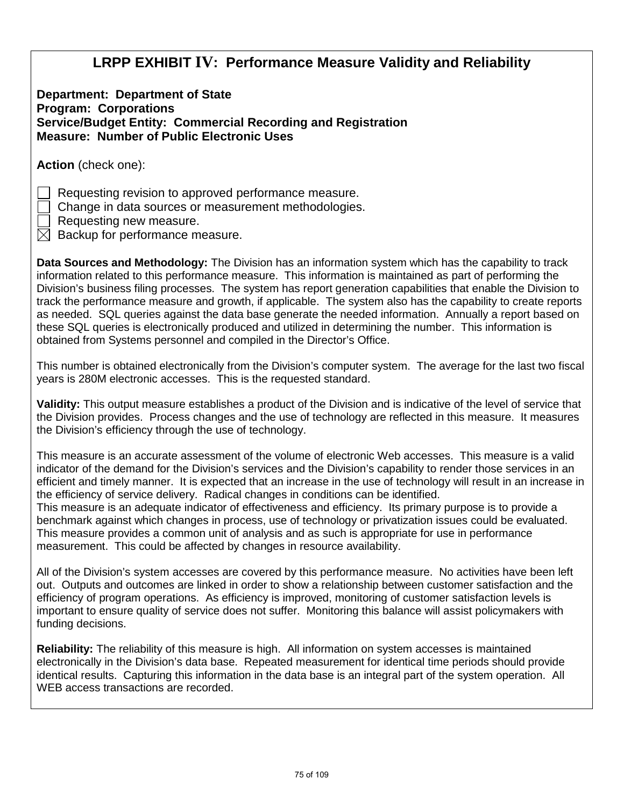**Department: Department of State Program: Corporations Service/Budget Entity: Commercial Recording and Registration Measure: Number of Public Electronic Uses**

**Action** (check one):

Requesting revision to approved performance measure.

Change in data sources or measurement methodologies.

Requesting new measure.

 $\boxtimes$  Backup for performance measure.

**Data Sources and Methodology:** The Division has an information system which has the capability to track information related to this performance measure. This information is maintained as part of performing the Division's business filing processes. The system has report generation capabilities that enable the Division to track the performance measure and growth, if applicable. The system also has the capability to create reports as needed. SQL queries against the data base generate the needed information. Annually a report based on these SQL queries is electronically produced and utilized in determining the number. This information is obtained from Systems personnel and compiled in the Director's Office.

This number is obtained electronically from the Division's computer system. The average for the last two fiscal years is 280M electronic accesses. This is the requested standard.

**Validity:** This output measure establishes a product of the Division and is indicative of the level of service that the Division provides. Process changes and the use of technology are reflected in this measure. It measures the Division's efficiency through the use of technology.

This measure is an accurate assessment of the volume of electronic Web accesses. This measure is a valid indicator of the demand for the Division's services and the Division's capability to render those services in an efficient and timely manner. It is expected that an increase in the use of technology will result in an increase in the efficiency of service delivery. Radical changes in conditions can be identified.

This measure is an adequate indicator of effectiveness and efficiency. Its primary purpose is to provide a benchmark against which changes in process, use of technology or privatization issues could be evaluated. This measure provides a common unit of analysis and as such is appropriate for use in performance measurement. This could be affected by changes in resource availability.

All of the Division's system accesses are covered by this performance measure. No activities have been left out. Outputs and outcomes are linked in order to show a relationship between customer satisfaction and the efficiency of program operations. As efficiency is improved, monitoring of customer satisfaction levels is important to ensure quality of service does not suffer. Monitoring this balance will assist policymakers with funding decisions.

**Reliability:** The reliability of this measure is high. All information on system accesses is maintained electronically in the Division's data base. Repeated measurement for identical time periods should provide identical results. Capturing this information in the data base is an integral part of the system operation. All WEB access transactions are recorded.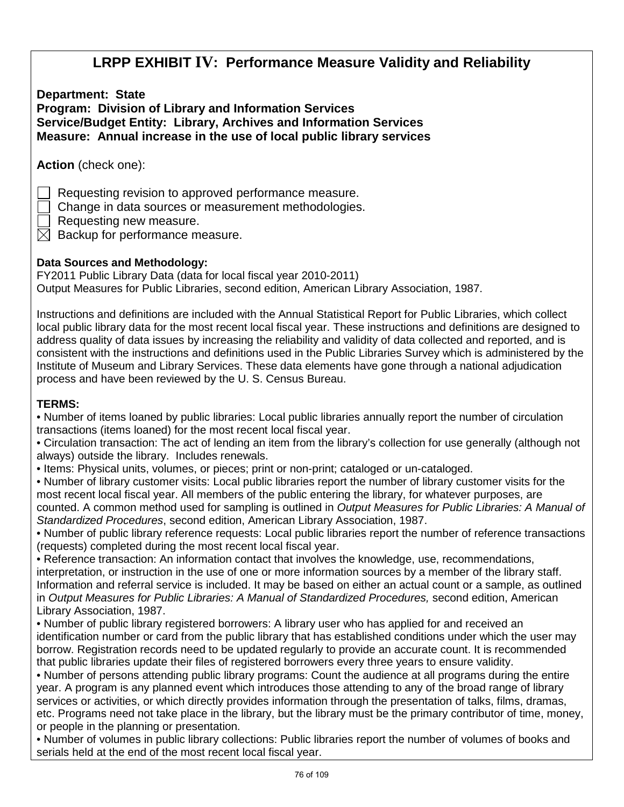**Department: State**

**Program: Division of Library and Information Services Service/Budget Entity: Library, Archives and Information Services Measure: Annual increase in the use of local public library services**

**Action** (check one):

Requesting revision to approved performance measure.

Change in data sources or measurement methodologies.

Requesting new measure.

 $\boxtimes$  Backup for performance measure.

### **Data Sources and Methodology:**

FY2011 Public Library Data (data for local fiscal year 2010-2011) Output Measures for Public Libraries, second edition, American Library Association, 1987.

Instructions and definitions are included with the Annual Statistical Report for Public Libraries, which collect local public library data for the most recent local fiscal year. These instructions and definitions are designed to address quality of data issues by increasing the reliability and validity of data collected and reported, and is consistent with the instructions and definitions used in the Public Libraries Survey which is administered by the Institute of Museum and Library Services. These data elements have gone through a national adjudication process and have been reviewed by the U. S. Census Bureau.

### **TERMS:**

• Number of items loaned by public libraries: Local public libraries annually report the number of circulation transactions (items loaned) for the most recent local fiscal year.

• Circulation transaction: The act of lending an item from the library's collection for use generally (although not always) outside the library. Includes renewals.

• Items: Physical units, volumes, or pieces; print or non-print; cataloged or un-cataloged.

• Number of library customer visits: Local public libraries report the number of library customer visits for the most recent local fiscal year. All members of the public entering the library, for whatever purposes, are counted. A common method used for sampling is outlined in *Output Measures for Public Libraries: A Manual of Standardized Procedures*, second edition, American Library Association, 1987.

• Number of public library reference requests: Local public libraries report the number of reference transactions (requests) completed during the most recent local fiscal year.

• Reference transaction: An information contact that involves the knowledge, use, recommendations, interpretation, or instruction in the use of one or more information sources by a member of the library staff. Information and referral service is included. It may be based on either an actual count or a sample, as outlined in *Output Measures for Public Libraries: A Manual of Standardized Procedures,* second edition, American Library Association, 1987.

• Number of public library registered borrowers: A library user who has applied for and received an identification number or card from the public library that has established conditions under which the user may borrow. Registration records need to be updated regularly to provide an accurate count. It is recommended that public libraries update their files of registered borrowers every three years to ensure validity.

• Number of persons attending public library programs: Count the audience at all programs during the entire year. A program is any planned event which introduces those attending to any of the broad range of library services or activities, or which directly provides information through the presentation of talks, films, dramas, etc. Programs need not take place in the library, but the library must be the primary contributor of time, money, or people in the planning or presentation.

• Number of volumes in public library collections: Public libraries report the number of volumes of books and serials held at the end of the most recent local fiscal year.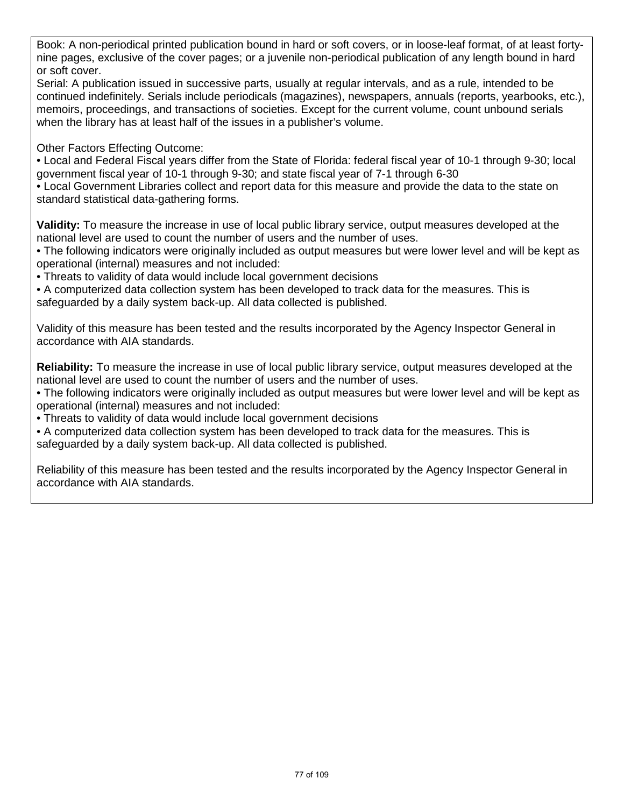Book: A non-periodical printed publication bound in hard or soft covers, or in loose-leaf format, of at least fortynine pages, exclusive of the cover pages; or a juvenile non-periodical publication of any length bound in hard or soft cover.

Serial: A publication issued in successive parts, usually at regular intervals, and as a rule, intended to be continued indefinitely. Serials include periodicals (magazines), newspapers, annuals (reports, yearbooks, etc.), memoirs, proceedings, and transactions of societies. Except for the current volume, count unbound serials when the library has at least half of the issues in a publisher's volume.

Other Factors Effecting Outcome:

• Local and Federal Fiscal years differ from the State of Florida: federal fiscal year of 10-1 through 9-30; local government fiscal year of 10-1 through 9-30; and state fiscal year of 7-1 through 6-30

• Local Government Libraries collect and report data for this measure and provide the data to the state on standard statistical data-gathering forms.

**Validity:** To measure the increase in use of local public library service, output measures developed at the national level are used to count the number of users and the number of uses.

• The following indicators were originally included as output measures but were lower level and will be kept as operational (internal) measures and not included:

• Threats to validity of data would include local government decisions

• A computerized data collection system has been developed to track data for the measures. This is safeguarded by a daily system back-up. All data collected is published.

Validity of this measure has been tested and the results incorporated by the Agency Inspector General in accordance with AIA standards.

**Reliability:** To measure the increase in use of local public library service, output measures developed at the national level are used to count the number of users and the number of uses.

• The following indicators were originally included as output measures but were lower level and will be kept as operational (internal) measures and not included:

• Threats to validity of data would include local government decisions

• A computerized data collection system has been developed to track data for the measures. This is safeguarded by a daily system back-up. All data collected is published.

Reliability of this measure has been tested and the results incorporated by the Agency Inspector General in accordance with AIA standards.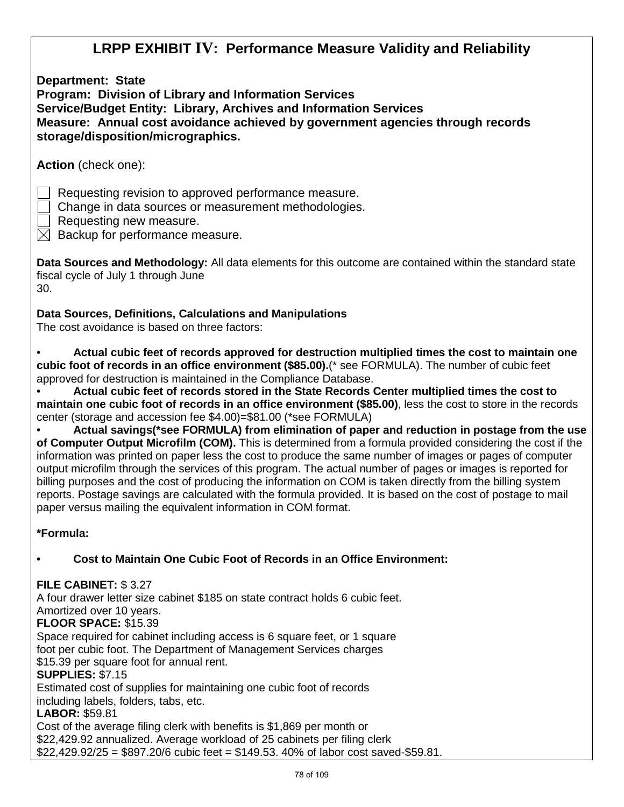**Department: State Program: Division of Library and Information Services Service/Budget Entity: Library, Archives and Information Services Measure: Annual cost avoidance achieved by government agencies through records storage/disposition/micrographics.**

**Action** (check one):

Requesting revision to approved performance measure.

Change in data sources or measurement methodologies.

Requesting new measure.

 $\boxtimes$  Backup for performance measure.

**Data Sources and Methodology:** All data elements for this outcome are contained within the standard state fiscal cycle of July 1 through June 30.

#### **Data Sources, Definitions, Calculations and Manipulations**

The cost avoidance is based on three factors:

• **Actual cubic feet of records approved for destruction multiplied times the cost to maintain one cubic foot of records in an office environment (\$85.00).**(\* see FORMULA). The number of cubic feet approved for destruction is maintained in the Compliance Database.

• **Actual cubic feet of records stored in the State Records Center multiplied times the cost to maintain one cubic foot of records in an office environment (\$85.00)**, less the cost to store in the records center (storage and accession fee \$4.00)=\$81.00 (\*see FORMULA)

• **Actual savings(\*see FORMULA) from elimination of paper and reduction in postage from the use of Computer Output Microfilm (COM).** This is determined from a formula provided considering the cost if the information was printed on paper less the cost to produce the same number of images or pages of computer output microfilm through the services of this program. The actual number of pages or images is reported for billing purposes and the cost of producing the information on COM is taken directly from the billing system reports. Postage savings are calculated with the formula provided. It is based on the cost of postage to mail paper versus mailing the equivalent information in COM format.

### **\*Formula:**

### • **Cost to Maintain One Cubic Foot of Records in an Office Environment:**

#### **FILE CABINET:** \$ 3.27

A four drawer letter size cabinet \$185 on state contract holds 6 cubic feet.

### Amortized over 10 years.

**FLOOR SPACE:** \$15.39

Space required for cabinet including access is 6 square feet, or 1 square foot per cubic foot. The Department of Management Services charges

\$15.39 per square foot for annual rent.

### **SUPPLIES:** \$7.15

Estimated cost of supplies for maintaining one cubic foot of records including labels, folders, tabs, etc.

#### **LABOR:** \$59.81

Cost of the average filing clerk with benefits is \$1,869 per month or \$22,429.92 annualized. Average workload of 25 cabinets per filing clerk \$22,429.92/25 = \$897.20/6 cubic feet = \$149.53. 40% of labor cost saved-\$59.81.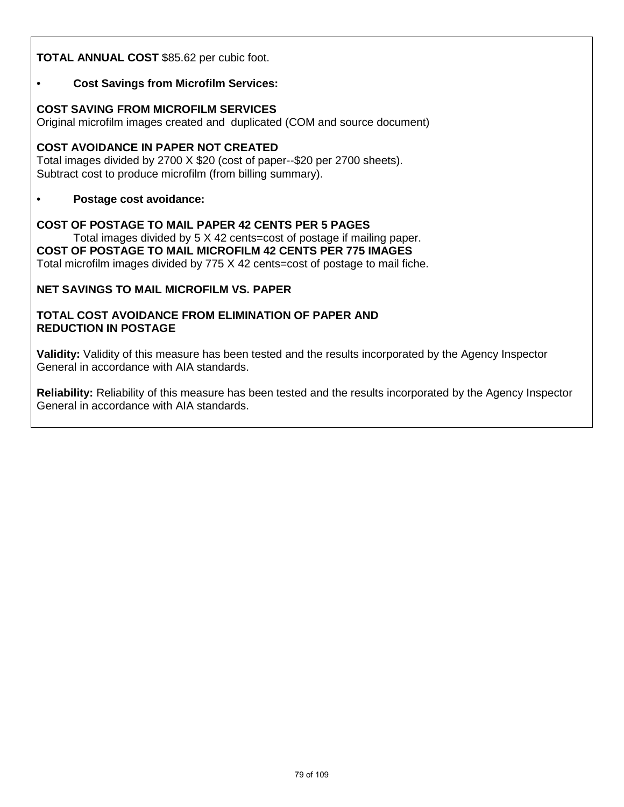**TOTAL ANNUAL COST** \$85.62 per cubic foot.

### • **Cost Savings from Microfilm Services:**

### **COST SAVING FROM MICROFILM SERVICES**

Original microfilm images created and duplicated (COM and source document)

### **COST AVOIDANCE IN PAPER NOT CREATED**

Total images divided by 2700 X \$20 (cost of paper--\$20 per 2700 sheets). Subtract cost to produce microfilm (from billing summary).

### • **Postage cost avoidance:**

### **COST OF POSTAGE TO MAIL PAPER 42 CENTS PER 5 PAGES**

Total images divided by 5 X 42 cents=cost of postage if mailing paper. **COST OF POSTAGE TO MAIL MICROFILM 42 CENTS PER 775 IMAGES** Total microfilm images divided by 775 X 42 cents=cost of postage to mail fiche.

### **NET SAVINGS TO MAIL MICROFILM VS. PAPER**

### **TOTAL COST AVOIDANCE FROM ELIMINATION OF PAPER AND REDUCTION IN POSTAGE**

**Validity:** Validity of this measure has been tested and the results incorporated by the Agency Inspector General in accordance with AIA standards.

**Reliability:** Reliability of this measure has been tested and the results incorporated by the Agency Inspector General in accordance with AIA standards.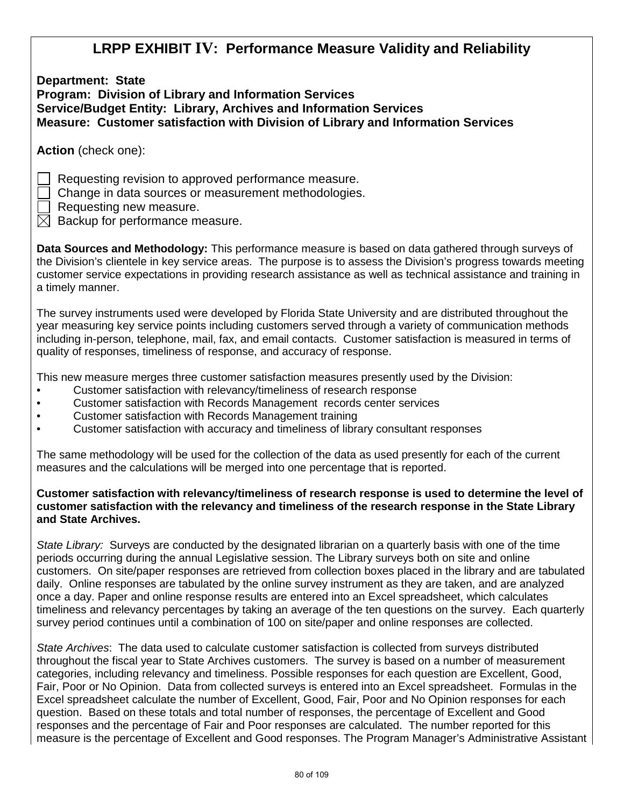**Department: State**

**Program: Division of Library and Information Services Service/Budget Entity: Library, Archives and Information Services Measure: Customer satisfaction with Division of Library and Information Services**

**Action** (check one):

Requesting revision to approved performance measure.

Change in data sources or measurement methodologies.

Requesting new measure.

 $\boxtimes$  Backup for performance measure.

**Data Sources and Methodology:** This performance measure is based on data gathered through surveys of the Division's clientele in key service areas. The purpose is to assess the Division's progress towards meeting customer service expectations in providing research assistance as well as technical assistance and training in a timely manner.

The survey instruments used were developed by Florida State University and are distributed throughout the year measuring key service points including customers served through a variety of communication methods including in-person, telephone, mail, fax, and email contacts. Customer satisfaction is measured in terms of quality of responses, timeliness of response, and accuracy of response.

This new measure merges three customer satisfaction measures presently used by the Division:

- Customer satisfaction with relevancy/timeliness of research response
- Customer satisfaction with Records Management records center services
- Customer satisfaction with Records Management training
- Customer satisfaction with accuracy and timeliness of library consultant responses

The same methodology will be used for the collection of the data as used presently for each of the current measures and the calculations will be merged into one percentage that is reported.

#### **Customer satisfaction with relevancy/timeliness of research response is used to determine the level of customer satisfaction with the relevancy and timeliness of the research response in the State Library and State Archives.**

*State Library:* Surveys are conducted by the designated librarian on a quarterly basis with one of the time periods occurring during the annual Legislative session. The Library surveys both on site and online customers. On site/paper responses are retrieved from collection boxes placed in the library and are tabulated daily. Online responses are tabulated by the online survey instrument as they are taken, and are analyzed once a day. Paper and online response results are entered into an Excel spreadsheet, which calculates timeliness and relevancy percentages by taking an average of the ten questions on the survey. Each quarterly survey period continues until a combination of 100 on site/paper and online responses are collected.

*State Archives*: The data used to calculate customer satisfaction is collected from surveys distributed throughout the fiscal year to State Archives customers. The survey is based on a number of measurement categories, including relevancy and timeliness. Possible responses for each question are Excellent, Good, Fair, Poor or No Opinion. Data from collected surveys is entered into an Excel spreadsheet. Formulas in the Excel spreadsheet calculate the number of Excellent, Good, Fair, Poor and No Opinion responses for each question. Based on these totals and total number of responses, the percentage of Excellent and Good responses and the percentage of Fair and Poor responses are calculated. The number reported for this measure is the percentage of Excellent and Good responses. The Program Manager's Administrative Assistant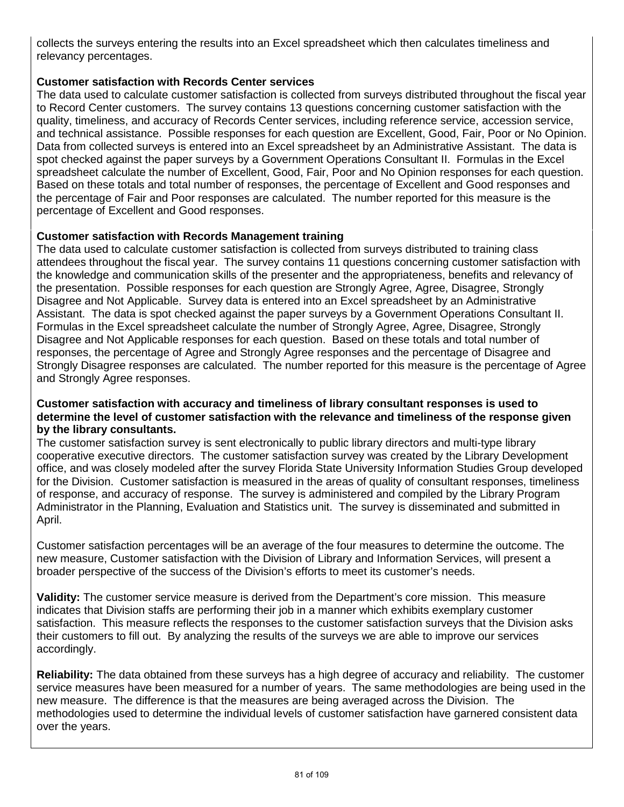collects the surveys entering the results into an Excel spreadsheet which then calculates timeliness and relevancy percentages.

### **Customer satisfaction with Records Center services**

The data used to calculate customer satisfaction is collected from surveys distributed throughout the fiscal year to Record Center customers. The survey contains 13 questions concerning customer satisfaction with the quality, timeliness, and accuracy of Records Center services, including reference service, accession service, and technical assistance. Possible responses for each question are Excellent, Good, Fair, Poor or No Opinion. Data from collected surveys is entered into an Excel spreadsheet by an Administrative Assistant. The data is spot checked against the paper surveys by a Government Operations Consultant II. Formulas in the Excel spreadsheet calculate the number of Excellent, Good, Fair, Poor and No Opinion responses for each question. Based on these totals and total number of responses, the percentage of Excellent and Good responses and the percentage of Fair and Poor responses are calculated. The number reported for this measure is the percentage of Excellent and Good responses.

### **Customer satisfaction with Records Management training**

The data used to calculate customer satisfaction is collected from surveys distributed to training class attendees throughout the fiscal year. The survey contains 11 questions concerning customer satisfaction with the knowledge and communication skills of the presenter and the appropriateness, benefits and relevancy of the presentation. Possible responses for each question are Strongly Agree, Agree, Disagree, Strongly Disagree and Not Applicable. Survey data is entered into an Excel spreadsheet by an Administrative Assistant. The data is spot checked against the paper surveys by a Government Operations Consultant II. Formulas in the Excel spreadsheet calculate the number of Strongly Agree, Agree, Disagree, Strongly Disagree and Not Applicable responses for each question. Based on these totals and total number of responses, the percentage of Agree and Strongly Agree responses and the percentage of Disagree and Strongly Disagree responses are calculated. The number reported for this measure is the percentage of Agree and Strongly Agree responses.

#### **Customer satisfaction with accuracy and timeliness of library consultant responses is used to determine the level of customer satisfaction with the relevance and timeliness of the response given by the library consultants.**

The customer satisfaction survey is sent electronically to public library directors and multi-type library cooperative executive directors. The customer satisfaction survey was created by the Library Development office, and was closely modeled after the survey Florida State University Information Studies Group developed for the Division. Customer satisfaction is measured in the areas of quality of consultant responses, timeliness of response, and accuracy of response. The survey is administered and compiled by the Library Program Administrator in the Planning, Evaluation and Statistics unit. The survey is disseminated and submitted in April.

Customer satisfaction percentages will be an average of the four measures to determine the outcome. The new measure, Customer satisfaction with the Division of Library and Information Services, will present a broader perspective of the success of the Division's efforts to meet its customer's needs.

**Validity:** The customer service measure is derived from the Department's core mission. This measure indicates that Division staffs are performing their job in a manner which exhibits exemplary customer satisfaction. This measure reflects the responses to the customer satisfaction surveys that the Division asks their customers to fill out. By analyzing the results of the surveys we are able to improve our services accordingly.

**Reliability:** The data obtained from these surveys has a high degree of accuracy and reliability. The customer service measures have been measured for a number of years. The same methodologies are being used in the new measure. The difference is that the measures are being averaged across the Division. The methodologies used to determine the individual levels of customer satisfaction have garnered consistent data over the years.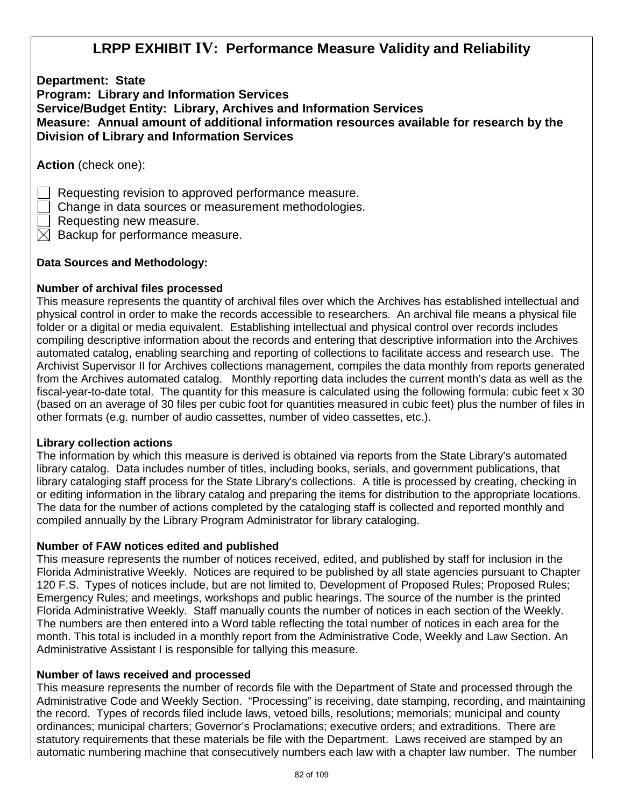**Department: State** 

**Program: Library and Information Services**

**Service/Budget Entity: Library, Archives and Information Services**

**Measure: Annual amount of additional information resources available for research by the Division of Library and Information Services**

**Action** (check one):

Requesting revision to approved performance measure.

Change in data sources or measurement methodologies.

Requesting new measure.

 $\boxtimes$  Backup for performance measure.

### **Data Sources and Methodology:**

### **Number of archival files processed**

This measure represents the quantity of archival files over which the Archives has established intellectual and physical control in order to make the records accessible to researchers. An archival file means a physical file folder or a digital or media equivalent. Establishing intellectual and physical control over records includes compiling descriptive information about the records and entering that descriptive information into the Archives automated catalog, enabling searching and reporting of collections to facilitate access and research use. The Archivist Supervisor II for Archives collections management, compiles the data monthly from reports generated from the Archives automated catalog. Monthly reporting data includes the current month's data as well as the fiscal-year-to-date total. The quantity for this measure is calculated using the following formula: cubic feet x 30 (based on an average of 30 files per cubic foot for quantities measured in cubic feet) plus the number of files in other formats (e.g. number of audio cassettes, number of video cassettes, etc.).

### **Library collection actions**

The information by which this measure is derived is obtained via reports from the State Library's automated library catalog. Data includes number of titles, including books, serials, and government publications, that library cataloging staff process for the State Library's collections. A title is processed by creating, checking in or editing information in the library catalog and preparing the items for distribution to the appropriate locations. The data for the number of actions completed by the cataloging staff is collected and reported monthly and compiled annually by the Library Program Administrator for library cataloging.

### **Number of FAW notices edited and published**

This measure represents the number of notices received, edited, and published by staff for inclusion in the Florida Administrative Weekly. Notices are required to be published by all state agencies pursuant to Chapter 120 F.S. Types of notices include, but are not limited to, Development of Proposed Rules; Proposed Rules; Emergency Rules; and meetings, workshops and public hearings. The source of the number is the printed Florida Administrative Weekly. Staff manually counts the number of notices in each section of the Weekly. The numbers are then entered into a Word table reflecting the total number of notices in each area for the month. This total is included in a monthly report from the Administrative Code, Weekly and Law Section. An Administrative Assistant I is responsible for tallying this measure.

### **Number of laws received and processed**

This measure represents the number of records file with the Department of State and processed through the Administrative Code and Weekly Section. "Processing" is receiving, date stamping, recording, and maintaining the record. Types of records filed include laws, vetoed bills, resolutions; memorials; municipal and county ordinances; municipal charters; Governor's Proclamations; executive orders; and extraditions. There are statutory requirements that these materials be file with the Department. Laws received are stamped by an automatic numbering machine that consecutively numbers each law with a chapter law number. The number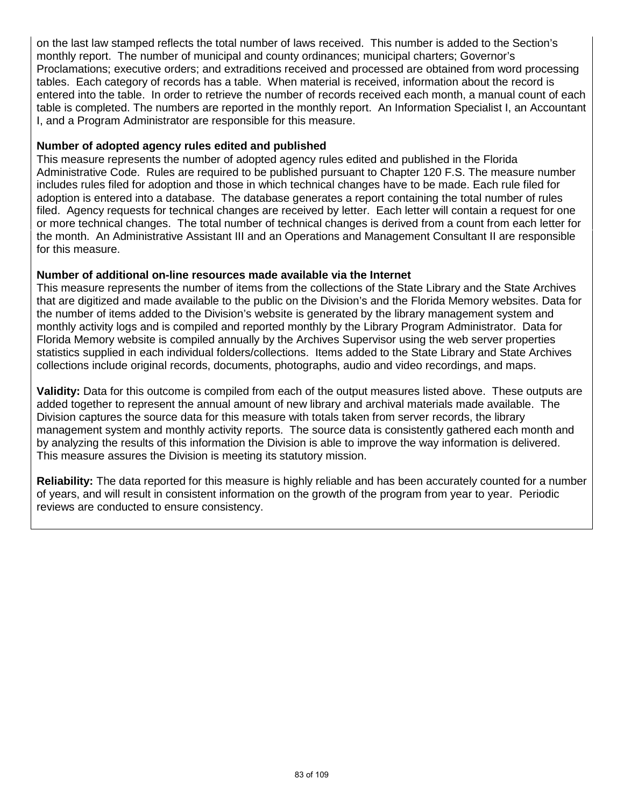on the last law stamped reflects the total number of laws received. This number is added to the Section's monthly report. The number of municipal and county ordinances; municipal charters; Governor's Proclamations; executive orders; and extraditions received and processed are obtained from word processing tables. Each category of records has a table. When material is received, information about the record is entered into the table. In order to retrieve the number of records received each month, a manual count of each table is completed. The numbers are reported in the monthly report. An Information Specialist I, an Accountant I, and a Program Administrator are responsible for this measure.

### **Number of adopted agency rules edited and published**

This measure represents the number of adopted agency rules edited and published in the Florida Administrative Code. Rules are required to be published pursuant to Chapter 120 F.S. The measure number includes rules filed for adoption and those in which technical changes have to be made. Each rule filed for adoption is entered into a database. The database generates a report containing the total number of rules filed. Agency requests for technical changes are received by letter. Each letter will contain a request for one or more technical changes. The total number of technical changes is derived from a count from each letter for the month. An Administrative Assistant III and an Operations and Management Consultant II are responsible for this measure.

### **Number of additional on-line resources made available via the Internet**

This measure represents the number of items from the collections of the State Library and the State Archives that are digitized and made available to the public on the Division's and the Florida Memory websites. Data for the number of items added to the Division's website is generated by the library management system and monthly activity logs and is compiled and reported monthly by the Library Program Administrator. Data for Florida Memory website is compiled annually by the Archives Supervisor using the web server properties statistics supplied in each individual folders/collections. Items added to the State Library and State Archives collections include original records, documents, photographs, audio and video recordings, and maps.

**Validity:** Data for this outcome is compiled from each of the output measures listed above. These outputs are added together to represent the annual amount of new library and archival materials made available. The Division captures the source data for this measure with totals taken from server records, the library management system and monthly activity reports. The source data is consistently gathered each month and by analyzing the results of this information the Division is able to improve the way information is delivered. This measure assures the Division is meeting its statutory mission.

**Reliability:** The data reported for this measure is highly reliable and has been accurately counted for a number of years, and will result in consistent information on the growth of the program from year to year. Periodic reviews are conducted to ensure consistency.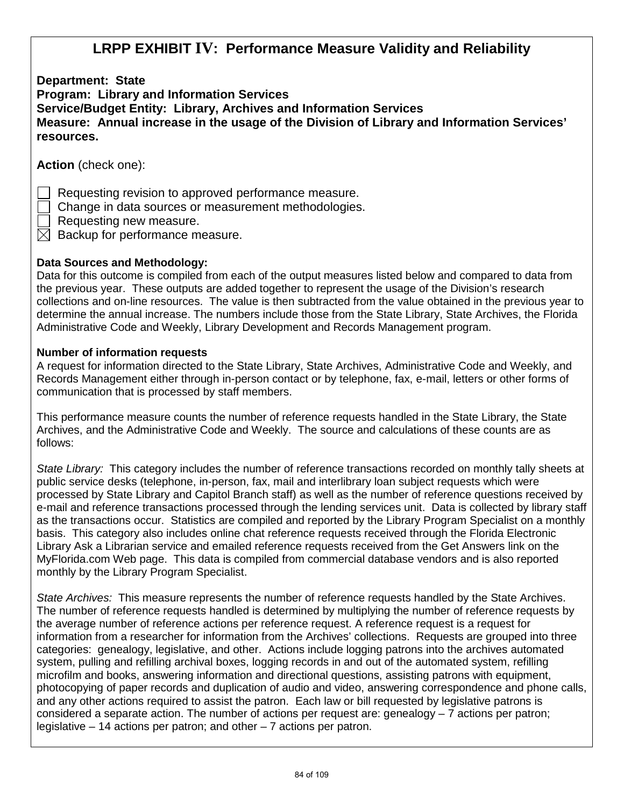**Department: State**

**Program: Library and Information Services**

**Service/Budget Entity: Library, Archives and Information Services**

**Measure: Annual increase in the usage of the Division of Library and Information Services' resources.**

**Action** (check one):

Requesting revision to approved performance measure.

Change in data sources or measurement methodologies.

Requesting new measure.

 $\boxtimes$  Backup for performance measure.

### **Data Sources and Methodology:**

Data for this outcome is compiled from each of the output measures listed below and compared to data from the previous year. These outputs are added together to represent the usage of the Division's research collections and on-line resources. The value is then subtracted from the value obtained in the previous year to determine the annual increase. The numbers include those from the State Library, State Archives, the Florida Administrative Code and Weekly, Library Development and Records Management program.

#### **Number of information requests**

A request for information directed to the State Library, State Archives, Administrative Code and Weekly, and Records Management either through in-person contact or by telephone, fax, e-mail, letters or other forms of communication that is processed by staff members.

This performance measure counts the number of reference requests handled in the State Library, the State Archives, and the Administrative Code and Weekly. The source and calculations of these counts are as follows:

*State Library:* This category includes the number of reference transactions recorded on monthly tally sheets at public service desks (telephone, in-person, fax, mail and interlibrary loan subject requests which were processed by State Library and Capitol Branch staff) as well as the number of reference questions received by e-mail and reference transactions processed through the lending services unit. Data is collected by library staff as the transactions occur. Statistics are compiled and reported by the Library Program Specialist on a monthly basis. This category also includes online chat reference requests received through the Florida Electronic Library Ask a Librarian service and emailed reference requests received from the Get Answers link on the MyFlorida.com Web page. This data is compiled from commercial database vendors and is also reported monthly by the Library Program Specialist.

*State Archives:* This measure represents the number of reference requests handled by the State Archives. The number of reference requests handled is determined by multiplying the number of reference requests by the average number of reference actions per reference request. A reference request is a request for information from a researcher for information from the Archives' collections. Requests are grouped into three categories: genealogy, legislative, and other. Actions include logging patrons into the archives automated system, pulling and refilling archival boxes, logging records in and out of the automated system, refilling microfilm and books, answering information and directional questions, assisting patrons with equipment, photocopying of paper records and duplication of audio and video, answering correspondence and phone calls, and any other actions required to assist the patron. Each law or bill requested by legislative patrons is considered a separate action. The number of actions per request are: genealogy  $-7$  actions per patron; legislative  $-14$  actions per patron; and other  $-7$  actions per patron.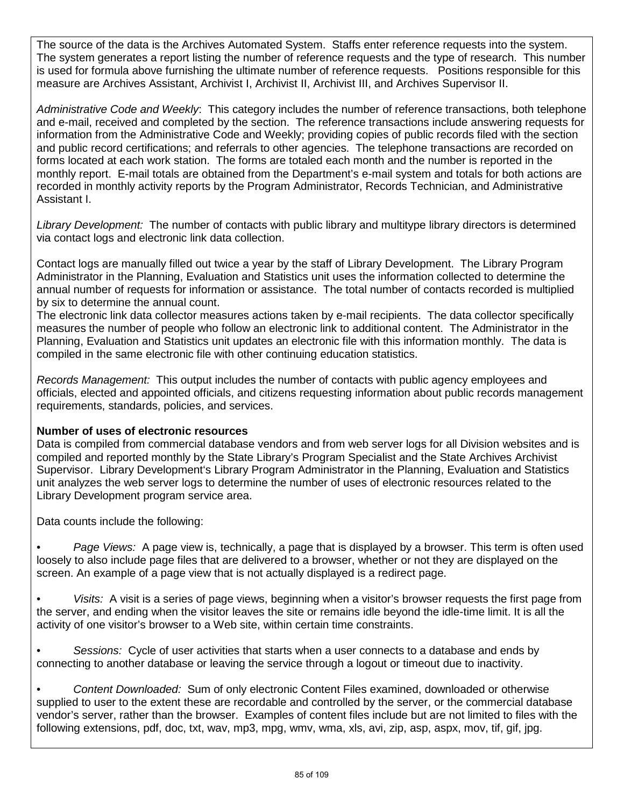The source of the data is the Archives Automated System. Staffs enter reference requests into the system. The system generates a report listing the number of reference requests and the type of research. This number is used for formula above furnishing the ultimate number of reference requests. Positions responsible for this measure are Archives Assistant, Archivist I, Archivist II, Archivist III, and Archives Supervisor II.

*Administrative Code and Weekly*: This category includes the number of reference transactions, both telephone and e-mail, received and completed by the section. The reference transactions include answering requests for information from the Administrative Code and Weekly; providing copies of public records filed with the section and public record certifications; and referrals to other agencies. The telephone transactions are recorded on forms located at each work station. The forms are totaled each month and the number is reported in the monthly report. E-mail totals are obtained from the Department's e-mail system and totals for both actions are recorded in monthly activity reports by the Program Administrator, Records Technician, and Administrative Assistant I.

*Library Development:* The number of contacts with public library and multitype library directors is determined via contact logs and electronic link data collection.

Contact logs are manually filled out twice a year by the staff of Library Development. The Library Program Administrator in the Planning, Evaluation and Statistics unit uses the information collected to determine the annual number of requests for information or assistance. The total number of contacts recorded is multiplied by six to determine the annual count.

The electronic link data collector measures actions taken by e-mail recipients. The data collector specifically measures the number of people who follow an electronic link to additional content. The Administrator in the Planning, Evaluation and Statistics unit updates an electronic file with this information monthly. The data is compiled in the same electronic file with other continuing education statistics.

*Records Management:* This output includes the number of contacts with public agency employees and officials, elected and appointed officials, and citizens requesting information about public records management requirements, standards, policies, and services.

### **Number of uses of electronic resources**

Data is compiled from commercial database vendors and from web server logs for all Division websites and is compiled and reported monthly by the State Library's Program Specialist and the State Archives Archivist Supervisor. Library Development's Library Program Administrator in the Planning, Evaluation and Statistics unit analyzes the web server logs to determine the number of uses of electronic resources related to the Library Development program service area.

Data counts include the following:

• *Page Views:* A page view is, technically, a page that is displayed by a browser. This term is often used loosely to also include page files that are delivered to a browser, whether or not they are displayed on the screen. An example of a page view that is not actually displayed is a redirect page.

• *Visits:* A visit is a series of page views, beginning when a visitor's browser requests the first page from the server, and ending when the visitor leaves the site or remains idle beyond the idle-time limit. It is all the activity of one visitor's browser to a Web site, within certain time constraints.

• *Sessions:* Cycle of user activities that starts when a user connects to a database and ends by connecting to another database or leaving the service through a logout or timeout due to inactivity.

• *Content Downloaded:* Sum of only electronic Content Files examined, downloaded or otherwise supplied to user to the extent these are recordable and controlled by the server, or the commercial database vendor's server, rather than the browser. Examples of content files include but are not limited to files with the following extensions, pdf, doc, txt, wav, mp3, mpg, wmv, wma, xls, avi, zip, asp, aspx, mov, tif, gif, jpg.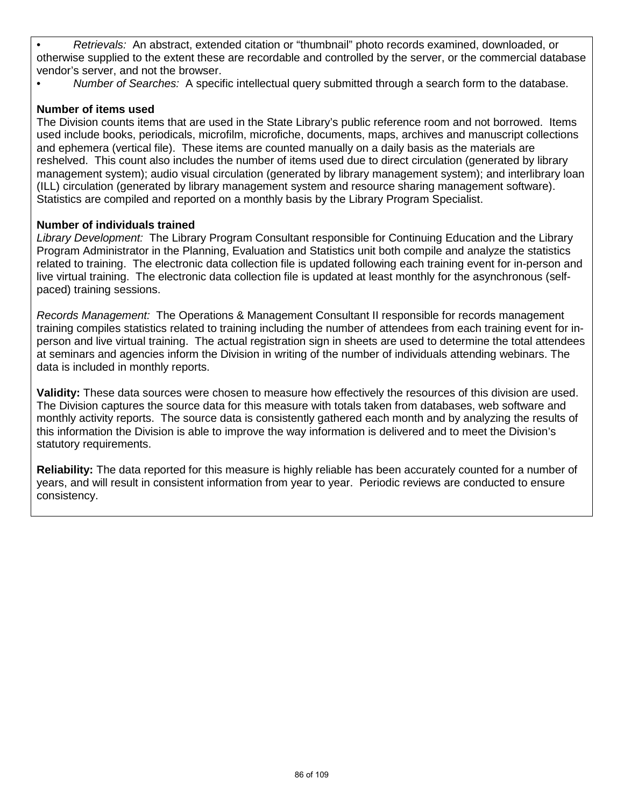• *Retrievals:* An abstract, extended citation or "thumbnail" photo records examined, downloaded, or otherwise supplied to the extent these are recordable and controlled by the server, or the commercial database vendor's server, and not the browser.

• *Number of Searches:* A specific intellectual query submitted through a search form to the database.

#### **Number of items used**

The Division counts items that are used in the State Library's public reference room and not borrowed. Items used include books, periodicals, microfilm, microfiche, documents, maps, archives and manuscript collections and ephemera (vertical file). These items are counted manually on a daily basis as the materials are reshelved. This count also includes the number of items used due to direct circulation (generated by library management system); audio visual circulation (generated by library management system); and interlibrary loan (ILL) circulation (generated by library management system and resource sharing management software). Statistics are compiled and reported on a monthly basis by the Library Program Specialist.

#### **Number of individuals trained**

*Library Development:* The Library Program Consultant responsible for Continuing Education and the Library Program Administrator in the Planning, Evaluation and Statistics unit both compile and analyze the statistics related to training. The electronic data collection file is updated following each training event for in-person and live virtual training. The electronic data collection file is updated at least monthly for the asynchronous (selfpaced) training sessions.

*Records Management:* The Operations & Management Consultant II responsible for records management training compiles statistics related to training including the number of attendees from each training event for inperson and live virtual training. The actual registration sign in sheets are used to determine the total attendees at seminars and agencies inform the Division in writing of the number of individuals attending webinars. The data is included in monthly reports.

**Validity:** These data sources were chosen to measure how effectively the resources of this division are used. The Division captures the source data for this measure with totals taken from databases, web software and monthly activity reports. The source data is consistently gathered each month and by analyzing the results of this information the Division is able to improve the way information is delivered and to meet the Division's statutory requirements.

**Reliability:** The data reported for this measure is highly reliable has been accurately counted for a number of years, and will result in consistent information from year to year. Periodic reviews are conducted to ensure consistency.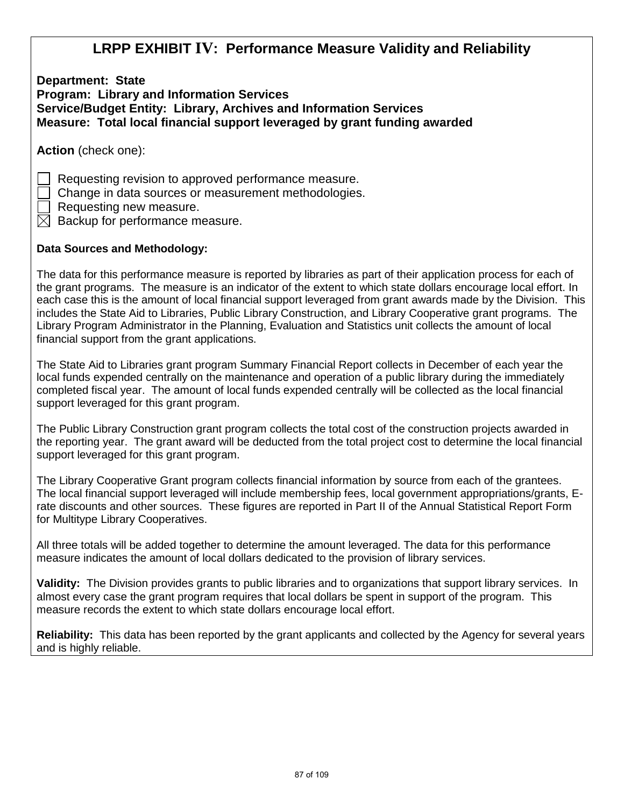**Department: State Program: Library and Information Services Service/Budget Entity: Library, Archives and Information Services Measure: Total local financial support leveraged by grant funding awarded**

**Action** (check one):

Requesting revision to approved performance measure.

Change in data sources or measurement methodologies.

Requesting new measure.

 $\boxtimes$  Backup for performance measure.

### **Data Sources and Methodology:**

The data for this performance measure is reported by libraries as part of their application process for each of the grant programs. The measure is an indicator of the extent to which state dollars encourage local effort. In each case this is the amount of local financial support leveraged from grant awards made by the Division. This includes the State Aid to Libraries, Public Library Construction, and Library Cooperative grant programs. The Library Program Administrator in the Planning, Evaluation and Statistics unit collects the amount of local financial support from the grant applications.

The State Aid to Libraries grant program Summary Financial Report collects in December of each year the local funds expended centrally on the maintenance and operation of a public library during the immediately completed fiscal year. The amount of local funds expended centrally will be collected as the local financial support leveraged for this grant program.

The Public Library Construction grant program collects the total cost of the construction projects awarded in the reporting year. The grant award will be deducted from the total project cost to determine the local financial support leveraged for this grant program.

The Library Cooperative Grant program collects financial information by source from each of the grantees. The local financial support leveraged will include membership fees, local government appropriations/grants, Erate discounts and other sources. These figures are reported in Part II of the Annual Statistical Report Form for Multitype Library Cooperatives.

All three totals will be added together to determine the amount leveraged. The data for this performance measure indicates the amount of local dollars dedicated to the provision of library services.

**Validity:** The Division provides grants to public libraries and to organizations that support library services. In almost every case the grant program requires that local dollars be spent in support of the program. This measure records the extent to which state dollars encourage local effort.

**Reliability:** This data has been reported by the grant applicants and collected by the Agency for several years and is highly reliable.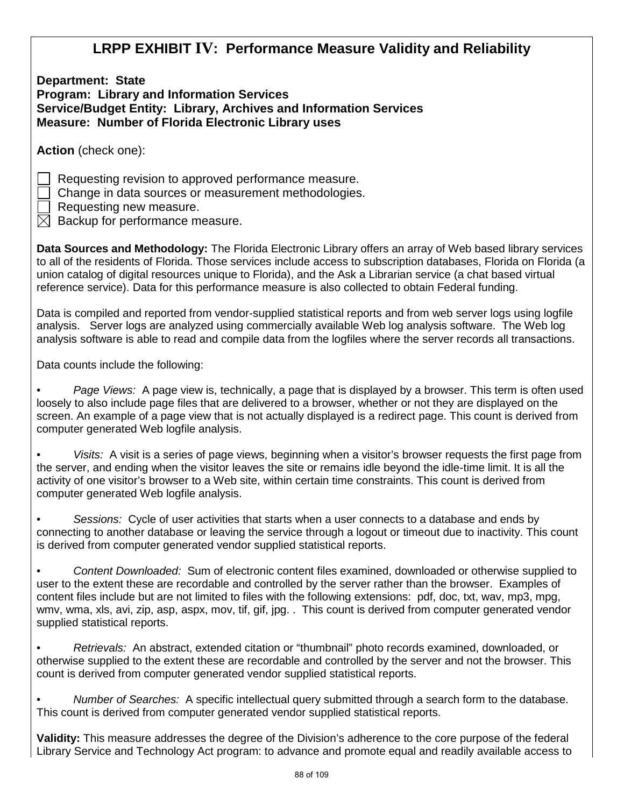| LRPP EXHIBIT IV: Performance Measure Validity and Reliability                                                                                                                                                                                                                                                                                                                                                                                                                        |  |  |  |  |  |
|--------------------------------------------------------------------------------------------------------------------------------------------------------------------------------------------------------------------------------------------------------------------------------------------------------------------------------------------------------------------------------------------------------------------------------------------------------------------------------------|--|--|--|--|--|
| <b>Department: State</b><br><b>Program: Library and Information Services</b><br>Service/Budget Entity: Library, Archives and Information Services<br><b>Measure: Number of Florida Electronic Library uses</b>                                                                                                                                                                                                                                                                       |  |  |  |  |  |
| <b>Action</b> (check one):                                                                                                                                                                                                                                                                                                                                                                                                                                                           |  |  |  |  |  |
| Requesting revision to approved performance measure.<br>Change in data sources or measurement methodologies.<br>Requesting new measure.<br>$\boxtimes$ Backup for performance measure.                                                                                                                                                                                                                                                                                               |  |  |  |  |  |
| Data Sources and Methodology: The Florida Electronic Library offers an array of Web based library services<br>to all of the residents of Florida. Those services include access to subscription databases, Florida on Florida (a<br>union catalog of digital resources unique to Florida), and the Ask a Librarian service (a chat based virtual<br>reference service). Data for this performance measure is also collected to obtain Federal funding.                               |  |  |  |  |  |
| Data is compiled and reported from vendor-supplied statistical reports and from web server logs using logfile<br>analysis. Server logs are analyzed using commercially available Web log analysis software. The Web log<br>analysis software is able to read and compile data from the logfiles where the server records all transactions.                                                                                                                                           |  |  |  |  |  |
| Data counts include the following:                                                                                                                                                                                                                                                                                                                                                                                                                                                   |  |  |  |  |  |
| Page Views: A page view is, technically, a page that is displayed by a browser. This term is often used<br>loosely to also include page files that are delivered to a browser, whether or not they are displayed on the<br>screen. An example of a page view that is not actually displayed is a redirect page. This count is derived from<br>computer generated Web logfile analysis.                                                                                               |  |  |  |  |  |
| Visits: A visit is a series of page views, beginning when a visitor's browser requests the first page from<br>the server, and ending when the visitor leaves the site or remains idle beyond the idle-time limit. It is all the<br>activity of one visitor's browser to a Web site, within certain time constraints. This count is derived from<br>computer generated Web logfile analysis.                                                                                          |  |  |  |  |  |
| Sessions: Cycle of user activities that starts when a user connects to a database and ends by<br>connecting to another database or leaving the service through a logout or timeout due to inactivity. This count<br>is derived from computer generated vendor supplied statistical reports.                                                                                                                                                                                          |  |  |  |  |  |
| Content Downloaded: Sum of electronic content files examined, downloaded or otherwise supplied to<br>user to the extent these are recordable and controlled by the server rather than the browser. Examples of<br>content files include but are not limited to files with the following extensions: pdf, doc, txt, wav, mp3, mpg,<br>wmv, wma, xls, avi, zip, asp, aspx, mov, tif, gif, jpg. . This count is derived from computer generated vendor<br>supplied statistical reports. |  |  |  |  |  |
| Retrievals: An abstract, extended citation or "thumbnail" photo records examined, downloaded, or<br>otherwise supplied to the extent these are recordable and controlled by the server and not the browser. This<br>count is derived from computer generated vendor supplied statistical reports.                                                                                                                                                                                    |  |  |  |  |  |
| Number of Searches: A specific intellectual query submitted through a search form to the database.<br>This count is derived from computer generated vendor supplied statistical reports.                                                                                                                                                                                                                                                                                             |  |  |  |  |  |
| Validity: This measure addresses the degree of the Division's adherence to the core purpose of the federal<br>Library Service and Technology Act program: to advance and promote equal and readily available access to                                                                                                                                                                                                                                                               |  |  |  |  |  |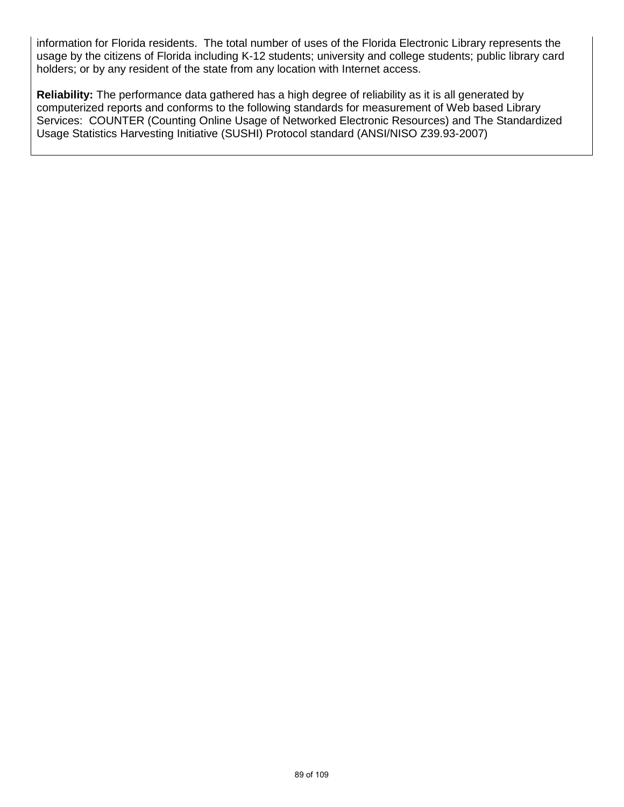information for Florida residents. The total number of uses of the Florida Electronic Library represents the usage by the citizens of Florida including K-12 students; university and college students; public library card holders; or by any resident of the state from any location with Internet access.

**Reliability:** The performance data gathered has a high degree of reliability as it is all generated by computerized reports and conforms to the following standards for measurement of Web based Library Services: COUNTER (Counting Online Usage of Networked Electronic Resources) and The Standardized Usage Statistics Harvesting Initiative (SUSHI) Protocol standard (ANSI/NISO Z39.93-2007)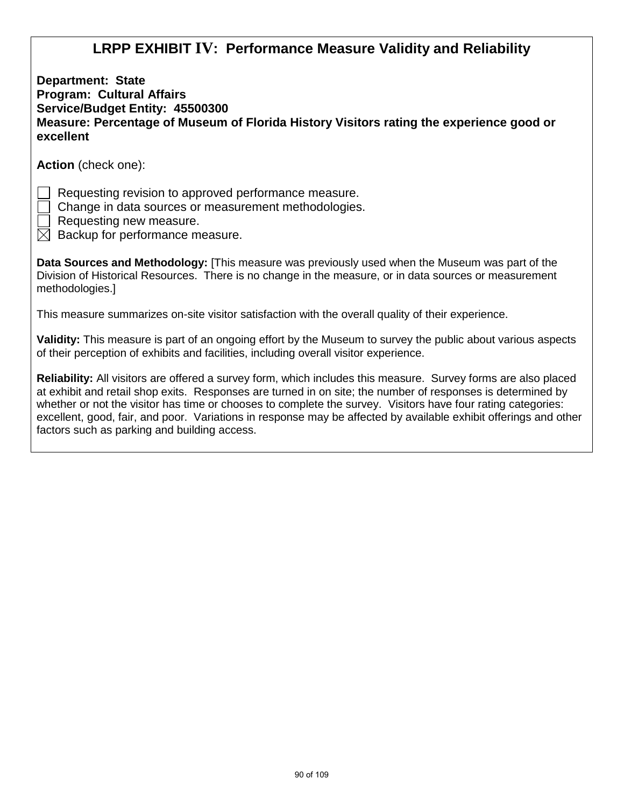**Department: State Program: Cultural Affairs Service/Budget Entity: 45500300 Measure: Percentage of Museum of Florida History Visitors rating the experience good or excellent**

**Action** (check one):

Requesting revision to approved performance measure.

Change in data sources or measurement methodologies.

Requesting new measure.

 $\boxtimes$  Backup for performance measure.

**Data Sources and Methodology:** [This measure was previously used when the Museum was part of the Division of Historical Resources. There is no change in the measure, or in data sources or measurement methodologies.]

This measure summarizes on-site visitor satisfaction with the overall quality of their experience.

**Validity:** This measure is part of an ongoing effort by the Museum to survey the public about various aspects of their perception of exhibits and facilities, including overall visitor experience.

**Reliability:** All visitors are offered a survey form, which includes this measure. Survey forms are also placed at exhibit and retail shop exits. Responses are turned in on site; the number of responses is determined by whether or not the visitor has time or chooses to complete the survey. Visitors have four rating categories: excellent, good, fair, and poor. Variations in response may be affected by available exhibit offerings and other factors such as parking and building access.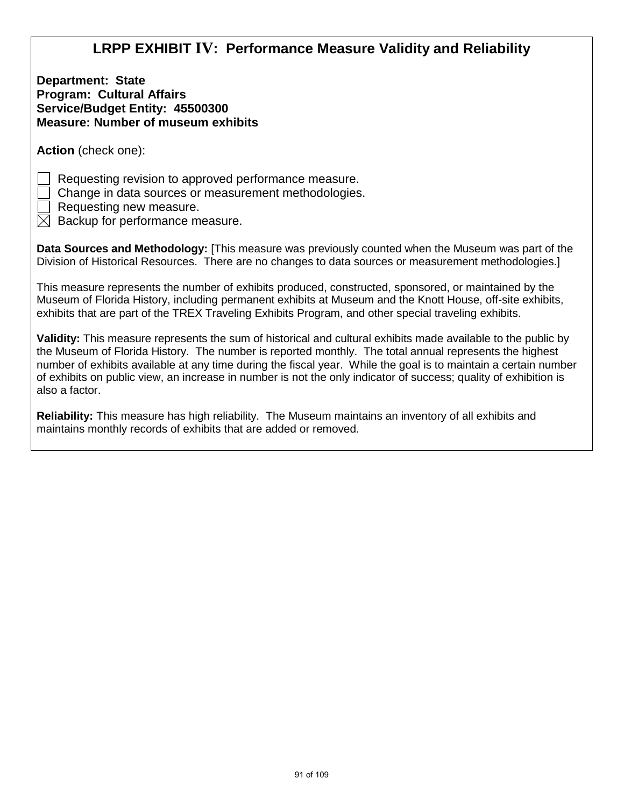**Department: State Program: Cultural Affairs Service/Budget Entity: 45500300 Measure: Number of museum exhibits** 

**Action** (check one):

Requesting revision to approved performance measure.

Change in data sources or measurement methodologies.

Requesting new measure.

 $\boxtimes$  Backup for performance measure.

**Data Sources and Methodology:** [This measure was previously counted when the Museum was part of the Division of Historical Resources. There are no changes to data sources or measurement methodologies.]

This measure represents the number of exhibits produced, constructed, sponsored, or maintained by the Museum of Florida History, including permanent exhibits at Museum and the Knott House, off-site exhibits, exhibits that are part of the TREX Traveling Exhibits Program, and other special traveling exhibits.

**Validity:** This measure represents the sum of historical and cultural exhibits made available to the public by the Museum of Florida History. The number is reported monthly. The total annual represents the highest number of exhibits available at any time during the fiscal year. While the goal is to maintain a certain number of exhibits on public view, an increase in number is not the only indicator of success; quality of exhibition is also a factor.

**Reliability:** This measure has high reliability. The Museum maintains an inventory of all exhibits and maintains monthly records of exhibits that are added or removed.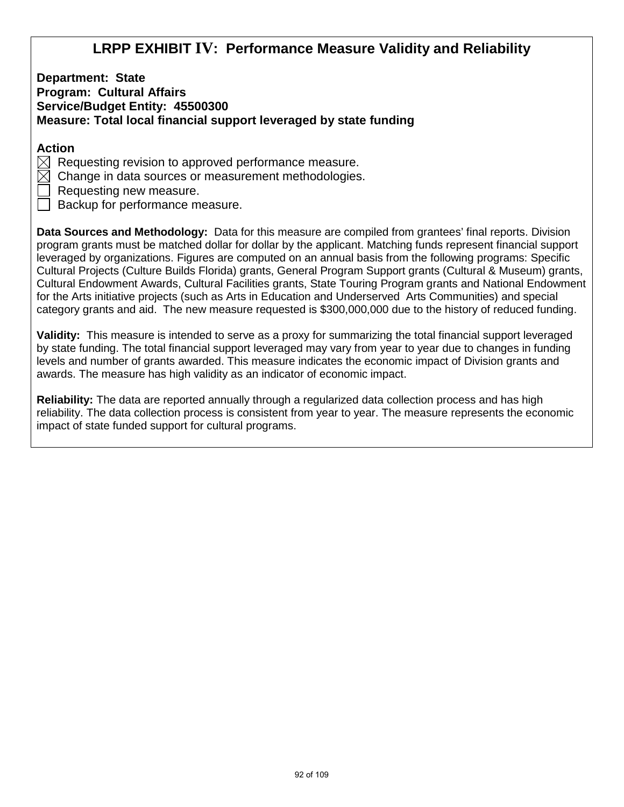### **Department: State Program: Cultural Affairs Service/Budget Entity: 45500300 Measure: Total local financial support leveraged by state funding**

### **Action**

- $\boxtimes$  Requesting revision to approved performance measure.
- $\boxtimes$  Change in data sources or measurement methodologies.
	- Requesting new measure.
	- Backup for performance measure.

**Data Sources and Methodology:** Data for this measure are compiled from grantees' final reports. Division program grants must be matched dollar for dollar by the applicant. Matching funds represent financial support leveraged by organizations. Figures are computed on an annual basis from the following programs: Specific Cultural Projects (Culture Builds Florida) grants, General Program Support grants (Cultural & Museum) grants, Cultural Endowment Awards, Cultural Facilities grants, State Touring Program grants and National Endowment for the Arts initiative projects (such as Arts in Education and Underserved Arts Communities) and special category grants and aid. The new measure requested is \$300,000,000 due to the history of reduced funding.

**Validity:** This measure is intended to serve as a proxy for summarizing the total financial support leveraged by state funding. The total financial support leveraged may vary from year to year due to changes in funding levels and number of grants awarded. This measure indicates the economic impact of Division grants and awards. The measure has high validity as an indicator of economic impact.

**Reliability:** The data are reported annually through a regularized data collection process and has high reliability. The data collection process is consistent from year to year. The measure represents the economic impact of state funded support for cultural programs.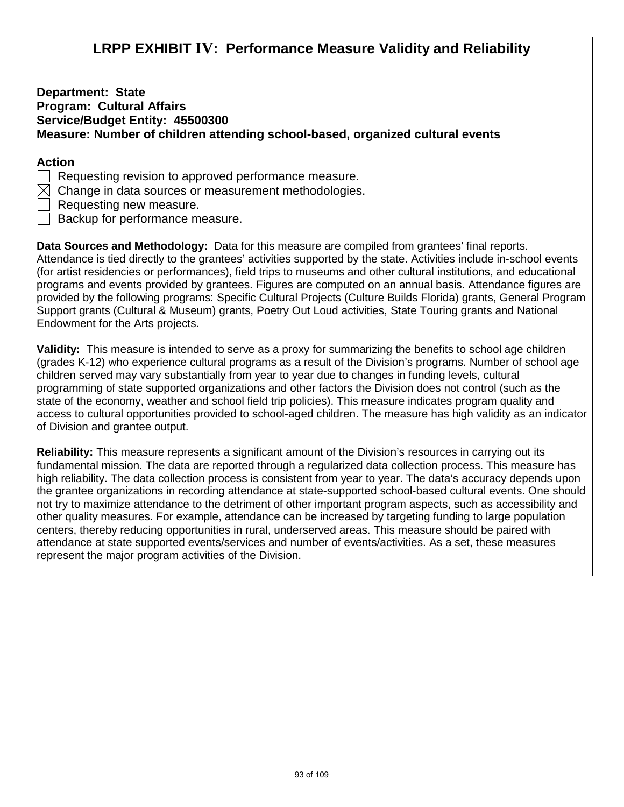### **Department: State Program: Cultural Affairs Service/Budget Entity: 45500300 Measure: Number of children attending school-based, organized cultural events**

### **Action**

- Requesting revision to approved performance measure.
- $\boxtimes$  Change in data sources or measurement methodologies.
	- Requesting new measure.
	- Backup for performance measure.

**Data Sources and Methodology:** Data for this measure are compiled from grantees' final reports. Attendance is tied directly to the grantees' activities supported by the state. Activities include in-school events (for artist residencies or performances), field trips to museums and other cultural institutions, and educational programs and events provided by grantees. Figures are computed on an annual basis. Attendance figures are provided by the following programs: Specific Cultural Projects (Culture Builds Florida) grants, General Program Support grants (Cultural & Museum) grants, Poetry Out Loud activities, State Touring grants and National Endowment for the Arts projects.

**Validity:** This measure is intended to serve as a proxy for summarizing the benefits to school age children (grades K-12) who experience cultural programs as a result of the Division's programs. Number of school age children served may vary substantially from year to year due to changes in funding levels, cultural programming of state supported organizations and other factors the Division does not control (such as the state of the economy, weather and school field trip policies). This measure indicates program quality and access to cultural opportunities provided to school-aged children. The measure has high validity as an indicator of Division and grantee output.

**Reliability:** This measure represents a significant amount of the Division's resources in carrying out its fundamental mission. The data are reported through a regularized data collection process. This measure has high reliability. The data collection process is consistent from year to year. The data's accuracy depends upon the grantee organizations in recording attendance at state-supported school-based cultural events. One should not try to maximize attendance to the detriment of other important program aspects, such as accessibility and other quality measures. For example, attendance can be increased by targeting funding to large population centers, thereby reducing opportunities in rural, underserved areas. This measure should be paired with attendance at state supported events/services and number of events/activities. As a set, these measures represent the major program activities of the Division.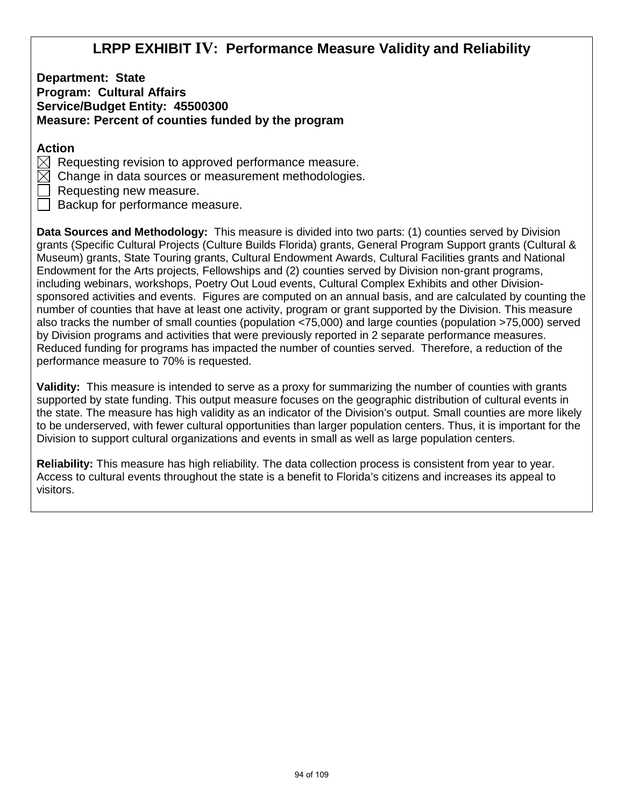### **Department: State Program: Cultural Affairs Service/Budget Entity: 45500300 Measure: Percent of counties funded by the program**

### **Action**

- $\boxtimes$  Requesting revision to approved performance measure.
- $\boxtimes$  Change in data sources or measurement methodologies.
	- Requesting new measure.
	- Backup for performance measure.

**Data Sources and Methodology:** This measure is divided into two parts: (1) counties served by Division grants (Specific Cultural Projects (Culture Builds Florida) grants, General Program Support grants (Cultural & Museum) grants, State Touring grants, Cultural Endowment Awards, Cultural Facilities grants and National Endowment for the Arts projects, Fellowships and (2) counties served by Division non-grant programs, including webinars, workshops, Poetry Out Loud events, Cultural Complex Exhibits and other Divisionsponsored activities and events. Figures are computed on an annual basis, and are calculated by counting the number of counties that have at least one activity, program or grant supported by the Division. This measure also tracks the number of small counties (population <75,000) and large counties (population >75,000) served by Division programs and activities that were previously reported in 2 separate performance measures. Reduced funding for programs has impacted the number of counties served. Therefore, a reduction of the performance measure to 70% is requested.

**Validity:** This measure is intended to serve as a proxy for summarizing the number of counties with grants supported by state funding. This output measure focuses on the geographic distribution of cultural events in the state. The measure has high validity as an indicator of the Division's output. Small counties are more likely to be underserved, with fewer cultural opportunities than larger population centers. Thus, it is important for the Division to support cultural organizations and events in small as well as large population centers.

**Reliability:** This measure has high reliability. The data collection process is consistent from year to year. Access to cultural events throughout the state is a benefit to Florida's citizens and increases its appeal to visitors.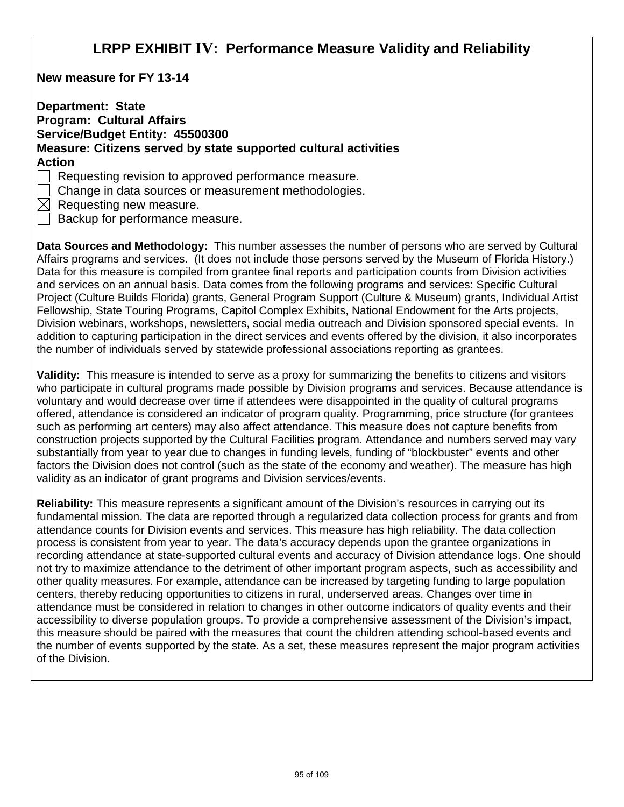**New measure for FY 13-14**

**Department: State Program: Cultural Affairs Service/Budget Entity: 45500300 Measure: Citizens served by state supported cultural activities Action** 

Requesting revision to approved performance measure.

Change in data sources or measurement methodologies.

 $\boxtimes$  Requesting new measure.

Backup for performance measure.

**Data Sources and Methodology:** This number assesses the number of persons who are served by Cultural Affairs programs and services. (It does not include those persons served by the Museum of Florida History.) Data for this measure is compiled from grantee final reports and participation counts from Division activities and services on an annual basis. Data comes from the following programs and services: Specific Cultural Project (Culture Builds Florida) grants, General Program Support (Culture & Museum) grants, Individual Artist Fellowship, State Touring Programs, Capitol Complex Exhibits, National Endowment for the Arts projects, Division webinars, workshops, newsletters, social media outreach and Division sponsored special events. In addition to capturing participation in the direct services and events offered by the division, it also incorporates the number of individuals served by statewide professional associations reporting as grantees.

**Validity:** This measure is intended to serve as a proxy for summarizing the benefits to citizens and visitors who participate in cultural programs made possible by Division programs and services. Because attendance is voluntary and would decrease over time if attendees were disappointed in the quality of cultural programs offered, attendance is considered an indicator of program quality. Programming, price structure (for grantees such as performing art centers) may also affect attendance. This measure does not capture benefits from construction projects supported by the Cultural Facilities program. Attendance and numbers served may vary substantially from year to year due to changes in funding levels, funding of "blockbuster" events and other factors the Division does not control (such as the state of the economy and weather). The measure has high validity as an indicator of grant programs and Division services/events.

**Reliability:** This measure represents a significant amount of the Division's resources in carrying out its fundamental mission. The data are reported through a regularized data collection process for grants and from attendance counts for Division events and services. This measure has high reliability. The data collection process is consistent from year to year. The data's accuracy depends upon the grantee organizations in recording attendance at state-supported cultural events and accuracy of Division attendance logs. One should not try to maximize attendance to the detriment of other important program aspects, such as accessibility and other quality measures. For example, attendance can be increased by targeting funding to large population centers, thereby reducing opportunities to citizens in rural, underserved areas. Changes over time in attendance must be considered in relation to changes in other outcome indicators of quality events and their accessibility to diverse population groups. To provide a comprehensive assessment of the Division's impact, this measure should be paired with the measures that count the children attending school-based events and the number of events supported by the state. As a set, these measures represent the major program activities of the Division.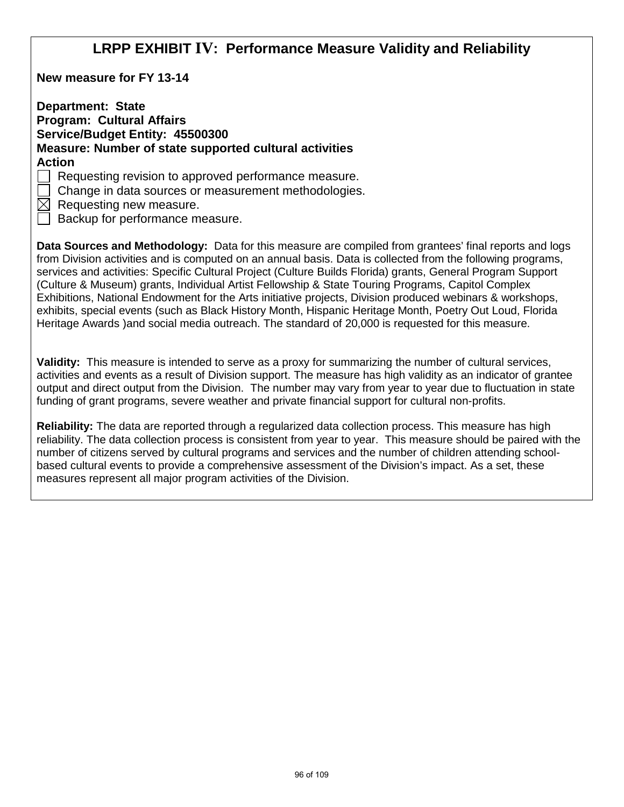| LRPP EXHIBIT IV: Performance Measure Validity and Reliability                                                                                                                                                                                                                                                                                                                                                                                                                                                                                                                                                                                                                                                                                                            |
|--------------------------------------------------------------------------------------------------------------------------------------------------------------------------------------------------------------------------------------------------------------------------------------------------------------------------------------------------------------------------------------------------------------------------------------------------------------------------------------------------------------------------------------------------------------------------------------------------------------------------------------------------------------------------------------------------------------------------------------------------------------------------|
| New measure for FY 13-14                                                                                                                                                                                                                                                                                                                                                                                                                                                                                                                                                                                                                                                                                                                                                 |
| <b>Department: State</b><br><b>Program: Cultural Affairs</b><br>Service/Budget Entity: 45500300<br>Measure: Number of state supported cultural activities<br><b>Action</b><br>Requesting revision to approved performance measure.<br>Change in data sources or measurement methodologies.<br>$\boxtimes$ Requesting new measure.<br>Backup for performance measure.                                                                                                                                                                                                                                                                                                                                                                                                     |
| Data Sources and Methodology: Data for this measure are compiled from grantees' final reports and logs<br>from Division activities and is computed on an annual basis. Data is collected from the following programs,<br>services and activities: Specific Cultural Project (Culture Builds Florida) grants, General Program Support<br>(Culture & Museum) grants, Individual Artist Fellowship & State Touring Programs, Capitol Complex<br>Exhibitions, National Endowment for the Arts initiative projects, Division produced webinars & workshops,<br>exhibits, special events (such as Black History Month, Hispanic Heritage Month, Poetry Out Loud, Florida<br>Heritage Awards ) and social media outreach. The standard of 20,000 is requested for this measure. |
| Validity: This measure is intended to serve as a proxy for summarizing the number of cultural services,<br>activities and events as a result of Division support. The measure has high validity as an indicator of grantee<br>output and direct output from the Division. The number may vary from year to year due to fluctuation in state<br>funding of grant programs, severe weather and private financial support for cultural non-profits.                                                                                                                                                                                                                                                                                                                         |
| Reliability: The data are reported through a regularized data collection process. This measure has high<br>reliability. The data collection process is consistent from year to year. This measure should be paired with the<br>number of citizens served by cultural programs and services and the number of children attending school-<br>based cultural events to provide a comprehensive assessment of the Division's impact. As a set, these<br>measures represent all major program activities of the Division.                                                                                                                                                                                                                                                     |
|                                                                                                                                                                                                                                                                                                                                                                                                                                                                                                                                                                                                                                                                                                                                                                          |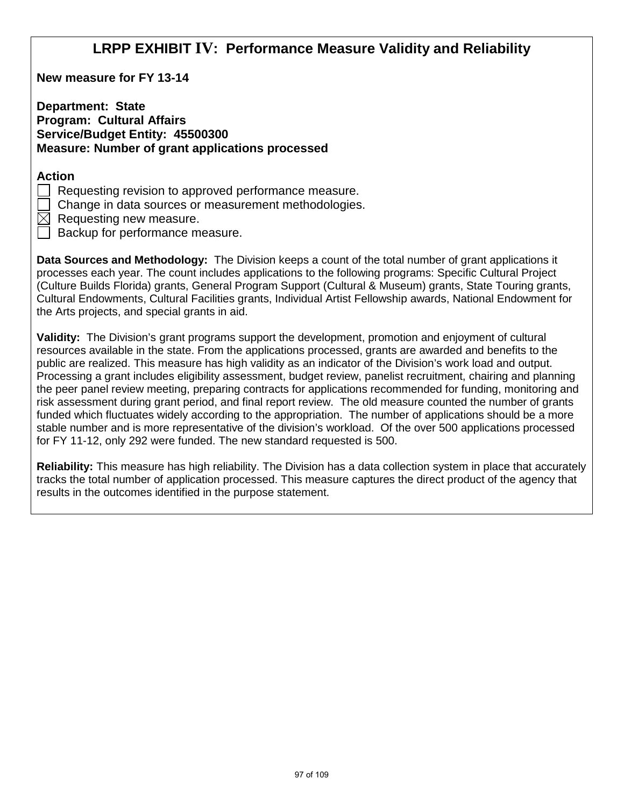**New measure for FY 13-14**

**Department: State Program: Cultural Affairs Service/Budget Entity: 45500300 Measure: Number of grant applications processed**

### **Action**

- Requesting revision to approved performance measure.
- Change in data sources or measurement methodologies.
- $\boxtimes$  Requesting new measure.
- Backup for performance measure.

**Data Sources and Methodology:** The Division keeps a count of the total number of grant applications it processes each year. The count includes applications to the following programs: Specific Cultural Project (Culture Builds Florida) grants, General Program Support (Cultural & Museum) grants, State Touring grants, Cultural Endowments, Cultural Facilities grants, Individual Artist Fellowship awards, National Endowment for the Arts projects, and special grants in aid.

**Validity:** The Division's grant programs support the development, promotion and enjoyment of cultural resources available in the state. From the applications processed, grants are awarded and benefits to the public are realized. This measure has high validity as an indicator of the Division's work load and output. Processing a grant includes eligibility assessment, budget review, panelist recruitment, chairing and planning the peer panel review meeting, preparing contracts for applications recommended for funding, monitoring and risk assessment during grant period, and final report review. The old measure counted the number of grants funded which fluctuates widely according to the appropriation. The number of applications should be a more stable number and is more representative of the division's workload. Of the over 500 applications processed for FY 11-12, only 292 were funded. The new standard requested is 500.

**Reliability:** This measure has high reliability. The Division has a data collection system in place that accurately tracks the total number of application processed. This measure captures the direct product of the agency that results in the outcomes identified in the purpose statement.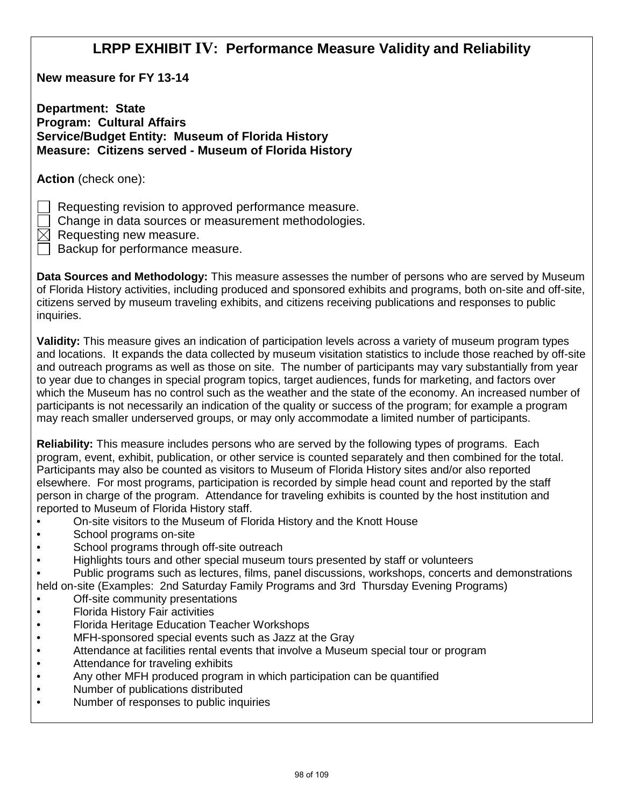**New measure for FY 13-14**

**Department: State Program: Cultural Affairs Service/Budget Entity: Museum of Florida History Measure: Citizens served - Museum of Florida History** 

**Action** (check one):

- Requesting revision to approved performance measure.
- Change in data sources or measurement methodologies.
- $\boxtimes$  Requesting new measure.
- | Backup for performance measure.

**Data Sources and Methodology:** This measure assesses the number of persons who are served by Museum of Florida History activities, including produced and sponsored exhibits and programs, both on-site and off-site, citizens served by museum traveling exhibits, and citizens receiving publications and responses to public inquiries.

**Validity:** This measure gives an indication of participation levels across a variety of museum program types and locations. It expands the data collected by museum visitation statistics to include those reached by off-site and outreach programs as well as those on site. The number of participants may vary substantially from year to year due to changes in special program topics, target audiences, funds for marketing, and factors over which the Museum has no control such as the weather and the state of the economy. An increased number of participants is not necessarily an indication of the quality or success of the program; for example a program may reach smaller underserved groups, or may only accommodate a limited number of participants.

**Reliability:** This measure includes persons who are served by the following types of programs. Each program, event, exhibit, publication, or other service is counted separately and then combined for the total. Participants may also be counted as visitors to Museum of Florida History sites and/or also reported elsewhere. For most programs, participation is recorded by simple head count and reported by the staff person in charge of the program. Attendance for traveling exhibits is counted by the host institution and reported to Museum of Florida History staff.

- On-site visitors to the Museum of Florida History and the Knott House
- School programs on-site
- School programs through off-site outreach
- Highlights tours and other special museum tours presented by staff or volunteers

• Public programs such as lectures, films, panel discussions, workshops, concerts and demonstrations held on-site (Examples: 2nd Saturday Family Programs and 3rd Thursday Evening Programs)

- Off-site community presentations
- Florida History Fair activities
- Florida Heritage Education Teacher Workshops
- MFH-sponsored special events such as Jazz at the Gray
- Attendance at facilities rental events that involve a Museum special tour or program
- Attendance for traveling exhibits
- Any other MFH produced program in which participation can be quantified
- Number of publications distributed
- Number of responses to public inquiries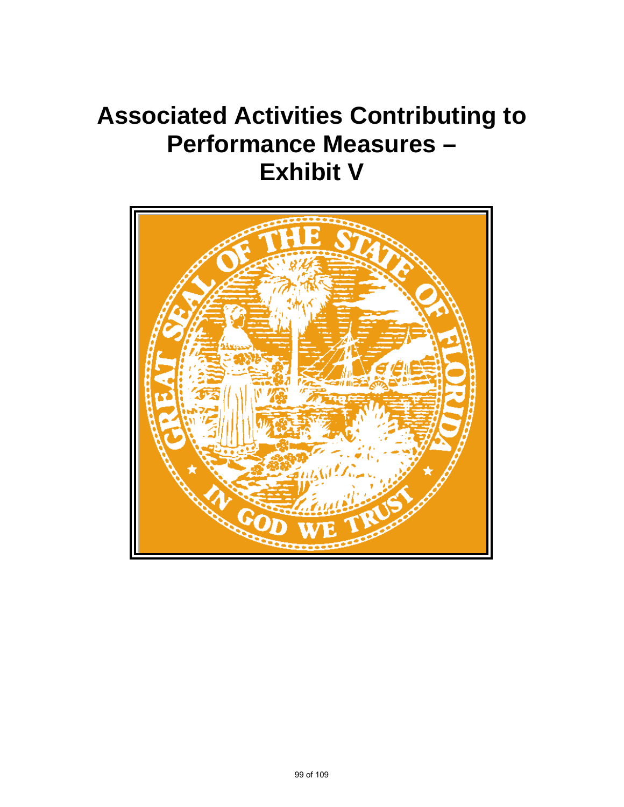# **Associated Activities Contributing to Performance Measures – Exhibit V**

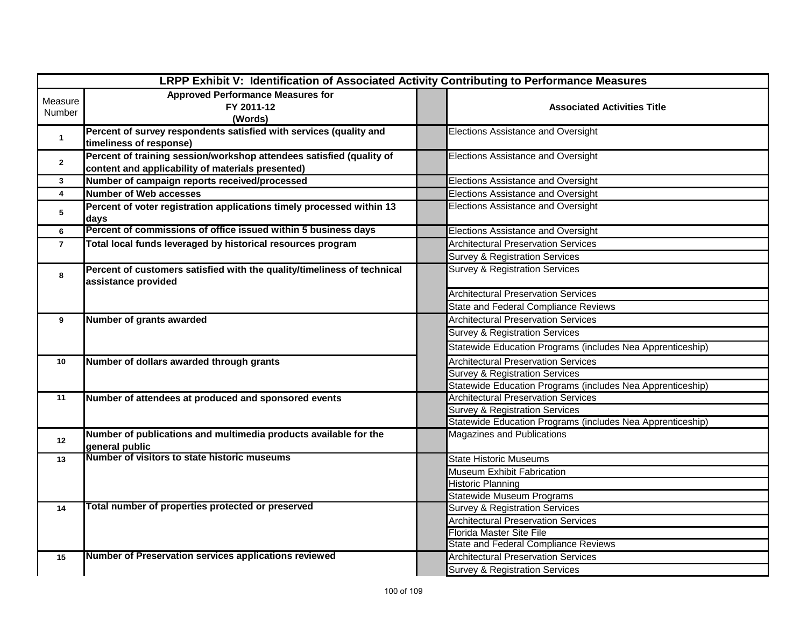| LRPP Exhibit V: Identification of Associated Activity Contributing to Performance Measures |                                                                                                |  |                                                            |  |  |  |
|--------------------------------------------------------------------------------------------|------------------------------------------------------------------------------------------------|--|------------------------------------------------------------|--|--|--|
|                                                                                            | <b>Approved Performance Measures for</b>                                                       |  |                                                            |  |  |  |
| Measure<br>Number                                                                          | FY 2011-12                                                                                     |  | <b>Associated Activities Title</b>                         |  |  |  |
|                                                                                            | (Words)                                                                                        |  |                                                            |  |  |  |
| $\mathbf{1}$                                                                               | Percent of survey respondents satisfied with services (quality and                             |  | <b>Elections Assistance and Oversight</b>                  |  |  |  |
|                                                                                            | timeliness of response)                                                                        |  |                                                            |  |  |  |
| $\mathbf{2}$                                                                               | Percent of training session/workshop attendees satisfied (quality of                           |  | <b>Elections Assistance and Oversight</b>                  |  |  |  |
|                                                                                            | content and applicability of materials presented)                                              |  |                                                            |  |  |  |
| 3                                                                                          | Number of campaign reports received/processed                                                  |  | <b>Elections Assistance and Oversight</b>                  |  |  |  |
| $\overline{\mathbf{4}}$                                                                    | <b>Number of Web accesses</b>                                                                  |  | <b>Elections Assistance and Oversight</b>                  |  |  |  |
| 5                                                                                          | Percent of voter registration applications timely processed within 13<br>days                  |  | <b>Elections Assistance and Oversight</b>                  |  |  |  |
| 6                                                                                          | Percent of commissions of office issued within 5 business days                                 |  | <b>Elections Assistance and Oversight</b>                  |  |  |  |
| $\overline{\phantom{a}}$                                                                   | Total local funds leveraged by historical resources program                                    |  | <b>Architectural Preservation Services</b>                 |  |  |  |
|                                                                                            |                                                                                                |  | <b>Survey &amp; Registration Services</b>                  |  |  |  |
| 8                                                                                          | Percent of customers satisfied with the quality/timeliness of technical<br>assistance provided |  | <b>Survey &amp; Registration Services</b>                  |  |  |  |
|                                                                                            |                                                                                                |  | <b>Architectural Preservation Services</b>                 |  |  |  |
|                                                                                            |                                                                                                |  | State and Federal Compliance Reviews                       |  |  |  |
| 9                                                                                          | Number of grants awarded                                                                       |  | <b>Architectural Preservation Services</b>                 |  |  |  |
|                                                                                            |                                                                                                |  | <b>Survey &amp; Registration Services</b>                  |  |  |  |
|                                                                                            |                                                                                                |  | Statewide Education Programs (includes Nea Apprenticeship) |  |  |  |
| 10                                                                                         | Number of dollars awarded through grants                                                       |  | <b>Architectural Preservation Services</b>                 |  |  |  |
|                                                                                            |                                                                                                |  | <b>Survey &amp; Registration Services</b>                  |  |  |  |
|                                                                                            |                                                                                                |  | Statewide Education Programs (includes Nea Apprenticeship) |  |  |  |
| 11                                                                                         | Number of attendees at produced and sponsored events                                           |  | <b>Architectural Preservation Services</b>                 |  |  |  |
|                                                                                            |                                                                                                |  | <b>Survey &amp; Registration Services</b>                  |  |  |  |
|                                                                                            |                                                                                                |  | Statewide Education Programs (includes Nea Apprenticeship) |  |  |  |
| 12 <sup>2</sup>                                                                            | Number of publications and multimedia products available for the<br>general public             |  | <b>Magazines and Publications</b>                          |  |  |  |
| 13                                                                                         | Number of visitors to state historic museums                                                   |  | <b>State Historic Museums</b>                              |  |  |  |
|                                                                                            |                                                                                                |  | Museum Exhibit Fabrication                                 |  |  |  |
|                                                                                            |                                                                                                |  | <b>Historic Planning</b>                                   |  |  |  |
|                                                                                            |                                                                                                |  | <b>Statewide Museum Programs</b>                           |  |  |  |
| 14                                                                                         | Total number of properties protected or preserved                                              |  | <b>Survey &amp; Registration Services</b>                  |  |  |  |
|                                                                                            |                                                                                                |  | <b>Architectural Preservation Services</b>                 |  |  |  |
|                                                                                            |                                                                                                |  | Florida Master Site File                                   |  |  |  |
|                                                                                            |                                                                                                |  | State and Federal Compliance Reviews                       |  |  |  |
| 15                                                                                         | Number of Preservation services applications reviewed                                          |  | <b>Architectural Preservation Services</b>                 |  |  |  |
|                                                                                            |                                                                                                |  | <b>Survey &amp; Registration Services</b>                  |  |  |  |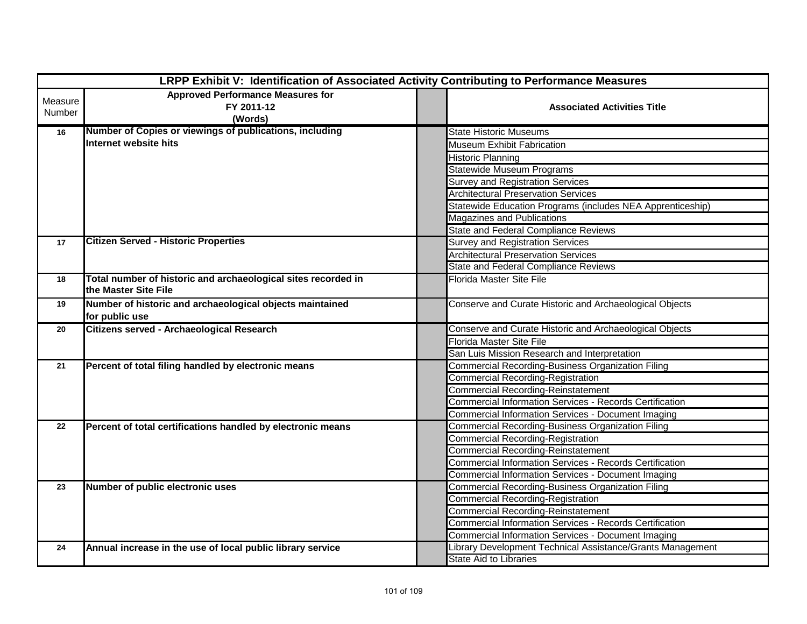|                   | LRPP Exhibit V: Identification of Associated Activity Contributing to Performance Measures |  |                                                                |  |  |  |  |
|-------------------|--------------------------------------------------------------------------------------------|--|----------------------------------------------------------------|--|--|--|--|
| Measure<br>Number | <b>Approved Performance Measures for</b><br>FY 2011-12<br>(Words)                          |  | <b>Associated Activities Title</b>                             |  |  |  |  |
| 16                | Number of Copies or viewings of publications, including                                    |  | <b>State Historic Museums</b>                                  |  |  |  |  |
|                   | Internet website hits                                                                      |  | Museum Exhibit Fabrication                                     |  |  |  |  |
|                   |                                                                                            |  | <b>Historic Planning</b>                                       |  |  |  |  |
|                   |                                                                                            |  | <b>Statewide Museum Programs</b>                               |  |  |  |  |
|                   |                                                                                            |  | <b>Survey and Registration Services</b>                        |  |  |  |  |
|                   |                                                                                            |  | <b>Architectural Preservation Services</b>                     |  |  |  |  |
|                   |                                                                                            |  | Statewide Education Programs (includes NEA Apprenticeship)     |  |  |  |  |
|                   |                                                                                            |  | Magazines and Publications                                     |  |  |  |  |
|                   |                                                                                            |  | State and Federal Compliance Reviews                           |  |  |  |  |
| 17                | <b>Citizen Served - Historic Properties</b>                                                |  | <b>Survey and Registration Services</b>                        |  |  |  |  |
|                   |                                                                                            |  | <b>Architectural Preservation Services</b>                     |  |  |  |  |
|                   |                                                                                            |  | State and Federal Compliance Reviews                           |  |  |  |  |
| 18                | Total number of historic and archaeological sites recorded in<br>the Master Site File      |  | <b>Florida Master Site File</b>                                |  |  |  |  |
| 19                | Number of historic and archaeological objects maintained<br>for public use                 |  | Conserve and Curate Historic and Archaeological Objects        |  |  |  |  |
| 20                | Citizens served - Archaeological Research                                                  |  | Conserve and Curate Historic and Archaeological Objects        |  |  |  |  |
|                   |                                                                                            |  | Florida Master Site File                                       |  |  |  |  |
|                   |                                                                                            |  | San Luis Mission Research and Interpretation                   |  |  |  |  |
| 21                | Percent of total filing handled by electronic means                                        |  | Commercial Recording-Business Organization Filing              |  |  |  |  |
|                   |                                                                                            |  | Commercial Recording-Registration                              |  |  |  |  |
|                   |                                                                                            |  | <b>Commercial Recording-Reinstatement</b>                      |  |  |  |  |
|                   |                                                                                            |  | Commercial Information Services - Records Certification        |  |  |  |  |
|                   |                                                                                            |  | Commercial Information Services - Document Imaging             |  |  |  |  |
| 22                | Percent of total certifications handled by electronic means                                |  | <b>Commercial Recording-Business Organization Filing</b>       |  |  |  |  |
|                   |                                                                                            |  | <b>Commercial Recording-Registration</b>                       |  |  |  |  |
|                   |                                                                                            |  | Commercial Recording-Reinstatement                             |  |  |  |  |
|                   |                                                                                            |  | Commercial Information Services - Records Certification        |  |  |  |  |
|                   |                                                                                            |  | <b>Commercial Information Services - Document Imaging</b>      |  |  |  |  |
| 23                | Number of public electronic uses                                                           |  | <b>Commercial Recording-Business Organization Filing</b>       |  |  |  |  |
|                   |                                                                                            |  | Commercial Recording-Registration                              |  |  |  |  |
|                   |                                                                                            |  | <b>Commercial Recording-Reinstatement</b>                      |  |  |  |  |
|                   |                                                                                            |  | <b>Commercial Information Services - Records Certification</b> |  |  |  |  |
|                   |                                                                                            |  | Commercial Information Services - Document Imaging             |  |  |  |  |
| 24                | Annual increase in the use of local public library service                                 |  | Library Development Technical Assistance/Grants Management     |  |  |  |  |
|                   |                                                                                            |  | <b>State Aid to Libraries</b>                                  |  |  |  |  |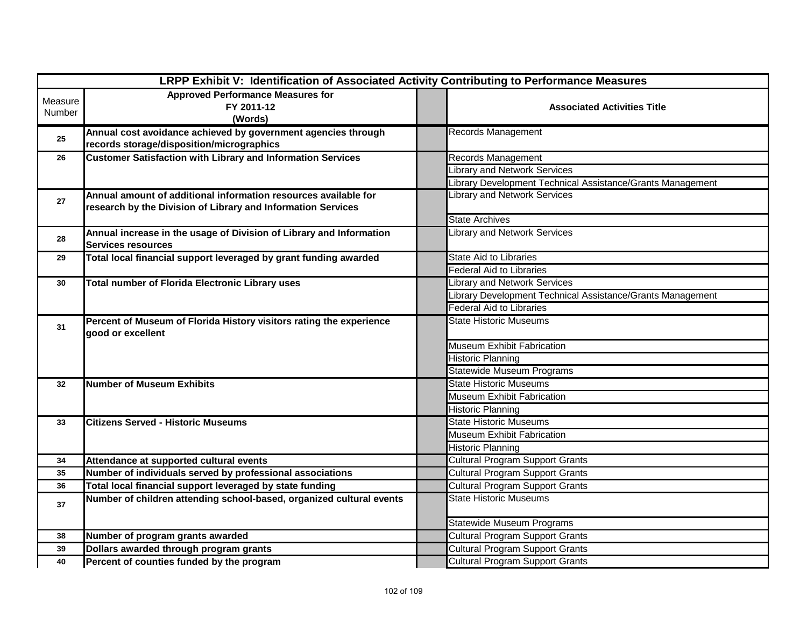| LRPP Exhibit V: Identification of Associated Activity Contributing to Performance Measures |                                                                                                                                 |  |                                                            |  |  |
|--------------------------------------------------------------------------------------------|---------------------------------------------------------------------------------------------------------------------------------|--|------------------------------------------------------------|--|--|
| Measure<br>Number                                                                          | <b>Approved Performance Measures for</b><br>FY 2011-12<br>(Words)                                                               |  | <b>Associated Activities Title</b>                         |  |  |
| 25                                                                                         | Annual cost avoidance achieved by government agencies through<br>records storage/disposition/micrographics                      |  | Records Management                                         |  |  |
| 26                                                                                         | <b>Customer Satisfaction with Library and Information Services</b>                                                              |  | Records Management                                         |  |  |
|                                                                                            |                                                                                                                                 |  | <b>Library and Network Services</b>                        |  |  |
|                                                                                            |                                                                                                                                 |  | Library Development Technical Assistance/Grants Management |  |  |
| 27                                                                                         | Annual amount of additional information resources available for<br>research by the Division of Library and Information Services |  | Library and Network Services                               |  |  |
|                                                                                            |                                                                                                                                 |  | <b>State Archives</b>                                      |  |  |
| 28                                                                                         | Annual increase in the usage of Division of Library and Information<br><b>Services resources</b>                                |  | <b>Library and Network Services</b>                        |  |  |
| 29                                                                                         | Total local financial support leveraged by grant funding awarded                                                                |  | <b>State Aid to Libraries</b>                              |  |  |
|                                                                                            |                                                                                                                                 |  | <b>Federal Aid to Libraries</b>                            |  |  |
| 30                                                                                         | Total number of Florida Electronic Library uses                                                                                 |  | <b>Library and Network Services</b>                        |  |  |
|                                                                                            |                                                                                                                                 |  | Library Development Technical Assistance/Grants Management |  |  |
|                                                                                            |                                                                                                                                 |  | <b>Federal Aid to Libraries</b>                            |  |  |
| 31                                                                                         | Percent of Museum of Florida History visitors rating the experience<br>good or excellent                                        |  | <b>State Historic Museums</b>                              |  |  |
|                                                                                            |                                                                                                                                 |  | <b>Museum Exhibit Fabrication</b>                          |  |  |
|                                                                                            |                                                                                                                                 |  | <b>Historic Planning</b>                                   |  |  |
|                                                                                            |                                                                                                                                 |  | <b>Statewide Museum Programs</b>                           |  |  |
| 32                                                                                         | <b>Number of Museum Exhibits</b>                                                                                                |  | <b>State Historic Museums</b>                              |  |  |
|                                                                                            |                                                                                                                                 |  | <b>Museum Exhibit Fabrication</b>                          |  |  |
|                                                                                            |                                                                                                                                 |  | <b>Historic Planning</b>                                   |  |  |
| 33                                                                                         | <b>Citizens Served - Historic Museums</b>                                                                                       |  | <b>State Historic Museums</b>                              |  |  |
|                                                                                            |                                                                                                                                 |  | <b>Museum Exhibit Fabrication</b>                          |  |  |
|                                                                                            |                                                                                                                                 |  | <b>Historic Planning</b>                                   |  |  |
| 34                                                                                         | Attendance at supported cultural events                                                                                         |  | <b>Cultural Program Support Grants</b>                     |  |  |
| 35                                                                                         | Number of individuals served by professional associations                                                                       |  | <b>Cultural Program Support Grants</b>                     |  |  |
| 36                                                                                         | Total local financial support leveraged by state funding                                                                        |  | <b>Cultural Program Support Grants</b>                     |  |  |
| 37                                                                                         | Number of children attending school-based, organized cultural events                                                            |  | <b>State Historic Museums</b>                              |  |  |
|                                                                                            |                                                                                                                                 |  | <b>Statewide Museum Programs</b>                           |  |  |
| 38                                                                                         | Number of program grants awarded                                                                                                |  | <b>Cultural Program Support Grants</b>                     |  |  |
| 39                                                                                         | Dollars awarded through program grants                                                                                          |  | <b>Cultural Program Support Grants</b>                     |  |  |
| 40                                                                                         | Percent of counties funded by the program                                                                                       |  | <b>Cultural Program Support Grants</b>                     |  |  |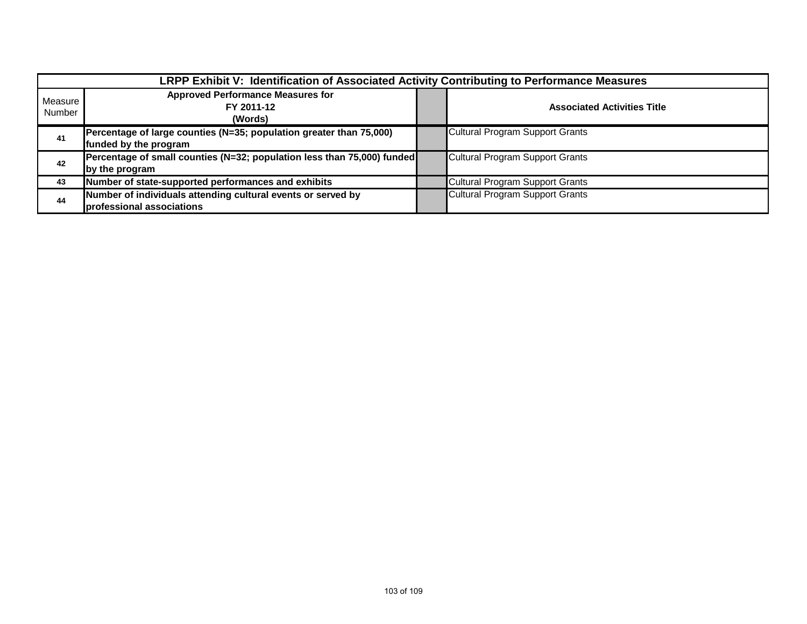| LRPP Exhibit V: Identification of Associated Activity Contributing to Performance Measures |                                                                                              |  |                                    |  |
|--------------------------------------------------------------------------------------------|----------------------------------------------------------------------------------------------|--|------------------------------------|--|
| Measure<br>Number                                                                          | <b>Approved Performance Measures for</b><br>FY 2011-12<br>(Words)                            |  | <b>Associated Activities Title</b> |  |
| 41                                                                                         | Percentage of large counties (N=35; population greater than 75,000)<br>funded by the program |  | Cultural Program Support Grants    |  |
| 42                                                                                         | Percentage of small counties (N=32; population less than 75,000) funded<br>by the program    |  | Cultural Program Support Grants    |  |
| 43                                                                                         | Number of state-supported performances and exhibits                                          |  | Cultural Program Support Grants    |  |
| 44                                                                                         | Number of individuals attending cultural events or served by<br>professional associations    |  | Cultural Program Support Grants    |  |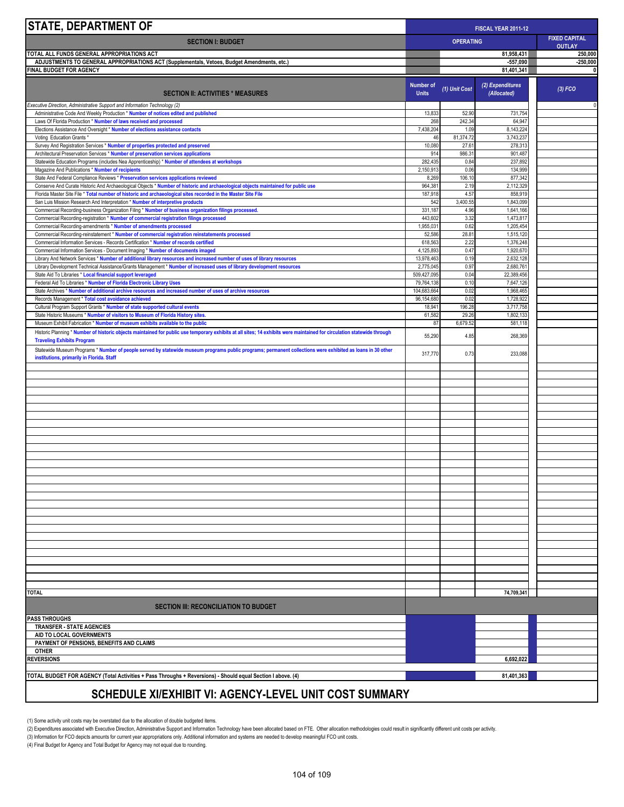| <b>STATE, DEPARTMENT OF</b>                                                                                                                                                                                                                        |                                  | <b>FISCAL YEAR 2011-12</b> |                                 |                          |  |  |
|----------------------------------------------------------------------------------------------------------------------------------------------------------------------------------------------------------------------------------------------------|----------------------------------|----------------------------|---------------------------------|--------------------------|--|--|
| <b>SECTION I: BUDGET</b>                                                                                                                                                                                                                           |                                  | <b>OPERATING</b>           |                                 | <b>FIXED CAPITAL</b>     |  |  |
| TOTAL ALL FUNDS GENERAL APPROPRIATIONS ACT                                                                                                                                                                                                         |                                  |                            | 81,958,431                      | <b>OUTLAY</b><br>250,000 |  |  |
| ADJUSTMENTS TO GENERAL APPROPRIATIONS ACT (Supplementals, Vetoes, Budget Amendments, etc.)                                                                                                                                                         |                                  |                            | $-557,090$                      | $-250,000$               |  |  |
| FINAL BUDGET FOR AGENCY                                                                                                                                                                                                                            |                                  |                            | 81,401,341                      |                          |  |  |
| <b>SECTION II: ACTIVITIES * MEASURES</b>                                                                                                                                                                                                           | <b>Number of</b><br><b>Units</b> | (1) Unit Cost              | (2) Expenditures<br>(Allocated) | (3) FCO                  |  |  |
| Executive Direction, Administrative Support and Information Technology (2)                                                                                                                                                                         |                                  |                            |                                 | 0                        |  |  |
| Administrative Code And Weekly Production * Number of notices edited and published                                                                                                                                                                 | 13,833                           | 52.90                      | 731,754                         |                          |  |  |
| Laws Of Florida Production * Number of laws received and processed                                                                                                                                                                                 | 268                              | 242.34                     | 64,947                          |                          |  |  |
| Elections Assistance And Oversight * Number of elections assistance contacts<br>Voting Education Grants *                                                                                                                                          | 7,438,204<br>46                  | 1.09<br>81,374.72          | 8,143,224<br>3,743,237          |                          |  |  |
| Survey And Registration Services * Number of properties protected and preserved                                                                                                                                                                    | 10,08                            | 27.61                      | 278,313                         |                          |  |  |
| Architectural Preservation Services * Number of preservation services applications                                                                                                                                                                 | 914                              | 986.3                      | 901,487                         |                          |  |  |
| Statewide Education Programs (includes Nea Apprenticeship) * Number of attendees at workshops                                                                                                                                                      | 282,43                           | 0.84                       | 237,892                         |                          |  |  |
| Magazine And Publications * Number of recipients                                                                                                                                                                                                   | 2,150,91                         | 0.06                       | 134,999                         |                          |  |  |
| State And Federal Compliance Reviews * Preservation services applications reviewed                                                                                                                                                                 | 8,269                            | 106.10                     | 877,342                         |                          |  |  |
| Conserve And Curate Historic And Archaeological Objects * Number of historic and archaeological objects maintained for public use<br>Florida Master Site File * Total number of historic and archaeological sites recorded in the Master Site File | 964,38<br>187,918                | 2.19<br>4.57               | 2,112,329<br>858,919            |                          |  |  |
| San Luis Mission Research And Interpretation * Number of interpretive products                                                                                                                                                                     | 542                              | 3,400.55                   | 1,843,099                       |                          |  |  |
| Commercial Recording-business Organization Filing * Number of business organization filings processed.                                                                                                                                             | 331,187                          | 4.96                       | 1,641,166                       |                          |  |  |
| Commercial Recording-registration * Number of commercial registration filings processed                                                                                                                                                            | 443,60                           | 3.32                       | 1,473,817                       |                          |  |  |
| Commercial Recording-amendments * Number of amendments processed                                                                                                                                                                                   | 1,955,03                         | 0.62                       | 1,205,454                       |                          |  |  |
| Commercial Recording-reinstatement * Number of commercial registration reinstatements processed                                                                                                                                                    | 52,586<br>618,56                 | 28.81<br>2.22              | 1,515,120                       |                          |  |  |
| Commercial Information Services - Records Certification * Number of records certified<br>Commercial Information Services - Document Imaging * Number of documents imaged                                                                           | 4,125,89                         | 0.47                       | 1,376,248<br>1,920,670          |                          |  |  |
| Library And Network Services * Number of additional library resources and increased number of uses of library resources                                                                                                                            | 13,978,46                        | 0.19                       | 2,632,128                       |                          |  |  |
| Library Development Technical Assistance/Grants Management * Number of increased uses of library development resources                                                                                                                             | 2,775,04                         | 0.97                       | 2,680,761                       |                          |  |  |
| State Aid To Libraries * Local financial support leveraged                                                                                                                                                                                         | 509,427,09                       | 0.04                       | 22,389,456                      |                          |  |  |
| Federal Aid To Libraries * Number of Florida Electronic Library Uses                                                                                                                                                                               | 79,764,13                        | 0.10                       | 7.647.126                       |                          |  |  |
| State Archives * Number of additional archive resources and increased number of uses of archive resources                                                                                                                                          | 104,683,664                      | 0.02                       | 1,968,465                       |                          |  |  |
| Records Management * Total cost avoidance achieved                                                                                                                                                                                                 | 96,154,680<br>18,94              | 0.02<br>196.28             | 1,728,922<br>3,717,758          |                          |  |  |
| Cultural Program Support Grants * Number of state supported cultural events<br>State Historic Museums * Number of visitors to Museum of Florida History sites.                                                                                     | 61,58                            | 29.26                      | 1,802,133                       |                          |  |  |
| Museum Exhibit Fabrication * Number of museum exhibits available to the public                                                                                                                                                                     | 87                               | 6,679.52                   | 581,118                         |                          |  |  |
| Historic Planning * Number of historic objects maintained for public use temporary exhibits at all sites; 14 exhibits were maintained for circulation statewide through                                                                            |                                  |                            |                                 |                          |  |  |
| <b>Traveling Exhibits Program</b><br>Statewide Museum Programs * Number of people served by statewide museum programs public programs; permanent collections were exhibited as loans in 30 other                                                   | 55,290                           | 4.85                       | 268,369                         |                          |  |  |
| institutions, primarily in Florida. Staff                                                                                                                                                                                                          | 317,770                          | 0.73                       | 233,088                         |                          |  |  |
|                                                                                                                                                                                                                                                    |                                  |                            |                                 |                          |  |  |
|                                                                                                                                                                                                                                                    |                                  |                            |                                 |                          |  |  |
|                                                                                                                                                                                                                                                    |                                  |                            |                                 |                          |  |  |
|                                                                                                                                                                                                                                                    |                                  |                            |                                 |                          |  |  |
|                                                                                                                                                                                                                                                    |                                  |                            |                                 |                          |  |  |
|                                                                                                                                                                                                                                                    |                                  |                            |                                 |                          |  |  |
|                                                                                                                                                                                                                                                    |                                  |                            |                                 |                          |  |  |
|                                                                                                                                                                                                                                                    |                                  |                            |                                 |                          |  |  |
|                                                                                                                                                                                                                                                    |                                  |                            |                                 |                          |  |  |
|                                                                                                                                                                                                                                                    |                                  |                            |                                 |                          |  |  |
|                                                                                                                                                                                                                                                    |                                  |                            |                                 |                          |  |  |
|                                                                                                                                                                                                                                                    |                                  |                            |                                 |                          |  |  |
|                                                                                                                                                                                                                                                    |                                  |                            |                                 |                          |  |  |
|                                                                                                                                                                                                                                                    |                                  |                            |                                 |                          |  |  |
|                                                                                                                                                                                                                                                    |                                  |                            |                                 |                          |  |  |
|                                                                                                                                                                                                                                                    |                                  |                            |                                 |                          |  |  |
|                                                                                                                                                                                                                                                    |                                  |                            |                                 |                          |  |  |
|                                                                                                                                                                                                                                                    |                                  |                            |                                 |                          |  |  |
|                                                                                                                                                                                                                                                    |                                  |                            |                                 |                          |  |  |
|                                                                                                                                                                                                                                                    |                                  |                            |                                 |                          |  |  |
|                                                                                                                                                                                                                                                    |                                  |                            |                                 |                          |  |  |
|                                                                                                                                                                                                                                                    |                                  |                            |                                 |                          |  |  |
|                                                                                                                                                                                                                                                    |                                  |                            |                                 |                          |  |  |
|                                                                                                                                                                                                                                                    |                                  |                            |                                 |                          |  |  |
| <b>TOTAL</b>                                                                                                                                                                                                                                       |                                  |                            | 74,709,341                      |                          |  |  |
| <b>SECTION III: RECONCILIATION TO BUDGET</b>                                                                                                                                                                                                       |                                  |                            |                                 |                          |  |  |
| <b>PASS THROUGHS</b>                                                                                                                                                                                                                               |                                  |                            |                                 |                          |  |  |
| <b>TRANSFER - STATE AGENCIES</b>                                                                                                                                                                                                                   |                                  |                            |                                 |                          |  |  |
| AID TO LOCAL GOVERNMENTS                                                                                                                                                                                                                           |                                  |                            |                                 |                          |  |  |
| PAYMENT OF PENSIONS, BENEFITS AND CLAIMS<br><b>OTHER</b>                                                                                                                                                                                           |                                  |                            |                                 |                          |  |  |
| <b>REVERSIONS</b>                                                                                                                                                                                                                                  |                                  |                            | 6,692,022                       |                          |  |  |
|                                                                                                                                                                                                                                                    |                                  |                            |                                 |                          |  |  |
| TOTAL BUDGET FOR AGENCY (Total Activities + Pass Throughs + Reversions) - Should equal Section I above. (4)                                                                                                                                        |                                  |                            | 81,401,363                      |                          |  |  |
| SAUFBULE WIEWURF VI. LAFUAV                                                                                                                                                                                                                        |                                  |                            |                                 |                          |  |  |

### **SCHEDULE XI/EXHIBIT VI: AGENCY-LEVEL UNIT COST SUMMARY**

(1) Some activity unit costs may be overstated due to the allocation of double budgeted items.

(2) Expenditures associated with Executive Direction, Administrative Support and Information Technology have been allocated based on FTE. Other allocation methodologies could result in significantly different unit costs pe

(3) Information for FCO depicts amounts for current year appropriations only. Additional information and systems are needed to develop meaningful FCO unit costs.

(4) Final Budget for Agency and Total Budget for Agency may not equal due to rounding.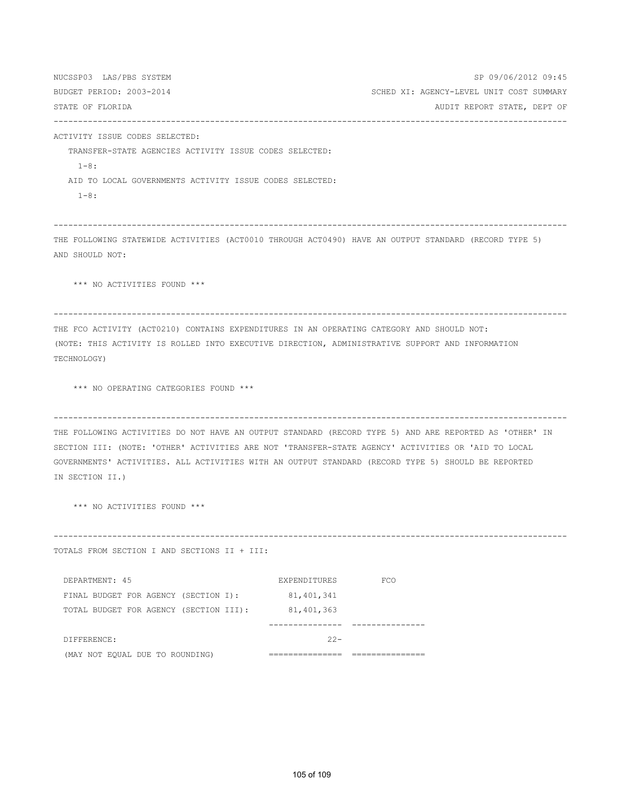NUCSSP03 LAS/PBS SYSTEM SP 09/06/2012 09:45 BUDGET PERIOD: 2003-2014 SCHED XI: AGENCY-LEVEL UNIT COST SUMMARY STATE OF FLORIDA AUDIT REPORT STATE, DEPT OF --------------------------------------------------------------------------------------------------------- ACTIVITY ISSUE CODES SELECTED: TRANSFER-STATE AGENCIES ACTIVITY ISSUE CODES SELECTED:  $1 - 8:$  AID TO LOCAL GOVERNMENTS ACTIVITY ISSUE CODES SELECTED:  $1 - 8$ --------------------------------------------------------------------------------------------------------- THE FOLLOWING STATEWIDE ACTIVITIES (ACT0010 THROUGH ACT0490) HAVE AN OUTPUT STANDARD (RECORD TYPE 5) AND SHOULD NOT: \*\*\* NO ACTIVITIES FOUND \*\*\* --------------------------------------------------------------------------------------------------------- THE FCO ACTIVITY (ACT0210) CONTAINS EXPENDITURES IN AN OPERATING CATEGORY AND SHOULD NOT: (NOTE: THIS ACTIVITY IS ROLLED INTO EXECUTIVE DIRECTION, ADMINISTRATIVE SUPPORT AND INFORMATION TECHNOLOGY) \*\*\* NO OPERATING CATEGORIES FOUND \*\*\* --------------------------------------------------------------------------------------------------------- THE FOLLOWING ACTIVITIES DO NOT HAVE AN OUTPUT STANDARD (RECORD TYPE 5) AND ARE REPORTED AS 'OTHER' IN SECTION III: (NOTE: 'OTHER' ACTIVITIES ARE NOT 'TRANSFER-STATE AGENCY' ACTIVITIES OR 'AID TO LOCAL GOVERNMENTS' ACTIVITIES. ALL ACTIVITIES WITH AN OUTPUT STANDARD (RECORD TYPE 5) SHOULD BE REPORTED IN SECTION II.) \*\*\* NO ACTIVITIES FOUND \*\*\* --------------------------------------------------------------------------------------------------------- TOTALS FROM SECTION I AND SECTIONS II + III: DEPARTMENT: 45 EXPENDITURES FCO FINAL BUDGET FOR AGENCY (SECTION I): 81,401,341 TOTAL BUDGET FOR AGENCY (SECTION III): 81,401,363 --------------- --------------- DIFFERENCE: 22-

(MAY NOT EQUAL DUE TO ROUNDING) =============== ===============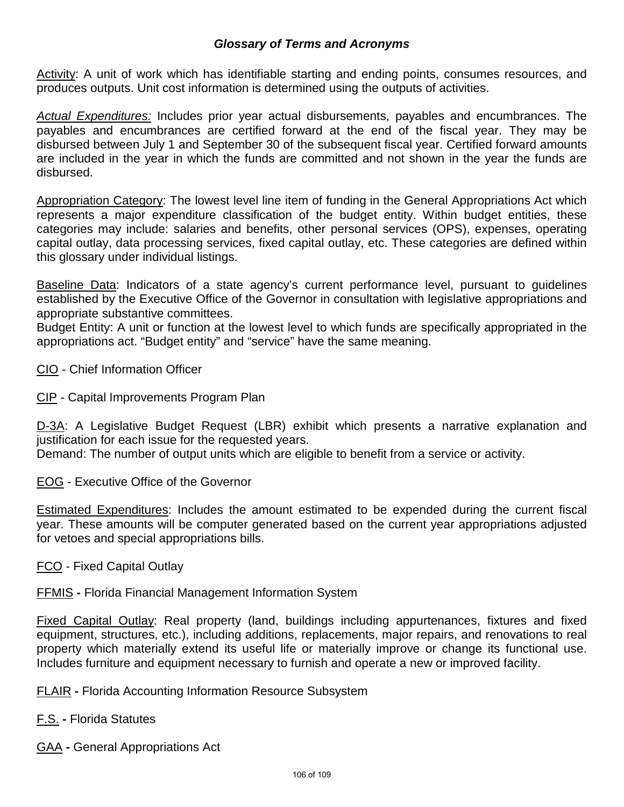### *Glossary of Terms and Acronyms*

Activity: A unit of work which has identifiable starting and ending points, consumes resources, and produces outputs. Unit cost information is determined using the outputs of activities.

*Actual Expenditures:* Includes prior year actual disbursements, payables and encumbrances. The payables and encumbrances are certified forward at the end of the fiscal year. They may be disbursed between July 1 and September 30 of the subsequent fiscal year. Certified forward amounts are included in the year in which the funds are committed and not shown in the year the funds are disbursed.

Appropriation Category: The lowest level line item of funding in the General Appropriations Act which represents a major expenditure classification of the budget entity. Within budget entities, these categories may include: salaries and benefits, other personal services (OPS), expenses, operating capital outlay, data processing services, fixed capital outlay, etc. These categories are defined within this glossary under individual listings.

Baseline Data: Indicators of a state agency's current performance level, pursuant to guidelines established by the Executive Office of the Governor in consultation with legislative appropriations and appropriate substantive committees.

Budget Entity: A unit or function at the lowest level to which funds are specifically appropriated in the appropriations act. "Budget entity" and "service" have the same meaning.

CIO - Chief Information Officer

CIP - Capital Improvements Program Plan

D-3A: A Legislative Budget Request (LBR) exhibit which presents a narrative explanation and justification for each issue for the requested years.

Demand: The number of output units which are eligible to benefit from a service or activity.

EOG - Executive Office of the Governor

Estimated Expenditures: Includes the amount estimated to be expended during the current fiscal year. These amounts will be computer generated based on the current year appropriations adjusted for vetoes and special appropriations bills.

FCO - Fixed Capital Outlay

FFMIS **-** Florida Financial Management Information System

Fixed Capital Outlay: Real property (land, buildings including appurtenances, fixtures and fixed equipment, structures, etc.), including additions, replacements, major repairs, and renovations to real property which materially extend its useful life or materially improve or change its functional use. Includes furniture and equipment necessary to furnish and operate a new or improved facility.

FLAIR **-** Florida Accounting Information Resource Subsystem

F.S. **-** Florida Statutes

GAA **-** General Appropriations Act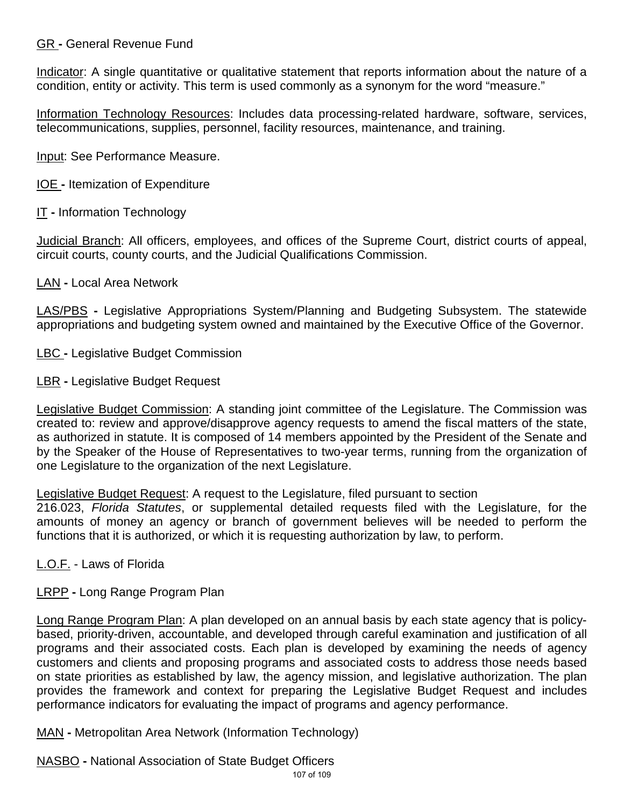### GR **-** General Revenue Fund

Indicator: A single quantitative or qualitative statement that reports information about the nature of a condition, entity or activity. This term is used commonly as a synonym for the word "measure."

Information Technology Resources: Includes data processing-related hardware, software, services, telecommunications, supplies, personnel, facility resources, maintenance, and training.

Input: See Performance Measure.

IOE **-** Itemization of Expenditure

**IT** - Information Technology

Judicial Branch: All officers, employees, and offices of the Supreme Court, district courts of appeal, circuit courts, county courts, and the Judicial Qualifications Commission.

LAN **-** Local Area Network

LAS/PBS **-** Legislative Appropriations System/Planning and Budgeting Subsystem. The statewide appropriations and budgeting system owned and maintained by the Executive Office of the Governor.

LBC **-** Legislative Budget Commission

LBR **-** Legislative Budget Request

Legislative Budget Commission: A standing joint committee of the Legislature. The Commission was created to: review and approve/disapprove agency requests to amend the fiscal matters of the state, as authorized in statute. It is composed of 14 members appointed by the President of the Senate and by the Speaker of the House of Representatives to two-year terms, running from the organization of one Legislature to the organization of the next Legislature.

Legislative Budget Request: A request to the Legislature, filed pursuant to section

216.023, *Florida Statutes*, or supplemental detailed requests filed with the Legislature, for the amounts of money an agency or branch of government believes will be needed to perform the functions that it is authorized, or which it is requesting authorization by law, to perform.

L.O.F. - Laws of Florida

LRPP **-** Long Range Program Plan

Long Range Program Plan: A plan developed on an annual basis by each state agency that is policybased, priority-driven, accountable, and developed through careful examination and justification of all programs and their associated costs. Each plan is developed by examining the needs of agency customers and clients and proposing programs and associated costs to address those needs based on state priorities as established by law, the agency mission, and legislative authorization. The plan provides the framework and context for preparing the Legislative Budget Request and includes performance indicators for evaluating the impact of programs and agency performance.

MAN **-** Metropolitan Area Network (Information Technology)

NASBO **-** National Association of State Budget Officers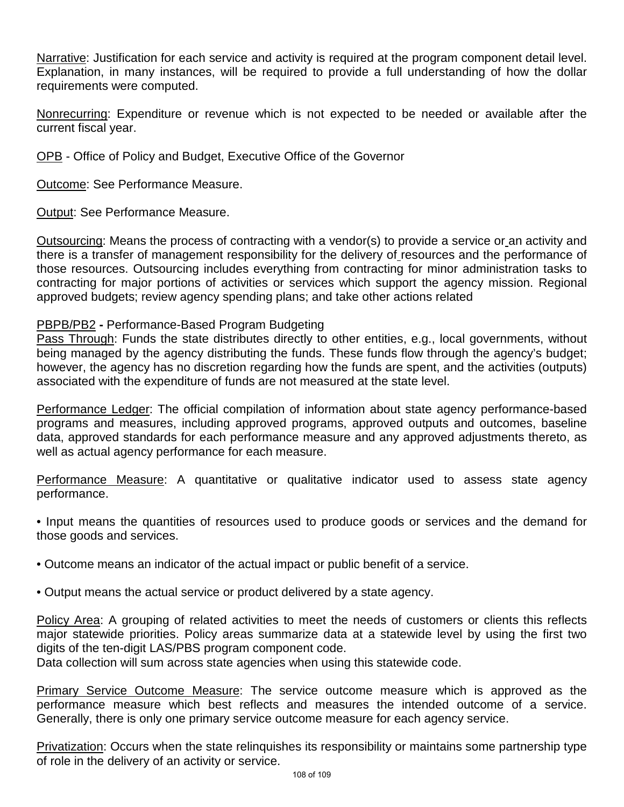Narrative: Justification for each service and activity is required at the program component detail level. Explanation, in many instances, will be required to provide a full understanding of how the dollar requirements were computed.

Nonrecurring: Expenditure or revenue which is not expected to be needed or available after the current fiscal year.

OPB - Office of Policy and Budget, Executive Office of the Governor

Outcome: See Performance Measure.

Output: See Performance Measure.

Outsourcing: Means the process of contracting with a vendor(s) to provide a service or an activity and there is a transfer of management responsibility for the delivery of resources and the performance of those resources. Outsourcing includes everything from contracting for minor administration tasks to contracting for major portions of activities or services which support the agency mission. Regional approved budgets; review agency spending plans; and take other actions related

### PBPB/PB2 **-** Performance-Based Program Budgeting

Pass Through: Funds the state distributes directly to other entities, e.g., local governments, without being managed by the agency distributing the funds. These funds flow through the agency's budget; however, the agency has no discretion regarding how the funds are spent, and the activities (outputs) associated with the expenditure of funds are not measured at the state level.

Performance Ledger: The official compilation of information about state agency performance-based programs and measures, including approved programs, approved outputs and outcomes, baseline data, approved standards for each performance measure and any approved adjustments thereto, as well as actual agency performance for each measure.

Performance Measure: A quantitative or qualitative indicator used to assess state agency performance.

• Input means the quantities of resources used to produce goods or services and the demand for those goods and services.

• Outcome means an indicator of the actual impact or public benefit of a service.

• Output means the actual service or product delivered by a state agency.

Policy Area: A grouping of related activities to meet the needs of customers or clients this reflects major statewide priorities. Policy areas summarize data at a statewide level by using the first two digits of the ten-digit LAS/PBS program component code.

Data collection will sum across state agencies when using this statewide code.

Primary Service Outcome Measure: The service outcome measure which is approved as the performance measure which best reflects and measures the intended outcome of a service. Generally, there is only one primary service outcome measure for each agency service.

Privatization: Occurs when the state relinquishes its responsibility or maintains some partnership type of role in the delivery of an activity or service.